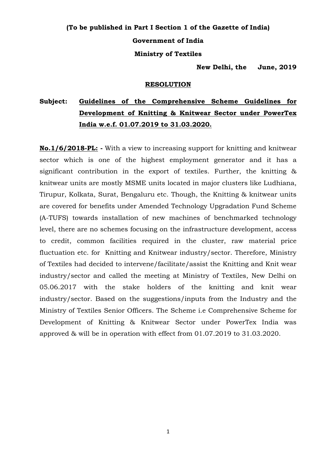# **(To be published in Part I Section 1 of the Gazette of India) Government of India Ministry of Textiles**

**New Delhi, the June, 2019**

#### **RESOLUTION**

## **Subject: Guidelines of the Comprehensive Scheme Guidelines for Development of Knitting & Knitwear Sector under PowerTex India w.e.f. 01.07.2019 to 31.03.2020.**

**No.1/6/2018-PL: -** With a view to increasing support for knitting and knitwear sector which is one of the highest employment generator and it has a significant contribution in the export of textiles. Further, the knitting & knitwear units are mostly MSME units located in major clusters like Ludhiana, Tirupur, Kolkata, Surat, Bengaluru etc. Though, the Knitting & knitwear units are covered for benefits under Amended Technology Upgradation Fund Scheme (A-TUFS) towards installation of new machines of benchmarked technology level, there are no schemes focusing on the infrastructure development, access to credit, common facilities required in the cluster, raw material price fluctuation etc. for Knitting and Knitwear industry/sector. Therefore, Ministry of Textiles had decided to intervene/facilitate/assist the Knitting and Knit wear industry/sector and called the meeting at Ministry of Textiles, New Delhi on 05.06.2017 with the stake holders of the knitting and knit wear industry/sector. Based on the suggestions/inputs from the Industry and the Ministry of Textiles Senior Officers. The Scheme i.e Comprehensive Scheme for Development of Knitting & Knitwear Sector under PowerTex India was approved & will be in operation with effect from 01.07.2019 to 31.03.2020.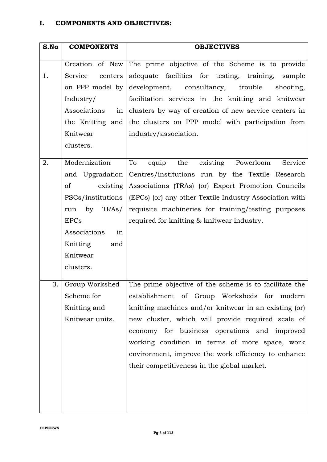| S.No | <b>COMPONENTS</b>         | <b>OBJECTIVES</b>                                                                             |
|------|---------------------------|-----------------------------------------------------------------------------------------------|
|      | Creation of New           |                                                                                               |
| 1.   | Service<br>centers        | The prime objective of the Scheme is to provide<br>adequate facilities for testing, training, |
|      |                           | sample                                                                                        |
|      | on PPP model by           | development, consultancy, trouble<br>shooting,                                                |
|      | Industry/                 | facilitation services in the knitting and knitwear                                            |
|      | Associations<br>in        | clusters by way of creation of new service centers in                                         |
|      | the Knitting and          | the clusters on PPP model with participation from                                             |
|      | Knitwear                  | industry/association.                                                                         |
|      | clusters.                 |                                                                                               |
| 2.   | Modernization             | To<br>existing Powerloom<br>equip<br>the<br>Service                                           |
|      | and Upgradation           | Centres/institutions run by the Textile Research                                              |
|      | <sub>of</sub><br>existing | Associations (TRAs) (or) Export Promotion Councils                                            |
|      | PSCs/institutions         | (EPCs) (or) any other Textile Industry Association with                                       |
|      | TRAs/<br>by<br>run        | requisite machineries for training/testing purposes                                           |
|      | <b>EPCs</b>               | required for knitting & knitwear industry.                                                    |
|      | Associations<br>in        |                                                                                               |
|      | Knitting<br>and           |                                                                                               |
|      | Knitwear                  |                                                                                               |
|      | clusters.                 |                                                                                               |
|      |                           |                                                                                               |
| 3.   | Group Workshed            | The prime objective of the scheme is to facilitate the                                        |
|      | Scheme for                | establishment of Group Worksheds for modern                                                   |
|      | Knitting and              | knitting machines and/or knitwear in an existing (or)                                         |
|      | Knitwear units.           | new cluster, which will provide required scale of                                             |
|      |                           | economy for business operations and improved                                                  |
|      |                           | working condition in terms of more space, work                                                |
|      |                           | environment, improve the work efficiency to enhance                                           |
|      |                           | their competitiveness in the global market.                                                   |
|      |                           |                                                                                               |
|      |                           |                                                                                               |
|      |                           |                                                                                               |
|      |                           |                                                                                               |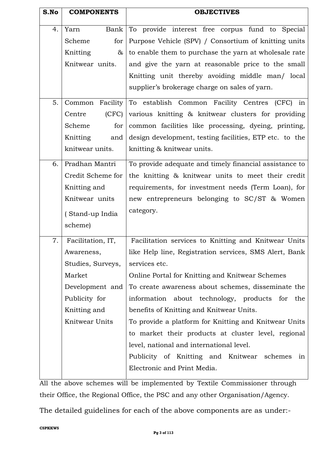| S.No | <b>COMPONENTS</b> | <b>OBJECTIVES</b>                                       |
|------|-------------------|---------------------------------------------------------|
|      |                   |                                                         |
| 4.   | Bank<br>Yarn      | To provide interest free corpus fund to Special         |
|      | for<br>Scheme     | Purpose Vehicle (SPV) / Consortium of knitting units    |
|      | Knitting<br>$\&$  | to enable them to purchase the yarn at wholesale rate   |
|      | Knitwear units.   | and give the yarn at reasonable price to the small      |
|      |                   | Knitting unit thereby avoiding middle man/ local        |
|      |                   | supplier's brokerage charge on sales of yarn.           |
| 5.   | Common Facility   | To establish Common Facility Centres (CFC) in           |
|      | (CFC)<br>Centre   | various knitting & knitwear clusters for providing      |
|      | for<br>Scheme     | common facilities like processing, dyeing, printing,    |
|      | Knitting<br>and   | design development, testing facilities, ETP etc. to the |
|      | knitwear units.   | knitting & knitwear units.                              |
| 6.   | Pradhan Mantri    | To provide adequate and timely financial assistance to  |
|      | Credit Scheme for | the knitting & knitwear units to meet their credit      |
|      | Knitting and      | requirements, for investment needs (Term Loan), for     |
|      | Knitwear units    | new entrepreneurs belonging to SC/ST & Women            |
|      | (Stand-up India   | category.                                               |
|      | scheme)           |                                                         |
|      |                   |                                                         |
| 7.   | Facilitation, IT, | Facilitation services to Knitting and Knitwear Units    |
|      | Awareness,        | like Help line, Registration services, SMS Alert, Bank  |
|      | Studies, Surveys, | services etc.                                           |
|      | Market            | Online Portal for Knitting and Knitwear Schemes         |
|      | Development and   | To create awareness about schemes, disseminate the      |
|      | Publicity for     | information about technology, products for the          |
|      | Knitting and      | benefits of Knitting and Knitwear Units.                |
|      | Knitwear Units    | To provide a platform for Knitting and Knitwear Units   |
|      |                   | to market their products at cluster level, regional     |
|      |                   | level, national and international level.                |
|      |                   | Publicity of Knitting and Knitwear schemes<br>in        |
|      |                   | Electronic and Print Media.                             |
|      |                   |                                                         |

All the above schemes will be implemented by Textile Commissioner through their Office, the Regional Office, the PSC and any other Organisation/Agency.

The detailed guidelines for each of the above components are as under:-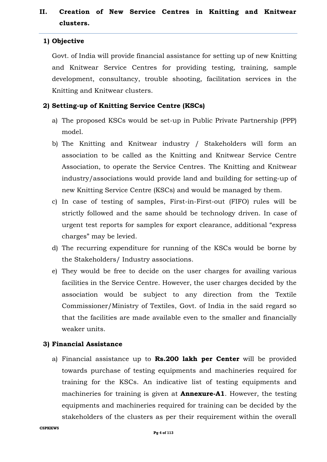## **II. Creation of New Service Centres in Knitting and Knitwear clusters.**

## **1) Objective**

Govt. of India will provide financial assistance for setting up of new Knitting and Knitwear Service Centres for providing testing, training, sample development, consultancy, trouble shooting, facilitation services in the Knitting and Knitwear clusters.

## **2) Setting-up of Knitting Service Centre (KSCs)**

- a) The proposed KSCs would be set-up in Public Private Partnership (PPP) model.
- b) The Knitting and Knitwear industry / Stakeholders will form an association to be called as the Knitting and Knitwear Service Centre Association, to operate the Service Centres. The Knitting and Knitwear industry/associations would provide land and building for setting-up of new Knitting Service Centre (KSCs) and would be managed by them.
- c) In case of testing of samples, First-in-First-out (FIFO) rules will be strictly followed and the same should be technology driven. In case of urgent test reports for samples for export clearance, additional "express charges" may be levied.
- d) The recurring expenditure for running of the KSCs would be borne by the Stakeholders/ Industry associations.
- e) They would be free to decide on the user charges for availing various facilities in the Service Centre. However, the user charges decided by the association would be subject to any direction from the Textile Commissioner/Ministry of Textiles, Govt. of India in the said regard so that the facilities are made available even to the smaller and financially weaker units.

## **3) Financial Assistance**

a) Financial assistance up to **Rs.200 lakh per Center** will be provided towards purchase of testing equipments and machineries required for training for the KSCs. An indicative list of testing equipments and machineries for training is given at **Annexure-A1**. However, the testing equipments and machineries required for training can be decided by the stakeholders of the clusters as per their requirement within the overall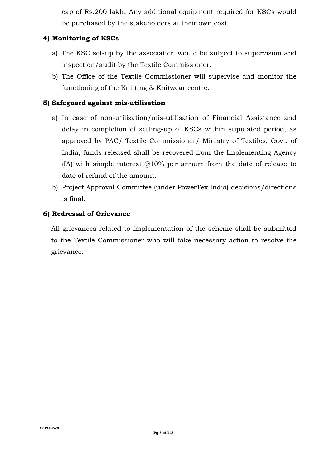cap of Rs.200 lakh**.** Any additional equipment required for KSCs would be purchased by the stakeholders at their own cost.

## **4) Monitoring of KSCs**

- a) The KSC set-up by the association would be subject to supervision and inspection/audit by the Textile Commissioner.
- b) The Office of the Textile Commissioner will supervise and monitor the functioning of the Knitting & Knitwear centre.

## **5) Safeguard against mis-utilisation**

- a) In case of non-utilization/mis-utilisation of Financial Assistance and delay in completion of setting-up of KSCs within stipulated period, as approved by PAC/ Textile Commissioner/ Ministry of Textiles, Govt. of India, funds released shall be recovered from the Implementing Agency (IA) with simple interest  $@10\%$  per annum from the date of release to date of refund of the amount.
- b) Project Approval Committee (under PowerTex India) decisions/directions is final.

#### **6) Redressal of Grievance**

All grievances related to implementation of the scheme shall be submitted to the Textile Commissioner who will take necessary action to resolve the grievance.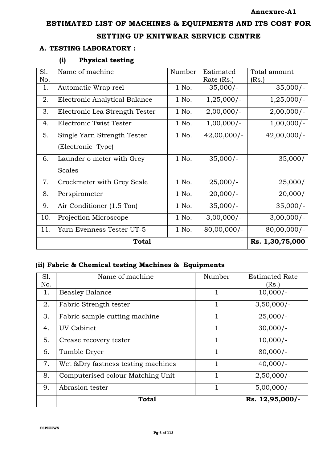## **ESTIMATED LIST OF MACHINES & EQUIPMENTS AND ITS COST FOR**

#### **SETTING UP KNITWEAR SERVICE CENTRE**

#### **A. TESTING LABORATORY :**

## **(i) Physical testing**

| Sl.          | Name of machine                | Number | Estimated       | Total amount   |
|--------------|--------------------------------|--------|-----------------|----------------|
| No.          |                                |        | Rate (Rs.)      | (Rs.)          |
| 1.           | Automatic Wrap reel            | 1 No.  | $35,000/-$      | $35,000/-$     |
| 2.           | Electronic Analytical Balance  | 1 No.  | $1,25,000/-$    | $1,25,000/-$   |
| 3.           | Electronic Lea Strength Tester | 1 No.  | $2,00,000/-$    | $2,00,000/-$   |
| 4.           | Electronic Twist Tester        | 1 No.  | $1,00,000/-$    | $1,00,000/-$   |
| 5.           | Single Yarn Strength Tester    | 1 No.  | $42,00,000/-$   | $42,00,000/-$  |
|              | (Electronic Type)              |        |                 |                |
| 6.           | Launder o meter with Grey      | 1 No.  | $35,000/-$      | 35,000/        |
|              | <b>Scales</b>                  |        |                 |                |
| 7.           | Crockmeter with Grey Scale     | 1 No.  | $25,000/-$      | 25,000/        |
| 8.           | Perspirometer                  | 1 No.  | $20,000/-$      | 20,000/        |
| 9.           | Air Conditioner (1.5 Ton)      | 1 No.  | $35,000/-$      | $35,000/-$     |
| 10.          | Projection Microscope          | 1 No.  | $3,00,000/-$    | $3,00,000/-$   |
| 11.          | Yarn Evenness Tester UT-5      | 1 No.  | $80,00,000$ /-  | $80,00,000$ /- |
| <b>Total</b> |                                |        | Rs. 1,30,75,000 |                |

## **(ii) Fabric & Chemical testing Machines & Equipments**

| Sl. | Name of machine                     | Number       | <b>Estimated Rate</b> |
|-----|-------------------------------------|--------------|-----------------------|
| No. |                                     |              | (Rs.)                 |
| 1.  | <b>Beasley Balance</b>              |              | $10,000/-$            |
| 2.  | Fabric Strength tester              | 1            | $3,50,000/-$          |
| 3.  | Fabric sample cutting machine       |              | $25,000/-$            |
| 4.  | UV Cabinet                          |              | $30,000/-$            |
| 5.  | Crease recovery tester              |              | $10,000/-$            |
| 6.  | Tumble Dryer                        | $\mathbf{1}$ | $80,000/-$            |
| 7.  | Wet & Dry fastness testing machines |              | $40,000/-$            |
| 8.  | Computerised colour Matching Unit   |              | $2,50,000/-$          |
| 9.  | Abrasion tester                     |              | $5,00,000/-$          |
|     | <b>Total</b>                        |              | Rs. 12,95,000/-       |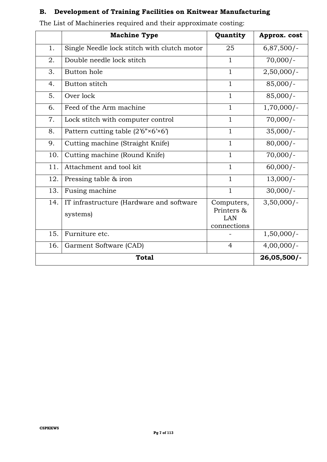## **B. Development of Training Facilities on Knitwear Manufacturing**

|     | <b>Machine Type</b>                                  | Quantity                                       | Approx. cost |
|-----|------------------------------------------------------|------------------------------------------------|--------------|
| 1.  | Single Needle lock stitch with clutch motor          | 25                                             | $6,87,500/-$ |
| 2.  | Double needle lock stitch                            | $\mathbf{1}$                                   | $70,000/-$   |
| 3.  | Button hole                                          | $\mathbf{1}$                                   | $2,50,000/-$ |
| 4.  | Button stitch                                        | $\mathbf{1}$                                   | $85,000/-$   |
| 5.  | Over lock                                            | $\mathbf{1}$                                   | $85,000/-$   |
| 6.  | Feed of the Arm machine                              | $\mathbf{1}$                                   | $1,70,000/-$ |
| 7.  | Lock stitch with computer control                    | $\mathbf{1}$                                   | $70,000/-$   |
| 8.  | Pattern cutting table $(2'6''*6'*(6'))$              | $\mathbf{1}$                                   | $35,000/-$   |
| 9.  | Cutting machine (Straight Knife)                     | $\mathbf{1}$                                   | $80,000/-$   |
| 10. | Cutting machine (Round Knife)                        | $\mathbf{1}$                                   | $70,000/-$   |
| 11. | Attachment and tool kit                              | $\mathbf{1}$                                   | $60,000/-$   |
| 12. | Pressing table & iron                                | $\mathbf{1}$                                   | $13,000/-$   |
| 13. | Fusing machine                                       | $\mathbf{1}$                                   | $30,000/-$   |
| 14. | IT infrastructure (Hardware and software<br>systems) | Computers,<br>Printers &<br>LAN<br>connections | $3,50,000/-$ |
| 15. | Furniture etc.                                       |                                                | $1,50,000/-$ |
| 16. | Garment Software (CAD)                               | $\overline{4}$                                 | $4,00,000/-$ |
|     | <b>Total</b>                                         |                                                | 26,05,500/-  |

The List of Machineries required and their approximate costing: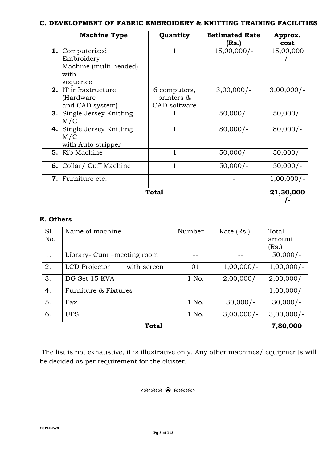#### **C. DEVELOPMENT OF FABRIC EMBROIDERY & KNITTING TRAINING FACILITIES**

|     | <b>Machine Type</b>                                                                | Quantity                                   | <b>Estimated Rate</b><br>(Rs.) | Approx.<br>cost |
|-----|------------------------------------------------------------------------------------|--------------------------------------------|--------------------------------|-----------------|
|     | <b>1.</b> Computerized<br>Embroidery<br>Machine (multi headed)<br>with<br>sequence |                                            | $15,00,000/-$                  | 15,00,000       |
|     | <b>2.</b> IT infrastructure<br>(Hardware<br>and CAD system)                        | 6 computers,<br>printers &<br>CAD software | $3,00,000/-$                   | $3,00,000/-$    |
| 3.1 | Single Jersey Knitting<br>M/C                                                      |                                            | $50,000/-$                     | $50,000/-$      |
|     | <b>4.</b> Single Jersey Knitting<br>M/C<br>with Auto stripper                      | 1                                          | $80,000/-$                     | $80,000/-$      |
| 5.1 | Rib Machine                                                                        | 1                                          | $50,000/-$                     | $50,000/-$      |
|     | 6. Collar/ Cuff Machine                                                            | 1                                          | $50,000/-$                     | $50,000/-$      |
| 7.1 | Furniture etc.                                                                     |                                            |                                | $1,00,000/-$    |
|     |                                                                                    | <b>Total</b>                               |                                | 21,30,000       |

## **E. Others**

| S1.          | Name of machine              | Number | Rate (Rs.)   | Total         |
|--------------|------------------------------|--------|--------------|---------------|
| No.          |                              |        |              | amount        |
|              |                              |        |              | (Rs.)         |
| 1.           | Library- Cum -meeting room   |        |              | $50,000/-$    |
| 2.           | LCD Projector<br>with screen | 01     | $1,00,000/-$ | $1,00,000/-$  |
| 3.           | DG Set 15 KVA                | 1 No.  | $2,00,000/-$ | $2,00,000$ /- |
| 4.           | Furniture & Fixtures         |        |              | $1,00,000/-$  |
| 5.           | Fax                          | 1 No.  | $30,000/-$   | $30,000/-$    |
| 6.           | <b>UPS</b>                   | 1 No.  | $3,00,000/-$ | $3,00,000/-$  |
| <b>Total</b> |                              |        |              | 7,80,000      |

The list is not exhaustive, it is illustrative only. Any other machines/ equipments will be decided as per requirement for the cluster.

 $\alpha$ ରାସ୍ତ କି କାକାକ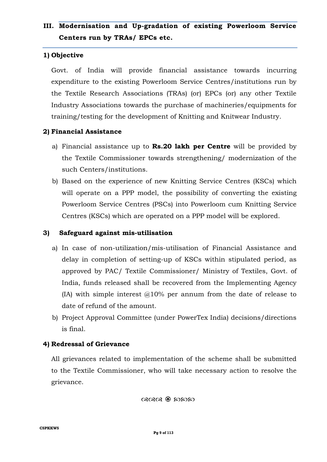## **III. Modernisation and Up-gradation of existing Powerloom Service Centers run by TRAs/ EPCs etc.**

## **1) Objective**

Govt. of India will provide financial assistance towards incurring expenditure to the existing Powerloom Service Centres/institutions run by the Textile Research Associations (TRAs) (or) EPCs (or) any other Textile Industry Associations towards the purchase of machineries/equipments for training/testing for the development of Knitting and Knitwear Industry.

## **2) Financial Assistance**

- a) Financial assistance up to **Rs.20 lakh per Centre** will be provided by the Textile Commissioner towards strengthening/ modernization of the such Centers/institutions.
- b) Based on the experience of new Knitting Service Centres (KSCs) which will operate on a PPP model, the possibility of converting the existing Powerloom Service Centres (PSCs) into Powerloom cum Knitting Service Centres (KSCs) which are operated on a PPP model will be explored.

#### **3) Safeguard against mis-utilisation**

- a) In case of non-utilization/mis-utilisation of Financial Assistance and delay in completion of setting-up of KSCs within stipulated period, as approved by PAC/ Textile Commissioner/ Ministry of Textiles, Govt. of India, funds released shall be recovered from the Implementing Agency (IA) with simple interest  $@10\%$  per annum from the date of release to date of refund of the amount.
- b) Project Approval Committee (under PowerTex India) decisions/directions is final.

## **4) Redressal of Grievance**

All grievances related to implementation of the scheme shall be submitted to the Textile Commissioner, who will take necessary action to resolve the grievance.

යැයැය ඹ කුකුක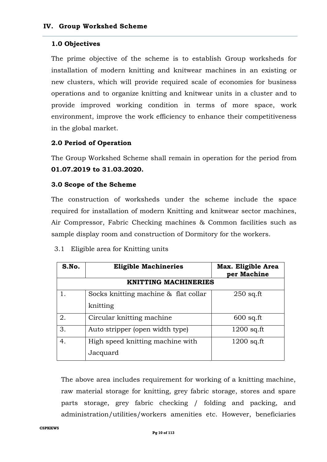#### **1.0 Objectives**

The prime objective of the scheme is to establish Group worksheds for installation of modern knitting and knitwear machines in an existing or new clusters, which will provide required scale of economies for business operations and to organize knitting and knitwear units in a cluster and to provide improved working condition in terms of more space, work environment, improve the work efficiency to enhance their competitiveness in the global market.

#### **2.0 Period of Operation**

The Group Workshed Scheme shall remain in operation for the period from **01.07.2019 to 31.03.2020.**

#### **3.0 Scope of the Scheme**

The construction of worksheds under the scheme include the space required for installation of modern Knitting and knitwear sector machines, Air Compressor, Fabric Checking machines & Common facilities such as sample display room and construction of Dormitory for the workers.

#### 3.1 Eligible area for Knitting units

| S.No. | <b>Eligible Machineries</b>          | Max. Eligible Area<br>per Machine |
|-------|--------------------------------------|-----------------------------------|
|       | <b>KNITTING MACHINERIES</b>          |                                   |
|       | Socks knitting machine & flat collar | $250$ sq.ft                       |
|       | knitting                             |                                   |
| 2.    | Circular knitting machine            | $600$ sq.ft                       |
| 3.    | Auto stripper (open width type)      | $1200$ sq.ft                      |
| 4.    | High speed knitting machine with     | $1200$ sq.ft                      |
|       | Jacquard                             |                                   |

The above area includes requirement for working of a knitting machine, raw material storage for knitting, grey fabric storage, stores and spare parts storage, grey fabric checking / folding and packing, and administration/utilities/workers amenities etc. However, beneficiaries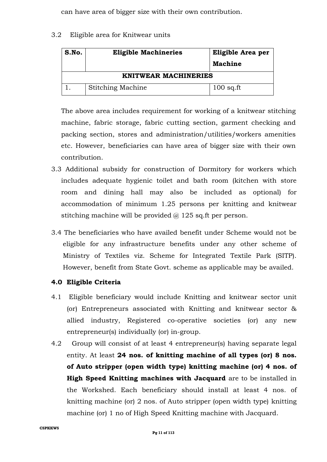can have area of bigger size with their own contribution.

### 3.2 Eligible area for Knitwear units

| S.No.                       | <b>Eligible Machineries</b> | Eligible Area per<br><b>Machine</b> |  |
|-----------------------------|-----------------------------|-------------------------------------|--|
| <b>KNITWEAR MACHINERIES</b> |                             |                                     |  |
|                             | <b>Stitching Machine</b>    | $100$ sq.ft                         |  |

The above area includes requirement for working of a knitwear stitching machine, fabric storage, fabric cutting section, garment checking and packing section, stores and administration/utilities/workers amenities etc. However, beneficiaries can have area of bigger size with their own contribution.

- 3.3 Additional subsidy for construction of Dormitory for workers which includes adequate hygienic toilet and bath room (kitchen with store room and dining hall may also be included as optional) for accommodation of minimum 1.25 persons per knitting and knitwear stitching machine will be provided  $\omega$  125 sq.ft per person.
- 3.4 The beneficiaries who have availed benefit under Scheme would not be eligible for any infrastructure benefits under any other scheme of Ministry of Textiles viz. Scheme for Integrated Textile Park (SITP). However, benefit from State Govt. scheme as applicable may be availed.

## **4.0 Eligible Criteria**

- 4.1 Eligible beneficiary would include Knitting and knitwear sector unit (or) Entrepreneurs associated with Knitting and knitwear sector & allied industry, Registered co-operative societies (or) any new entrepreneur(s) individually (or) in-group.
- 4.2 Group will consist of at least 4 entrepreneur(s) having separate legal entity. At least **24 nos. of knitting machine of all types (or) 8 nos. of Auto stripper (open width type) knitting machine (or) 4 nos. of High Speed Knitting machines with Jacquard** are to be installed in the Workshed. Each beneficiary should install at least 4 nos. of knitting machine (or) 2 nos. of Auto stripper (open width type) knitting machine (or) 1 no of High Speed Knitting machine with Jacquard.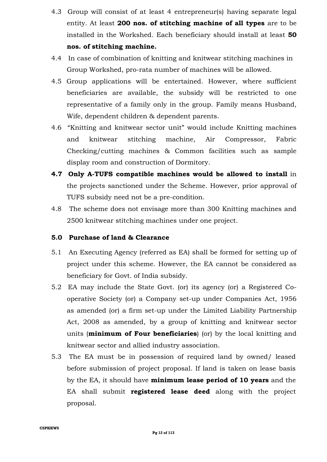- 4.3 Group will consist of at least 4 entrepreneur(s) having separate legal entity. At least **200 nos. of stitching machine of all types** are to be installed in the Workshed. Each beneficiary should install at least **50 nos. of stitching machine.**
- 4.4In case of combination of knitting and knitwear stitching machines in Group Workshed, pro-rata number of machines will be allowed.
- 4.5 Group applications will be entertained. However, where sufficient beneficiaries are available, the subsidy will be restricted to one representative of a family only in the group. Family means Husband, Wife, dependent children & dependent parents.
- 4.6 "Knitting and knitwear sector unit" would include Knitting machines and knitwear stitching machine, Air Compressor, Fabric Checking/cutting machines & Common facilities such as sample display room and construction of Dormitory.
- **4.7 Only A-TUFS compatible machines would be allowed to install** in the projects sanctioned under the Scheme. However, prior approval of TUFS subsidy need not be a pre-condition.
- 4.8 The scheme does not envisage more than 300 Knitting machines and 2500 knitwear stitching machines under one project.

#### **5.0 Purchase of land & Clearance**

- 5.1 An Executing Agency (referred as EA) shall be formed for setting up of project under this scheme. However, the EA cannot be considered as beneficiary for Govt. of India subsidy.
- 5.2 EA may include the State Govt. (or) its agency (or) a Registered Cooperative Society (or) a Company set-up under Companies Act, 1956 as amended (or) a firm set-up under the Limited Liability Partnership Act, 2008 as amended, by a group of knitting and knitwear sector units (**minimum of Four beneficiaries**) (or) by the local knitting and knitwear sector and allied industry association.
- 5.3 The EA must be in possession of required land by owned/ leased before submission of project proposal. If land is taken on lease basis by the EA, it should have **minimum lease period of 10 years** and the EA shall submit **registered lease deed** along with the project proposal.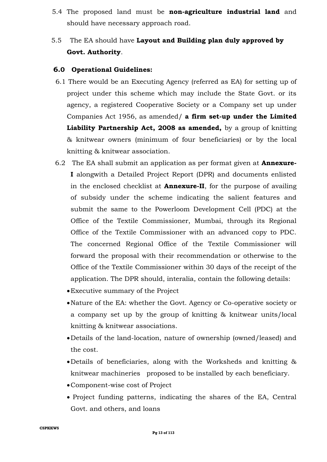- 5.4 The proposed land must be **non-agriculture industrial land** and should have necessary approach road.
- 5.5 The EA should have **Layout and Building plan duly approved by Govt. Authority**.

## **6.0 Operational Guidelines:**

- 6.1 There would be an Executing Agency (referred as EA) for setting up of project under this scheme which may include the State Govt. or its agency, a registered Cooperative Society or a Company set up under Companies Act 1956, as amended/ **a firm set-up under the Limited Liability Partnership Act, 2008 as amended,** by a group of knitting & knitwear owners (minimum of four beneficiaries) or by the local knitting & knitwear association.
- 6.2 The EA shall submit an application as per format given at **Annexure-I** alongwith a Detailed Project Report (DPR) and documents enlisted in the enclosed checklist at **Annexure-II**, for the purpose of availing of subsidy under the scheme indicating the salient features and submit the same to the Powerloom Development Cell (PDC) at the Office of the Textile Commissioner, Mumbai, through its Regional Office of the Textile Commissioner with an advanced copy to PDC. The concerned Regional Office of the Textile Commissioner will forward the proposal with their recommendation or otherwise to the Office of the Textile Commissioner within 30 days of the receipt of the application. The DPR should, interalia, contain the following details:
	- Executive summary of the Project
	- Nature of the EA: whether the Govt. Agency or Co-operative society or a company set up by the group of knitting & knitwear units/local knitting & knitwear associations.
	- Details of the land-location, nature of ownership (owned/leased) and the cost.
	- Details of beneficiaries, along with the Worksheds and knitting & knitwear machineries proposed to be installed by each beneficiary.
	- Component-wise cost of Project
	- Project funding patterns, indicating the shares of the EA, Central Govt. and others, and loans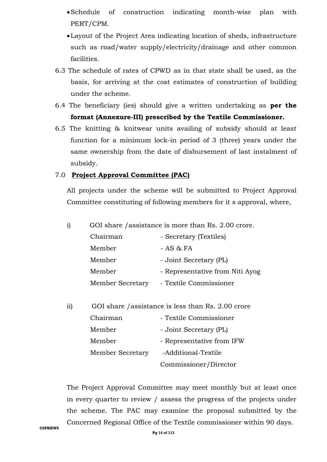- Schedule of construction indicating month-wise plan with PERT/CPM.
- Layout of the Project Area indicating location of sheds, infrastructure such as road/water supply/electricity/drainage and other common facilities.
- 6.3 The schedule of rates of CPWD as in that state shall be used, as the basis, for arriving at the cost estimates of construction of building under the scheme.
- 6.4 The beneficiary (ies) should give a written undertaking as **per the format (Annexure-III) prescribed by the Textile Commissioner.**
- 6.5 The knitting & knitwear units availing of subsidy should at least function for a minimum lock-in period of 3 (three) years under the same ownership from the date of disbursement of last instalment of subsidy.

#### 7.0 **Project Approval Committee (PAC)**

All projects under the scheme will be submitted to Project Approval Committee constituting of following members for it s approval, where,

| $\mathbf{i}$ |  |  | GOI share / assistance is more than Rs. 2.00 crore. |
|--------------|--|--|-----------------------------------------------------|
|--------------|--|--|-----------------------------------------------------|

| Chairman                | - Secretary (Textiles)          |
|-------------------------|---------------------------------|
| Member                  | $- AS & FA$                     |
| Member                  | - Joint Secretary (PL)          |
| Member                  | - Representative from Niti Ayog |
| <b>Member Secretary</b> | - Textile Commissioner          |

| ii) | GOI share / assistance is less than Rs. 2.00 crore |                           |
|-----|----------------------------------------------------|---------------------------|
|     | Chairman                                           | - Textile Commissioner    |
|     | Member                                             | - Joint Secretary (PL)    |
|     | Member                                             | - Representative from IFW |
|     | <b>Member Secretary</b>                            | -Additional-Textile       |
|     |                                                    | Commissioner/Director     |

The Project Approval Committee may meet monthly but at least once in every quarter to review / assess the progress of the projects under the scheme. The PAC may examine the proposal submitted by the Concerned Regional Office of the Textile commissioner within 90 days.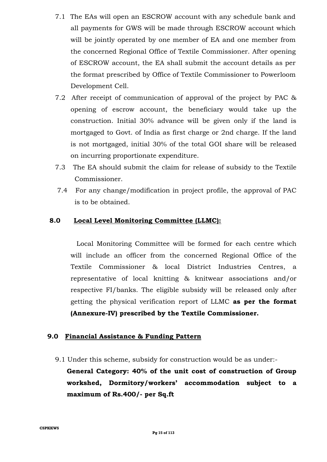- 7.1 The EAs will open an ESCROW account with any schedule bank and all payments for GWS will be made through ESCROW account which will be jointly operated by one member of EA and one member from the concerned Regional Office of Textile Commissioner. After opening of ESCROW account, the EA shall submit the account details as per the format prescribed by Office of Textile Commissioner to Powerloom Development Cell.
- 7.2 After receipt of communication of approval of the project by PAC & opening of escrow account, the beneficiary would take up the construction. Initial 30% advance will be given only if the land is mortgaged to Govt. of India as first charge or 2nd charge. If the land is not mortgaged, initial 30% of the total GOI share will be released on incurring proportionate expenditure.
- 7.3 The EA should submit the claim for release of subsidy to the Textile Commissioner.
- 7.4 For any change/modification in project profile, the approval of PAC is to be obtained.

## **8.0 Local Level Monitoring Committee (LLMC):**

 Local Monitoring Committee will be formed for each centre which will include an officer from the concerned Regional Office of the Textile Commissioner & local District Industries Centres, a representative of local knitting & knitwear associations and/or respective FI/banks. The eligible subsidy will be released only after getting the physical verification report of LLMC **as per the format (Annexure-IV) prescribed by the Textile Commissioner.** 

#### **9.0 Financial Assistance & Funding Pattern**

9.1 Under this scheme, subsidy for construction would be as under:-

**General Category: 40% of the unit cost of construction of Group workshed, Dormitory/workers' accommodation subject to a maximum of Rs.400/- per Sq.ft**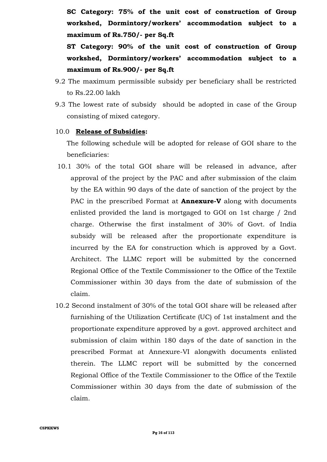**SC Category: 75% of the unit cost of construction of Group workshed, Dormintory/workers' accommodation subject to a maximum of Rs.750/- per Sq.ft**

**ST Category: 90% of the unit cost of construction of Group workshed, Dormintory/workers' accommodation subject to a maximum of Rs.900/- per Sq.ft**

- 9.2 The maximum permissible subsidy per beneficiary shall be restricted to Rs.22.00 lakh
- 9.3 The lowest rate of subsidy should be adopted in case of the Group consisting of mixed category.

#### 10.0 **Release of Subsidies:**

The following schedule will be adopted for release of GOI share to the beneficiaries:

- 10.1 30% of the total GOI share will be released in advance, after approval of the project by the PAC and after submission of the claim by the EA within 90 days of the date of sanction of the project by the PAC in the prescribed Format at **Annexure-V** along with documents enlisted provided the land is mortgaged to GOI on 1st charge / 2nd charge. Otherwise the first instalment of 30% of Govt. of India subsidy will be released after the proportionate expenditure is incurred by the EA for construction which is approved by a Govt. Architect. The LLMC report will be submitted by the concerned Regional Office of the Textile Commissioner to the Office of the Textile Commissioner within 30 days from the date of submission of the claim.
- 10.2 Second instalment of 30% of the total GOI share will be released after furnishing of the Utilization Certificate (UC) of 1st instalment and the proportionate expenditure approved by a govt. approved architect and submission of claim within 180 days of the date of sanction in the prescribed Format at Annexure-VI alongwith documents enlisted therein. The LLMC report will be submitted by the concerned Regional Office of the Textile Commissioner to the Office of the Textile Commissioner within 30 days from the date of submission of the claim.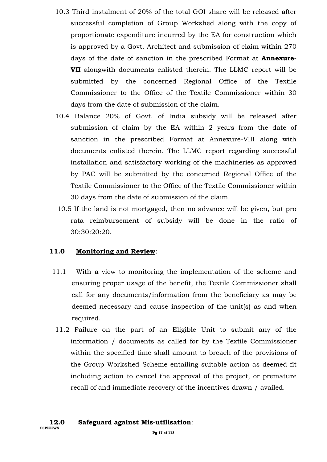- 10.3 Third instalment of 20% of the total GOI share will be released after successful completion of Group Workshed along with the copy of proportionate expenditure incurred by the EA for construction which is approved by a Govt. Architect and submission of claim within 270 days of the date of sanction in the prescribed Format at **Annexure-VII** alongwith documents enlisted therein. The LLMC report will be submitted by the concerned Regional Office of the Textile Commissioner to the Office of the Textile Commissioner within 30 days from the date of submission of the claim.
- 10.4 Balance 20% of Govt. of India subsidy will be released after submission of claim by the EA within 2 years from the date of sanction in the prescribed Format at Annexure-VIII along with documents enlisted therein. The LLMC report regarding successful installation and satisfactory working of the machineries as approved by PAC will be submitted by the concerned Regional Office of the Textile Commissioner to the Office of the Textile Commissioner within 30 days from the date of submission of the claim.
- 10.5 If the land is not mortgaged, then no advance will be given, but pro rata reimbursement of subsidy will be done in the ratio of 30:30:20:20.

#### **11.0 Monitoring and Review**:

- 11.1 With a view to monitoring the implementation of the scheme and ensuring proper usage of the benefit, the Textile Commissioner shall call for any documents/information from the beneficiary as may be deemed necessary and cause inspection of the unit(s) as and when required.
- 11.2 Failure on the part of an Eligible Unit to submit any of the information / documents as called for by the Textile Commissioner within the specified time shall amount to breach of the provisions of the Group Workshed Scheme entailing suitable action as deemed fit including action to cancel the approval of the project, or premature recall of and immediate recovery of the incentives drawn / availed.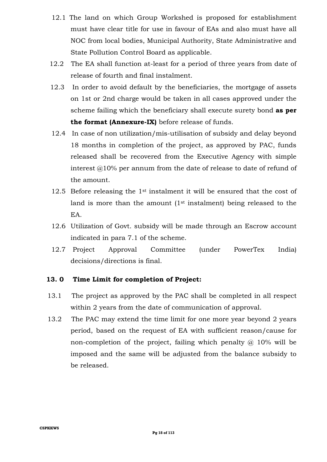- 12.1 The land on which Group Workshed is proposed for establishment must have clear title for use in favour of EAs and also must have all NOC from local bodies, Municipal Authority, State Administrative and State Pollution Control Board as applicable.
- 12.2 The EA shall function at-least for a period of three years from date of release of fourth and final instalment.
- 12.3 In order to avoid default by the beneficiaries, the mortgage of assets on 1st or 2nd charge would be taken in all cases approved under the scheme failing which the beneficiary shall execute surety bond **as per the format (Annexure-IX)** before release of funds.
- 12.4 In case of non utilization/mis-utilisation of subsidy and delay beyond 18 months in completion of the project, as approved by PAC, funds released shall be recovered from the Executive Agency with simple interest @10% per annum from the date of release to date of refund of the amount.
- 12.5 Before releasing the 1<sup>st</sup> instalment it will be ensured that the cost of land is more than the amount (1<sup>st</sup> instalment) being released to the EA.
- 12.6 Utilization of Govt. subsidy will be made through an Escrow account indicated in para 7.1 of the scheme.
- 12.7 Project Approval Committee (under PowerTex India) decisions/directions is final.

#### **13. 0 Time Limit for completion of Project:**

- 13.1 The project as approved by the PAC shall be completed in all respect within 2 years from the date of communication of approval.
- 13.2 The PAC may extend the time limit for one more year beyond 2 years period, based on the request of EA with sufficient reason/cause for non-completion of the project, failing which penalty  $\omega$  10% will be imposed and the same will be adjusted from the balance subsidy to be released.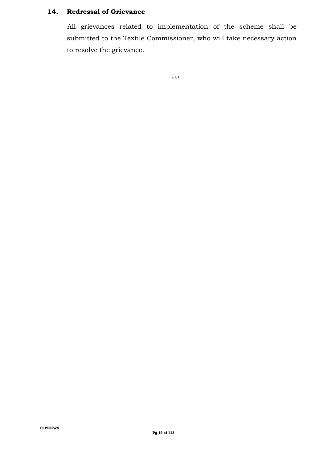#### **14. Redressal of Grievance**

All grievances related to implementation of the scheme shall be submitted to the Textile Commissioner, who will take necessary action to resolve the grievance.

\*\*\*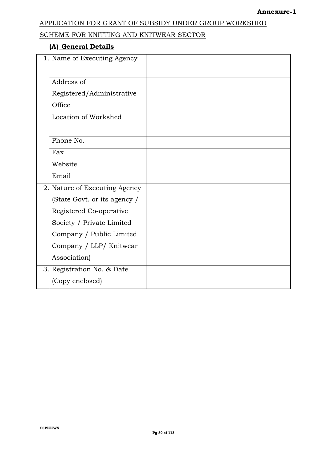### SCHEME FOR KNITTING AND KNITWEAR SECTOR

## **(A) General Details**

|    | 1. Name of Executing Agency  |  |
|----|------------------------------|--|
|    | Address of                   |  |
|    | Registered/Administrative    |  |
|    | Office                       |  |
|    | Location of Workshed         |  |
|    |                              |  |
|    | Phone No.                    |  |
|    | Fax                          |  |
|    | Website                      |  |
|    | Email                        |  |
| 2. | Nature of Executing Agency   |  |
|    | (State Govt. or its agency / |  |
|    | Registered Co-operative      |  |
|    | Society / Private Limited    |  |
|    | Company / Public Limited     |  |
|    | Company / LLP/ Knitwear      |  |
|    | Association)                 |  |
| 3. | Registration No. & Date      |  |
|    | (Copy enclosed)              |  |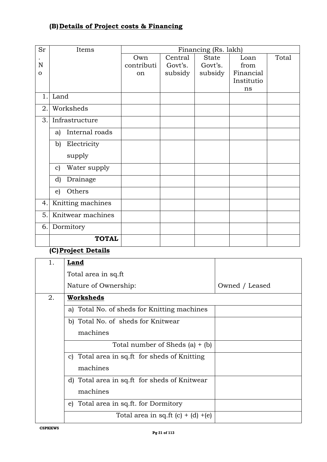## **(B)Details of Project costs & Financing**

| Sr       | Items                         |               |         | Financing (Rs. lakh) |            |       |
|----------|-------------------------------|---------------|---------|----------------------|------------|-------|
|          |                               | Own           | Central | <b>State</b>         | Loan       | Total |
| N        |                               | contributi    | Govt's. | Govt's.              | from       |       |
| $\Omega$ |                               | <sub>on</sub> | subsidy | subsidy              | Financial  |       |
|          |                               |               |         |                      | Institutio |       |
|          |                               |               |         |                      | ns         |       |
| 1.       | Land                          |               |         |                      |            |       |
| 2.       | Worksheds                     |               |         |                      |            |       |
| 3.       | Infrastructure                |               |         |                      |            |       |
|          | Internal roads<br>a)          |               |         |                      |            |       |
|          | Electricity<br>b)             |               |         |                      |            |       |
|          | supply                        |               |         |                      |            |       |
|          | Water supply<br>$\mathbf{c})$ |               |         |                      |            |       |
|          | d)<br>Drainage                |               |         |                      |            |       |
|          | Others<br>$\epsilon$ )        |               |         |                      |            |       |
| 4.       | Knitting machines             |               |         |                      |            |       |
| 5.       | Knitwear machines             |               |         |                      |            |       |
| 6.       | Dormitory                     |               |         |                      |            |       |
|          | <b>TOTAL</b>                  |               |         |                      |            |       |

#### **(C)Project Details**

| 1. | Land                                         |                |
|----|----------------------------------------------|----------------|
|    | Total area in sq.ft                          |                |
|    | Nature of Ownership:                         | Owned / Leased |
| 2. | Worksheds                                    |                |
|    | a) Total No. of sheds for Knitting machines  |                |
|    | b) Total No. of sheds for Knitwear           |                |
|    | machines                                     |                |
|    | Total number of Sheds $(a) + (b)$            |                |
|    | c) Total area in sq.ft for sheds of Knitting |                |
|    | machines                                     |                |
|    | d) Total area in sq.ft for sheds of Knitwear |                |
|    | machines                                     |                |
|    | e) Total area in sq.ft. for Dormitory        |                |
|    | Total area in sq.ft $(c) + (d) + (e)$        |                |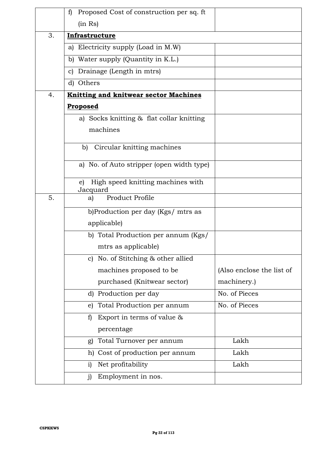|    | Proposed Cost of construction per sq. ft<br>f)      |                           |
|----|-----------------------------------------------------|---------------------------|
|    | (in Rs)                                             |                           |
| 3. | Infrastructure                                      |                           |
|    | Electricity supply (Load in M.W)<br>a)              |                           |
|    | b) Water supply (Quantity in K.L.)                  |                           |
|    | Drainage (Length in mtrs)<br>C)                     |                           |
|    | d) Others                                           |                           |
| 4. | <b>Knitting and knitwear sector Machines</b>        |                           |
|    | Proposed                                            |                           |
|    | a) Socks knitting & flat collar knitting            |                           |
|    | machines                                            |                           |
|    | Circular knitting machines<br>b)                    |                           |
|    | a) No. of Auto stripper (open width type)           |                           |
|    | High speed knitting machines with<br>e)<br>Jacquard |                           |
| 5. | Product Profile<br>a)                               |                           |
|    | b)Production per day (Kgs/ mtrs as                  |                           |
|    | applicable)                                         |                           |
|    | b) Total Production per annum (Kgs/                 |                           |
|    | mtrs as applicable)                                 |                           |
|    | c) No. of Stitching & other allied                  |                           |
|    | machines proposed to be                             | (Also enclose the list of |
|    | purchased (Knitwear sector)                         | machinery.)               |
|    | d) Production per day                               | No. of Pieces             |
|    | e) Total Production per annum                       | No. of Pieces             |
|    | Export in terms of value &<br>$\mathbf{f}$          |                           |
|    | percentage                                          |                           |
|    | g) Total Turnover per annum                         | Lakh                      |
|    | h) Cost of production per annum                     | Lakh                      |
|    | Net profitability<br>i)                             | Lakh                      |
|    | Employment in nos.<br>$\mathbf{j}$                  |                           |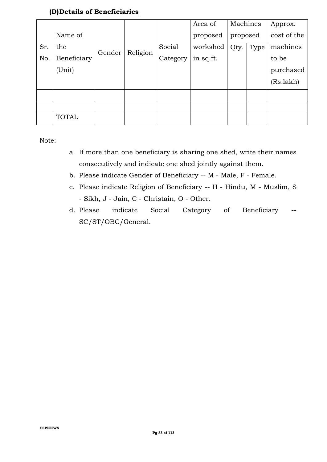## **(D)Details of Beneficiaries**

|     |              |        |          |          | Area of   | Machines |      | Approx.     |
|-----|--------------|--------|----------|----------|-----------|----------|------|-------------|
|     | Name of      |        |          |          | proposed  | proposed |      | cost of the |
| Sr. | the          |        |          | Social   | workshed  | Qty.     | Type | machines    |
| No. | Beneficiary  | Gender | Religion | Category | in sq.ft. |          |      | to be       |
|     | (Unit)       |        |          |          |           |          |      | purchased   |
|     |              |        |          |          |           |          |      | (Rs.lakh)   |
|     |              |        |          |          |           |          |      |             |
|     |              |        |          |          |           |          |      |             |
|     | <b>TOTAL</b> |        |          |          |           |          |      |             |

Note:

- a. If more than one beneficiary is sharing one shed, write their names consecutively and indicate one shed jointly against them.
- b. Please indicate Gender of Beneficiary -- M Male, F Female.
- c. Please indicate Religion of Beneficiary -- H Hindu, M Muslim, S - Sikh, J - Jain, C - Christain, O - Other.
- d. Please indicate Social Category of Beneficiary -- SC/ST/OBC/General.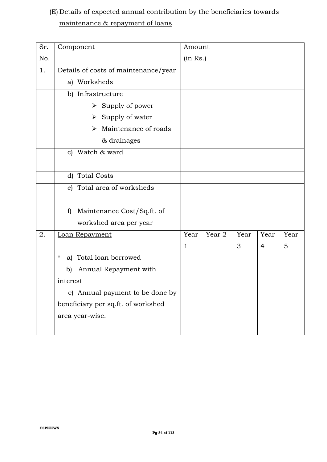## (E) Details of expected annual contribution by the beneficiaries towards maintenance & repayment of loans

| Sr. | Component                                  | Amount   |        |      |                |      |
|-----|--------------------------------------------|----------|--------|------|----------------|------|
| No. |                                            | (in Rs.) |        |      |                |      |
| 1.  | Details of costs of maintenance/year       |          |        |      |                |      |
|     | a) Worksheds                               |          |        |      |                |      |
|     | b) Infrastructure                          |          |        |      |                |      |
|     | $\triangleright$ Supply of power           |          |        |      |                |      |
|     | $\triangleright$ Supply of water           |          |        |      |                |      |
|     | Maintenance of roads<br>⋗                  |          |        |      |                |      |
|     | & drainages                                |          |        |      |                |      |
|     | c) Watch & ward                            |          |        |      |                |      |
|     |                                            |          |        |      |                |      |
|     | d) Total Costs                             |          |        |      |                |      |
|     | e) Total area of worksheds                 |          |        |      |                |      |
|     |                                            |          |        |      |                |      |
|     | Maintenance Cost/Sq.ft. of<br>$\mathbf{f}$ |          |        |      |                |      |
|     | workshed area per year                     |          |        |      |                |      |
| 2.  | Loan Repayment                             | Year     | Year 2 | Year | Year           | Year |
|     |                                            | 1        |        | 3    | $\overline{4}$ | 5    |
|     | a) Total loan borrowed<br>$^\star$         |          |        |      |                |      |
|     | Annual Repayment with<br>b)                |          |        |      |                |      |
|     | interest                                   |          |        |      |                |      |
|     | c) Annual payment to be done by            |          |        |      |                |      |
|     | beneficiary per sq.ft. of workshed         |          |        |      |                |      |
|     | area year-wise.                            |          |        |      |                |      |
|     |                                            |          |        |      |                |      |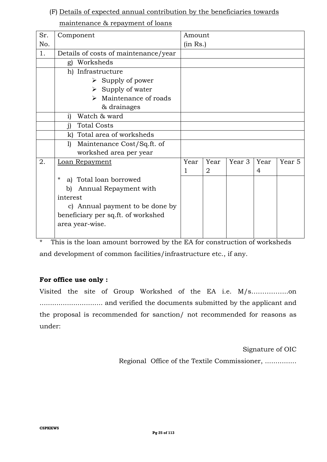#### (F) Details of expected annual contribution by the beneficiaries towards

### maintenance & repayment of loans

| Sr. | Component                            | Amount   |                |                   |      |        |
|-----|--------------------------------------|----------|----------------|-------------------|------|--------|
| No. |                                      | (in Rs.) |                |                   |      |        |
| 1.  | Details of costs of maintenance/year |          |                |                   |      |        |
|     | Worksheds<br>g)                      |          |                |                   |      |        |
|     | h) Infrastructure                    |          |                |                   |      |        |
|     | $\triangleright$ Supply of power     |          |                |                   |      |        |
|     | $\triangleright$ Supply of water     |          |                |                   |      |        |
|     | Maintenance of roads<br>↘            |          |                |                   |      |        |
|     | & drainages                          |          |                |                   |      |        |
|     | Watch & ward<br>i)                   |          |                |                   |      |        |
|     | <b>Total Costs</b><br>$\mathbf{i}$   |          |                |                   |      |        |
|     | k) Total area of worksheds           |          |                |                   |      |        |
|     | Maintenance Cost/Sq.ft. of<br>1)     |          |                |                   |      |        |
|     | workshed area per year               |          |                |                   |      |        |
| 2.  | Loan Repayment                       | Year     | Year           | Year <sub>3</sub> | Year | Year 5 |
|     |                                      | 1        | $\overline{2}$ |                   | 4    |        |
|     | $^\star$<br>a) Total loan borrowed   |          |                |                   |      |        |
|     | Annual Repayment with<br>b)          |          |                |                   |      |        |
|     | interest                             |          |                |                   |      |        |
|     | c) Annual payment to be done by      |          |                |                   |      |        |
|     | beneficiary per sq.ft. of workshed   |          |                |                   |      |        |
|     | area year-wise.                      |          |                |                   |      |        |
|     |                                      |          |                |                   |      |        |

\* This is the loan amount borrowed by the EA for construction of worksheds and development of common facilities/infrastructure etc., if any.

## **For office use only :**

Visited the site of Group Workshed of the EA i.e. M/s……………..on .............................. and verified the documents submitted by the applicant and the proposal is recommended for sanction/ not recommended for reasons as under:

> Signature of OIC Regional Office of the Textile Commissioner, ...............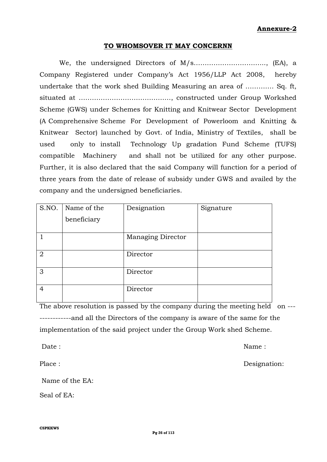#### **Annexure-2**

#### **TO WHOMSOVER IT MAY CONCERNN**

We, the undersigned Directors of M/s…………………………..., (EA), a Company Registered under Company's Act 1956/LLP Act 2008, hereby undertake that the work shed Building Measuring an area of …………. Sq. ft, situated at ……………………………………, constructed under Group Workshed Scheme (GWS) under Schemes for Knitting and Knitwear Sector Development (A Comprehensive Scheme For Development of Powerloom and Knitting & Knitwear Sector) launched by Govt. of India, Ministry of Textiles, shall be used only to install Technology Up gradation Fund Scheme (TUFS) compatible Machinery and shall not be utilized for any other purpose. Further, it is also declared that the said Company will function for a period of three years from the date of release of subsidy under GWS and availed by the company and the undersigned beneficiaries.

| S.NO.          | Name of the | Designation              | Signature |
|----------------|-------------|--------------------------|-----------|
|                | beneficiary |                          |           |
|                |             |                          |           |
|                |             | <b>Managing Director</b> |           |
|                |             |                          |           |
| 2              |             | Director                 |           |
|                |             |                          |           |
| 3              |             | Director                 |           |
|                |             |                          |           |
| $\overline{4}$ |             | Director                 |           |
|                |             |                          |           |

The above resolution is passed by the company during the meeting held on ---------------and all the Directors of the company is aware of the same for the implementation of the said project under the Group Work shed Scheme.

Date : Name : Name : Name : Name : Name : Name : Name : Name : Name : Name : Name : Name :  $\mathbb{N}$ 

Place : Designation:

Name of the EA:

Seal of EA: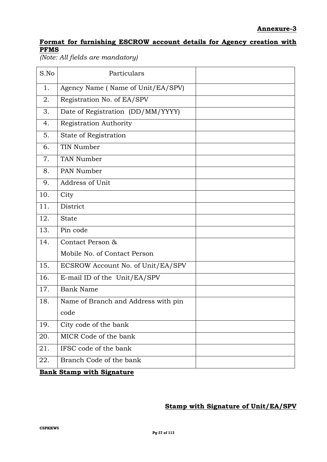## **Format for furnishing ESCROW account details for Agency creation with PFMS**

*(Note: All fields are mandatory)*

| S.No | Particulars                         |  |
|------|-------------------------------------|--|
| 1.   | Agency Name (Name of Unit/EA/SPV)   |  |
| 2.   | Registration No. of EA/SPV          |  |
| 3.   | Date of Registration (DD/MM/YYYY)   |  |
| 4.   | Registration Authority              |  |
| 5.   | State of Registration               |  |
| 6.   | TIN Number                          |  |
| 7.   | TAN Number                          |  |
| 8.   | PAN Number                          |  |
| 9.   | Address of Unit                     |  |
| 10.  | City                                |  |
| 11.  | District                            |  |
| 12.  | <b>State</b>                        |  |
| 13.  | Pin code                            |  |
| 14.  | Contact Person &                    |  |
|      | Mobile No. of Contact Person        |  |
| 15.  | ECSROW Account No. of Unit/EA/SPV   |  |
| 16.  | E-mail ID of the Unit/EA/SPV        |  |
| 17.  | <b>Bank Name</b>                    |  |
| 18.  | Name of Branch and Address with pin |  |
|      | code                                |  |
| 19.  | City code of the bank               |  |
| 20.  | MICR Code of the bank               |  |
| 21.  | IFSC code of the bank               |  |
| 22.  | Branch Code of the bank             |  |

**Bank Stamp with Signature**

### **Stamp with Signature of Unit/EA/SPV**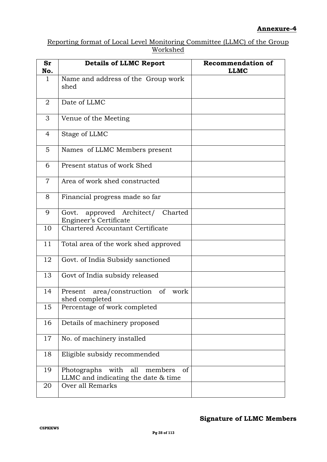#### Reporting format of Local Level Monitoring Committee (LLMC) of the Group Workshed

| <b>Sr</b><br>No. | <b>Details of LLMC Report</b>                                                      | <b>Recommendation of</b><br><b>LLMC</b> |
|------------------|------------------------------------------------------------------------------------|-----------------------------------------|
| $\mathbf{1}$     | Name and address of the Group work<br>shed                                         |                                         |
| 2                | Date of LLMC                                                                       |                                         |
| 3                | Venue of the Meeting                                                               |                                         |
| $\overline{4}$   | Stage of LLMC                                                                      |                                         |
| 5                | Names of LLMC Members present                                                      |                                         |
| 6                | Present status of work Shed                                                        |                                         |
| $\overline{7}$   | Area of work shed constructed                                                      |                                         |
| 8                | Financial progress made so far                                                     |                                         |
| 9                | approved Architect/ Charted<br>Govt.<br>Engineer's Certificate                     |                                         |
| 10               | <b>Chartered Accountant Certificate</b>                                            |                                         |
| 11               | Total area of the work shed approved                                               |                                         |
| 12               | Govt. of India Subsidy sanctioned                                                  |                                         |
| 13               | Govt of India subsidy released                                                     |                                         |
| 14               | area/construction<br>of<br>work<br>Present<br>shed completed                       |                                         |
| 15               | Percentage of work completed                                                       |                                         |
| 16               | Details of machinery proposed                                                      |                                         |
| 17               | No. of machinery installed                                                         |                                         |
| 18               | Eligible subsidy recommended                                                       |                                         |
| 19               | Photographs<br>members<br>of<br>with<br>all<br>LLMC and indicating the date & time |                                         |
| 20               | Over all Remarks                                                                   |                                         |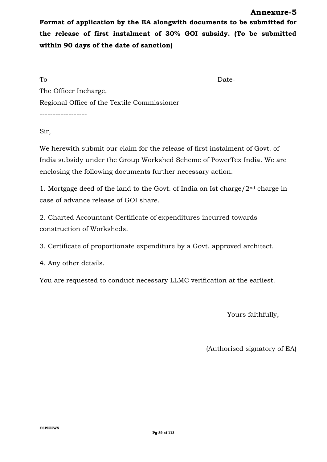#### **Annexure-5**

**Format of application by the EA alongwith documents to be submitted for the release of first instalment of 30% GOI subsidy. (To be submitted within 90 days of the date of sanction)**

To Date-The Officer Incharge, Regional Office of the Textile Commissioner

------------------

Sir,

We herewith submit our claim for the release of first instalment of Govt. of India subsidy under the Group Workshed Scheme of PowerTex India. We are enclosing the following documents further necessary action.

1. Mortgage deed of the land to the Govt. of India on Ist charge/ $2<sup>nd</sup>$  charge in case of advance release of GOI share.

2. Charted Accountant Certificate of expenditures incurred towards construction of Worksheds.

3. Certificate of proportionate expenditure by a Govt. approved architect.

4. Any other details.

You are requested to conduct necessary LLMC verification at the earliest.

Yours faithfully,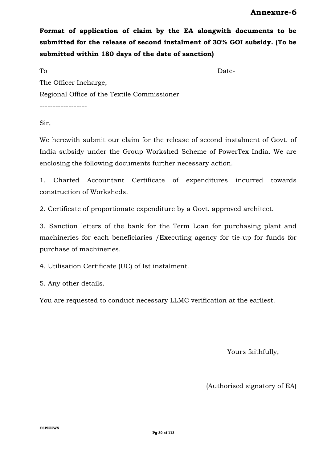**Format of application of claim by the EA alongwith documents to be submitted for the release of second instalment of 30% GOI subsidy. (To be submitted within 180 days of the date of sanction)**

To Date-The Officer Incharge, Regional Office of the Textile Commissioner

------------------

Sir,

We herewith submit our claim for the release of second instalment of Govt. of India subsidy under the Group Workshed Scheme of PowerTex India. We are enclosing the following documents further necessary action.

1. Charted Accountant Certificate of expenditures incurred towards construction of Worksheds.

2. Certificate of proportionate expenditure by a Govt. approved architect.

3. Sanction letters of the bank for the Term Loan for purchasing plant and machineries for each beneficiaries /Executing agency for tie-up for funds for purchase of machineries.

4. Utilisation Certificate (UC) of Ist instalment.

5. Any other details.

You are requested to conduct necessary LLMC verification at the earliest.

Yours faithfully,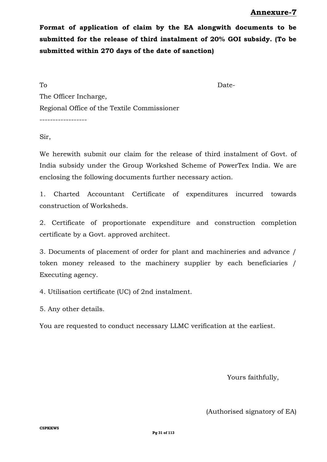**Format of application of claim by the EA alongwith documents to be submitted for the release of third instalment of 20% GOI subsidy. (To be submitted within 270 days of the date of sanction)**

To Date-The Officer Incharge, Regional Office of the Textile Commissioner ------------------

Sir,

We herewith submit our claim for the release of third instalment of Govt. of India subsidy under the Group Workshed Scheme of PowerTex India. We are enclosing the following documents further necessary action.

1. Charted Accountant Certificate of expenditures incurred towards construction of Worksheds.

2. Certificate of proportionate expenditure and construction completion certificate by a Govt. approved architect.

3. Documents of placement of order for plant and machineries and advance / token money released to the machinery supplier by each beneficiaries / Executing agency.

4. Utilisation certificate (UC) of 2nd instalment.

5. Any other details.

You are requested to conduct necessary LLMC verification at the earliest.

Yours faithfully,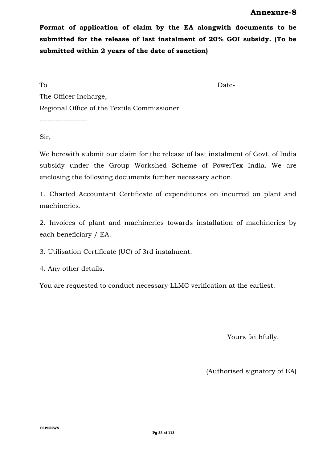**Format of application of claim by the EA alongwith documents to be submitted for the release of last instalment of 20% GOI subsidy. (To be submitted within 2 years of the date of sanction)**

To Date-The Officer Incharge, Regional Office of the Textile Commissioner ------------------

Sir,

We herewith submit our claim for the release of last instalment of Govt. of India subsidy under the Group Workshed Scheme of PowerTex India. We are enclosing the following documents further necessary action.

1. Charted Accountant Certificate of expenditures on incurred on plant and machineries.

2. Invoices of plant and machineries towards installation of machineries by each beneficiary / EA.

3. Utilisation Certificate (UC) of 3rd instalment.

4. Any other details.

You are requested to conduct necessary LLMC verification at the earliest.

Yours faithfully,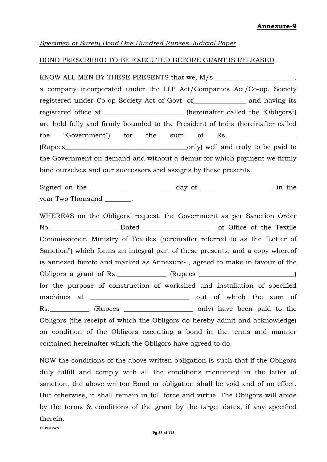#### *Specimen of Surety Bond One Hundred Rupees Judicial Paper*

#### BOND PRESCRIBED TO BE EXECUTED BEFORE GRANT IS RELEASED

KNOW ALL MEN BY THESE PRESENTS that we, M/s \_\_\_\_\_\_\_\_\_\_\_\_\_\_\_\_\_\_\_\_\_\_\_\_, a company incorporated under the LLP Act/Companies Act/Co-op. Society registered under Co-op Society Act of Govt. of\_\_\_\_\_\_\_\_\_\_\_\_\_\_\_\_ and having its registered office at \_\_\_\_\_\_\_\_\_\_\_\_\_\_\_\_\_\_\_\_\_ (hereinafter called the "Obligors") are held fully and firmly bounded to the President of India (hereinafter called the "Government") for the sum of Rs. (Rupees\_\_\_\_\_\_\_\_\_\_\_\_\_\_\_\_\_\_\_\_\_\_\_\_\_\_\_\_\_\_\_\_\_\_\_\_\_only) well and truly to be paid to the Government on demand and without a demur for which payment we firmly bind ourselves and our successors and assigns by these presents.

Signed on the \_\_\_\_\_\_\_\_\_\_\_\_\_\_\_\_\_\_\_\_\_\_\_\_\_ day of \_\_\_\_\_\_\_\_\_\_\_\_\_\_\_\_\_\_\_\_\_\_ in the year Two Thousand \_\_\_\_\_\_\_.

WHEREAS on the Obligors' request, the Government as per Sanction Order No.\_\_\_\_\_\_\_\_\_\_\_\_\_\_\_\_\_\_\_\_ Dated \_\_\_\_\_\_\_\_\_\_\_\_\_\_\_\_\_\_\_\_ of Office of the Textile Commissioner, Ministry of Textiles (hereinafter referred to as the "Letter of Sanction") which forms an integral part of these presents, and a copy whereof is annexed hereto and marked as Annexure-I, agreed to make in favour of the Obligors a grant of Rs. \_\_\_\_\_\_\_\_\_\_\_\_\_ (Rupees \_\_\_\_\_\_\_\_\_\_\_\_\_\_\_\_\_\_\_\_\_\_\_\_\_\_\_\_\_\_\_\_\_\_) for the purpose of construction of workshed and installation of specified machines at \_\_\_\_\_\_\_\_\_\_\_\_\_\_\_\_\_\_\_\_\_\_\_\_\_\_\_\_\_\_ out of which the sum of Rs. \_\_\_\_\_\_\_\_\_\_\_\_ (Rupees \_\_\_\_\_\_\_\_\_\_\_\_\_\_\_\_\_\_\_\_\_\_\_\_\_ only) have been paid to the Obligors (the receipt of which the Obligors do hereby admit and acknowledge) on condition of the Obligors executing a bond in the terms and manner contained hereinafter which the Obligors have agreed to do.

NOW the conditions of the above written obligation is such that if the Obligors duly fulfill and comply with all the conditions mentioned in the letter of sanction, the above written Bond or obligation shall be void and of no effect. But otherwise, it shall remain in full force and virtue. The Obligors will abide by the terms & conditions of the grant by the target dates, if any specified therein.

**CSPKKWS**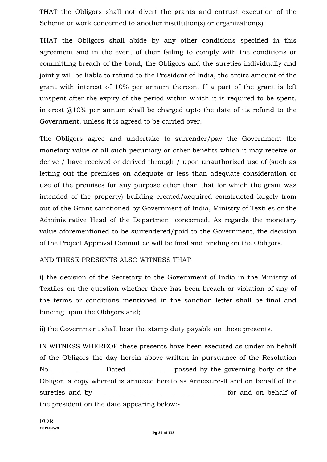THAT the Obligors shall not divert the grants and entrust execution of the Scheme or work concerned to another institution(s) or organization(s).

THAT the Obligors shall abide by any other conditions specified in this agreement and in the event of their failing to comply with the conditions or committing breach of the bond, the Obligors and the sureties individually and jointly will be liable to refund to the President of India, the entire amount of the grant with interest of 10% per annum thereon. If a part of the grant is left unspent after the expiry of the period within which it is required to be spent, interest @10% per annum shall be charged upto the date of its refund to the Government, unless it is agreed to be carried over.

The Obligors agree and undertake to surrender/pay the Government the monetary value of all such pecuniary or other benefits which it may receive or derive / have received or derived through / upon unauthorized use of (such as letting out the premises on adequate or less than adequate consideration or use of the premises for any purpose other than that for which the grant was intended of the property) building created/acquired constructed largely from out of the Grant sanctioned by Government of India, Ministry of Textiles or the Administrative Head of the Department concerned. As regards the monetary value aforementioned to be surrendered/paid to the Government, the decision of the Project Approval Committee will be final and binding on the Obligors.

## AND THESE PRESENTS ALSO WITNESS THAT

i) the decision of the Secretary to the Government of India in the Ministry of Textiles on the question whether there has been breach or violation of any of the terms or conditions mentioned in the sanction letter shall be final and binding upon the Obligors and;

ii) the Government shall bear the stamp duty payable on these presents.

IN WITNESS WHEREOF these presents have been executed as under on behalf of the Obligors the day herein above written in pursuance of the Resolution No. 2012 Dated Dated passed by the governing body of the Obligor, a copy whereof is annexed hereto as Annexure-II and on behalf of the sureties and by \_\_\_\_\_\_\_\_\_\_\_\_\_\_\_\_\_\_\_\_\_\_\_\_\_\_\_\_\_\_\_\_\_\_\_\_\_\_\_ for and on behalf of the president on the date appearing below:-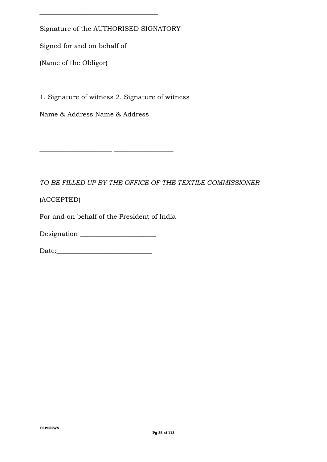Signature of the AUTHORISED SIGNATORY

\_\_\_\_\_\_\_\_\_\_\_\_\_\_\_\_\_\_\_\_\_\_\_\_\_\_\_\_\_\_\_\_\_\_\_\_

Signed for and on behalf of

(Name of the Obligor)

1. Signature of witness 2. Signature of witness

\_\_\_\_\_\_\_\_\_\_\_\_\_\_\_\_\_\_\_\_\_\_ \_\_\_\_\_\_\_\_\_\_\_\_\_\_\_\_\_\_

 $\overline{\phantom{a}}$  , and the set of the set of the set of the set of the set of the set of the set of the set of the set of the set of the set of the set of the set of the set of the set of the set of the set of the set of the s

Name & Address Name & Address

#### *TO BE FILLED UP BY THE OFFICE OF THE TEXTILE COMMISSIONER*

(ACCEPTED)

For and on behalf of the President of India

Designation \_\_\_\_\_\_\_\_\_\_\_\_\_\_\_\_\_\_\_\_\_\_\_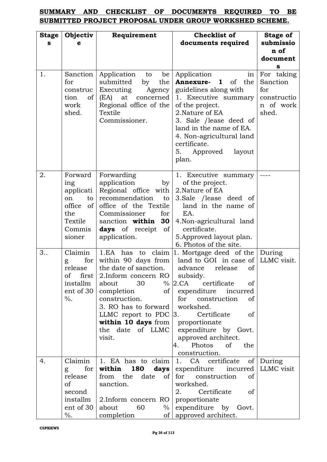## **SUMMARY AND CHECKLIST OF DOCUMENTS REQUIRED TO BE SUBMITTED PROJECT PROPOSAL UNDER GROUP WORKSHED SCHEME.**

| <b>Stage</b> | Objectiv                                                                                                  | <b>Checklist of</b><br>Requirement                                                                                                                                                                                                                        |                                                                                                                                                                                                                                                                                                                                              | Stage of                                                           |
|--------------|-----------------------------------------------------------------------------------------------------------|-----------------------------------------------------------------------------------------------------------------------------------------------------------------------------------------------------------------------------------------------------------|----------------------------------------------------------------------------------------------------------------------------------------------------------------------------------------------------------------------------------------------------------------------------------------------------------------------------------------------|--------------------------------------------------------------------|
| S            |                                                                                                           |                                                                                                                                                                                                                                                           | documents required                                                                                                                                                                                                                                                                                                                           | submissio<br>n of                                                  |
|              |                                                                                                           |                                                                                                                                                                                                                                                           |                                                                                                                                                                                                                                                                                                                                              | document                                                           |
|              |                                                                                                           |                                                                                                                                                                                                                                                           |                                                                                                                                                                                                                                                                                                                                              | s                                                                  |
| 1.           | Sanction<br>for<br>construc<br>tion<br>of  <br>work<br>shed.                                              | Application<br>be<br>to<br>submitted<br>the<br>by<br>Executing<br>Agency<br>(EA)<br>at concerned<br>Regional office of the<br>Textile<br>Commissioner.                                                                                                    | Application<br>in<br>of the<br>Annexure-<br>$\mathbf{1}$<br>guidelines along with<br>1. Executive summary<br>of the project.<br>2. Nature of EA<br>3. Sale / lease deed of<br>land in the name of EA.<br>4. Non-agricultural land<br>certificate.<br>5.<br>Approved<br>layout<br>plan.                                                       | For taking<br>Sanction<br>for<br>constructio<br>n of work<br>shed. |
| 2.           | Forward<br>ing<br>applicati<br>$\mathsf{to}$<br>on<br>$office$ of<br>the<br>Textile<br>Commis  <br>sioner | Forwarding<br>application<br>by <sub>l</sub><br>Regional office with<br>recommendation<br>to<br>office of the Textile<br>Commissioner<br>for<br>sanction within $30$<br><b>days</b> of receipt of<br>application.                                         | 1. Executive summary<br>of the project.<br>2. Nature of EA<br>3.Sale /lease deed of<br>land in the name of<br>EA.<br>4. Non-agricultural land<br>certificate.<br>5. Approved layout plan.<br>6. Photos of the site.                                                                                                                          |                                                                    |
| 3.           | Claimin<br>for $ $<br>g<br>release<br>$first \mid$<br>οf<br>installm<br>ent of 30<br>$\%$ .               | within 90 days from<br>the date of sanction.<br>2. Inform concern RO subsidy.<br>30<br>about<br>completion<br>of<br>construction.<br>3. RO has to forward<br>LLMC report to PDC $ 3$ .<br>within 10 days from proportionate<br>the date of LLMC<br>visit. | 1.EA has to claim $ 1$ . Mortgage deed of the<br>land to GOI in case of<br>advance<br>release<br><sub>of</sub><br>$\%$ 2.CA<br>certificate<br>οf<br>expenditure incurred<br>for construction<br>of<br>workshed.<br>Certificate<br><sub>of</sub><br>expenditure by Govt.<br>approved architect.<br>Photos<br>of<br>4.<br>the<br>construction. | During<br>LLMC visit.                                              |
| 4.           | Claimin<br>for $ $<br>g<br>release<br>of<br>second<br>installm  <br>ent of 30<br>$\%$ .                   | 1. EA has to claim<br>within<br>from the<br>of  <br>date<br>sanction.<br>2. Inform concern RO<br>about<br>60<br>$\%$<br>completion<br>$\sigma$                                                                                                            | 1.<br>CA certificate<br><b>180 days</b> expenditure incurred<br>for construction<br>οf<br>workshed.<br>2.<br>Certificate<br>of<br>proportionate<br>expenditure by Govt.<br>approved architect.                                                                                                                                               | of During<br>LLMC visit                                            |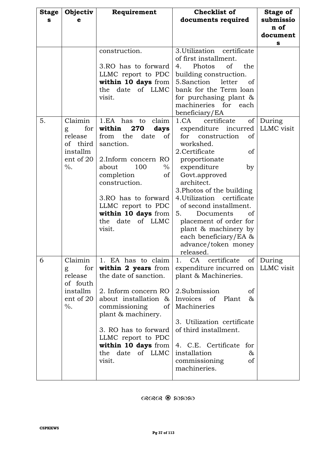| <b>Stage</b> | Objectiv              | Requirement                          | <b>Checklist of</b>          | <b>Stage of</b> |
|--------------|-----------------------|--------------------------------------|------------------------------|-----------------|
| s            | е                     |                                      | documents required           | submissio       |
|              |                       |                                      |                              | n of            |
|              |                       |                                      |                              | document        |
|              |                       |                                      |                              | s               |
|              |                       | construction.                        | 3. Utilization certificate   |                 |
|              |                       |                                      | of first installment.        |                 |
|              |                       | 3.RO has to forward                  | Photos<br>of<br>the<br>4.    |                 |
|              |                       | LLMC report to PDC                   | building construction.       |                 |
|              |                       | within 10 days from                  | 5.Sanction<br>letter<br>of   |                 |
|              |                       | the date of LLMC                     | bank for the Term loan       |                 |
|              |                       | visit.                               | for purchasing plant $\&$    |                 |
|              |                       |                                      | machineries for each         |                 |
|              |                       |                                      | beneficiary/EA               |                 |
| 5.           | Claimin               | 1.EA has<br>claim<br>to              | 1.CA<br>certificate<br>of    | During          |
|              | for <sub>l</sub><br>g | within<br>270<br>days                | expenditure incurred         | LLMC visit      |
|              | release               | from the<br>date<br><sub>of</sub>    | for<br>construction<br>οf    |                 |
|              | of third              | sanction.                            | workshed.                    |                 |
|              | installm              |                                      | 2.Certificate<br>of          |                 |
|              | ent of 20             | 2.Inform concern RO                  | proportionate                |                 |
|              | $\%$ .                | about<br>100<br>$\%$                 | expenditure<br>by            |                 |
|              |                       | completion<br>of                     | Govt.approved                |                 |
|              |                       | construction.                        | architect.                   |                 |
|              |                       |                                      | 3. Photos of the building    |                 |
|              |                       | 3.RO has to forward                  | 4. Utilization certificate   |                 |
|              |                       | LLMC report to PDC                   | of second installment.       |                 |
|              |                       | within 10 days from                  | 5.<br>Documents<br>of        |                 |
|              |                       | of LLMC<br>the date                  | placement of order for       |                 |
|              |                       | visit.                               | plant & machinery by         |                 |
|              |                       |                                      | each beneficiary/EA &        |                 |
|              |                       |                                      | advance/token money          |                 |
|              |                       |                                      | released.                    |                 |
| 6            | Claimin               | 1. EA has to claim                   | 1. CA certificate            | of During       |
|              | for<br>g              | within 2 years from                  | expenditure incurred on      | LLMC visit      |
|              | release               | the date of sanction.                | plant & Machineries.         |                 |
|              | of fouth              |                                      |                              |                 |
|              | installm              | 2. Inform concern RO   2. Submission | οf                           |                 |
|              | ent of 20             | about installation &                 | Invoices of<br>Plant<br>$\&$ |                 |
|              | $\%$ .                | commissioning<br>of                  | Machineries                  |                 |
|              |                       | plant & machinery.                   | 3. Utilization certificate   |                 |
|              |                       | 3. RO has to forward                 | of third installment.        |                 |
|              |                       | LLMC report to PDC                   |                              |                 |
|              |                       | within 10 days from                  | 4. C.E. Certificate for      |                 |
|              |                       | of LLMC<br>the date                  | installation<br>&            |                 |
|              |                       | visit.                               | commissioning<br>of          |                 |
|              |                       |                                      | machineries.                 |                 |
|              |                       |                                      |                              |                 |

 $\alpha$ ରାରେ କ୍ଷି କେନ୍ଦେ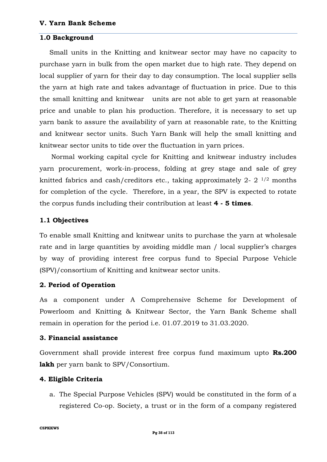#### **1.0 Background**

Small units in the Knitting and knitwear sector may have no capacity to purchase yarn in bulk from the open market due to high rate. They depend on local supplier of yarn for their day to day consumption. The local supplier sells the yarn at high rate and takes advantage of fluctuation in price. Due to this the small knitting and knitwear units are not able to get yarn at reasonable price and unable to plan his production. Therefore, it is necessary to set up yarn bank to assure the availability of yarn at reasonable rate, to the Knitting and knitwear sector units. Such Yarn Bank will help the small knitting and knitwear sector units to tide over the fluctuation in yarn prices.

Normal working capital cycle for Knitting and knitwear industry includes yarn procurement, work-in-process, folding at grey stage and sale of grey knitted fabrics and cash/creditors etc., taking approximately 2- 2 1/2 months for completion of the cycle. Therefore, in a year, the SPV is expected to rotate the corpus funds including their contribution at least **4 - 5 times**.

### **1.1 Objectives**

To enable small Knitting and knitwear units to purchase the yarn at wholesale rate and in large quantities by avoiding middle man / local supplier's charges by way of providing interest free corpus fund to Special Purpose Vehicle (SPV)/consortium of Knitting and knitwear sector units.

### **2. Period of Operation**

As a component under A Comprehensive Scheme for Development of Powerloom and Knitting & Knitwear Sector, the Yarn Bank Scheme shall remain in operation for the period i.e. 01.07.2019 to 31.03.2020.

#### **3. Financial assistance**

Government shall provide interest free corpus fund maximum upto **Rs.200 lakh** per yarn bank to SPV/Consortium.

#### **4. Eligible Criteria**

a. The Special Purpose Vehicles (SPV) would be constituted in the form of a registered Co-op. Society, a trust or in the form of a company registered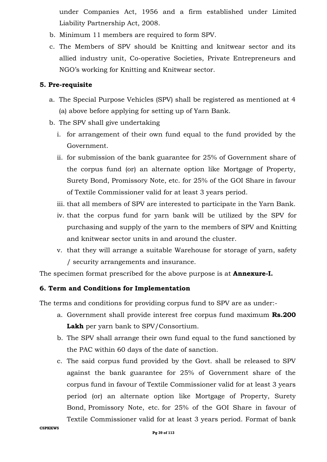under Companies Act, 1956 and a firm established under Limited Liability Partnership Act, 2008.

- b. Minimum 11 members are required to form SPV.
- c. The Members of SPV should be Knitting and knitwear sector and its allied industry unit, Co-operative Societies, Private Entrepreneurs and NGO's working for Knitting and Knitwear sector.

### **5. Pre-requisite**

- a. The Special Purpose Vehicles (SPV) shall be registered as mentioned at 4 (a) above before applying for setting up of Yarn Bank.
- b. The SPV shall give undertaking
	- i. for arrangement of their own fund equal to the fund provided by the Government.
	- ii. for submission of the bank guarantee for 25% of Government share of the corpus fund (or) an alternate option like Mortgage of Property, Surety Bond, Promissory Note, etc. for 25% of the GOI Share in favour of Textile Commissioner valid for at least 3 years period.
	- iii. that all members of SPV are interested to participate in the Yarn Bank.
	- iv. that the corpus fund for yarn bank will be utilized by the SPV for purchasing and supply of the yarn to the members of SPV and Knitting and knitwear sector units in and around the cluster.
	- v. that they will arrange a suitable Warehouse for storage of yarn, safety / security arrangements and insurance.

The specimen format prescribed for the above purpose is at **Annexure-I.**

### **6. Term and Conditions for Implementation**

The terms and conditions for providing corpus fund to SPV are as under:-

- a. Government shall provide interest free corpus fund maximum **Rs.200 Lakh** per yarn bank to SPV/Consortium.
- b. The SPV shall arrange their own fund equal to the fund sanctioned by the PAC within 60 days of the date of sanction.
- c. The said corpus fund provided by the Govt. shall be released to SPV against the bank guarantee for 25% of Government share of the corpus fund in favour of Textile Commissioner valid for at least 3 years period (or) an alternate option like Mortgage of Property, Surety Bond, Promissory Note, etc. for 25% of the GOI Share in favour of Textile Commissioner valid for at least 3 years period. Format of bank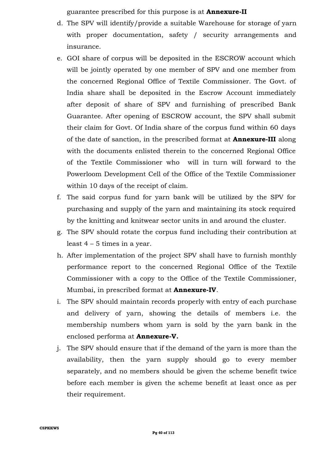guarantee prescribed for this purpose is at **Annexure-II**

- d. The SPV will identify/provide a suitable Warehouse for storage of yarn with proper documentation, safety / security arrangements and insurance.
- e. GOI share of corpus will be deposited in the ESCROW account which will be jointly operated by one member of SPV and one member from the concerned Regional Office of Textile Commissioner. The Govt. of India share shall be deposited in the Escrow Account immediately after deposit of share of SPV and furnishing of prescribed Bank Guarantee. After opening of ESCROW account, the SPV shall submit their claim for Govt. Of India share of the corpus fund within 60 days of the date of sanction, in the prescribed format at **Annexure-III** along with the documents enlisted therein to the concerned Regional Office of the Textile Commissioner who will in turn will forward to the Powerloom Development Cell of the Office of the Textile Commissioner within 10 days of the receipt of claim.
- f. The said corpus fund for yarn bank will be utilized by the SPV for purchasing and supply of the yarn and maintaining its stock required by the knitting and knitwear sector units in and around the cluster.
- g. The SPV should rotate the corpus fund including their contribution at least 4 – 5 times in a year.
- h. After implementation of the project SPV shall have to furnish monthly performance report to the concerned Regional Office of the Textile Commissioner with a copy to the Office of the Textile Commissioner, Mumbai, in prescribed format at **Annexure-IV**.
- i. The SPV should maintain records properly with entry of each purchase and delivery of yarn, showing the details of members i.e. the membership numbers whom yarn is sold by the yarn bank in the enclosed performa at **Annexure-V.**
- j. The SPV should ensure that if the demand of the yarn is more than the availability, then the yarn supply should go to every member separately, and no members should be given the scheme benefit twice before each member is given the scheme benefit at least once as per their requirement.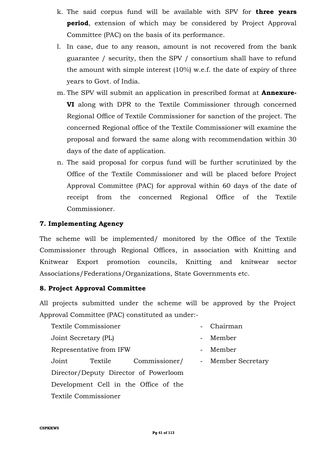- k. The said corpus fund will be available with SPV for **three years period**, extension of which may be considered by Project Approval Committee (PAC) on the basis of its performance.
- l. In case, due to any reason, amount is not recovered from the bank guarantee / security, then the SPV / consortium shall have to refund the amount with simple interest (10%) w.e.f. the date of expiry of three years to Govt. of India.
- m. The SPV will submit an application in prescribed format at **Annexure-VI** along with DPR to the Textile Commissioner through concerned Regional Office of Textile Commissioner for sanction of the project. The concerned Regional office of the Textile Commissioner will examine the proposal and forward the same along with recommendation within 30 days of the date of application.
- n. The said proposal for corpus fund will be further scrutinized by the Office of the Textile Commissioner and will be placed before Project Approval Committee (PAC) for approval within 60 days of the date of receipt from the concerned Regional Office of the Textile Commissioner.

## **7. Implementing Agency**

The scheme will be implemented/ monitored by the Office of the Textile Commissioner through Regional Offices, in association with Knitting and Knitwear Export promotion councils, Knitting and knitwear sector Associations/Federations/Organizations, State Governments etc.

## **8. Project Approval Committee**

All projects submitted under the scheme will be approved by the Project Approval Committee (PAC) constituted as under:-

Textile Commissioner - Chairman Joint Secretary (PL) - Member Representative from IFW The Representative from IFW Joint Textile Commissioner/ Director/Deputy Director of Powerloom Development Cell in the Office of the Textile Commissioner - Member Secretary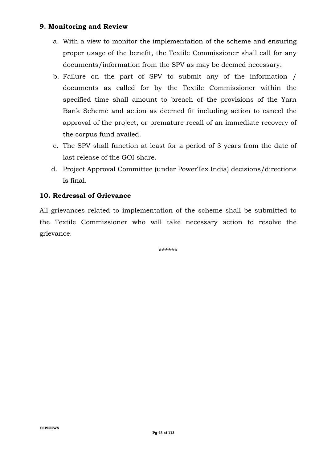### **9. Monitoring and Review**

- a. With a view to monitor the implementation of the scheme and ensuring proper usage of the benefit, the Textile Commissioner shall call for any documents/information from the SPV as may be deemed necessary.
- b. Failure on the part of SPV to submit any of the information / documents as called for by the Textile Commissioner within the specified time shall amount to breach of the provisions of the Yarn Bank Scheme and action as deemed fit including action to cancel the approval of the project, or premature recall of an immediate recovery of the corpus fund availed.
- c. The SPV shall function at least for a period of 3 years from the date of last release of the GOI share.
- d. Project Approval Committee (under PowerTex India) decisions/directions is final.

### **10. Redressal of Grievance**

All grievances related to implementation of the scheme shall be submitted to the Textile Commissioner who will take necessary action to resolve the grievance.

\*\*\*\*\*\*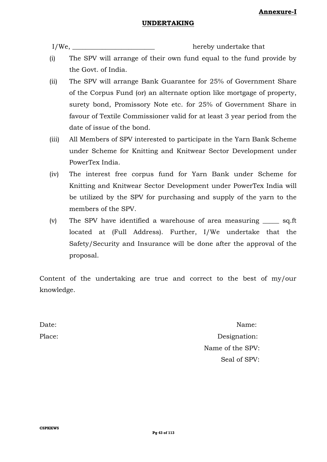#### **UNDERTAKING**

I/We, hereby undertake that

- (i) The SPV will arrange of their own fund equal to the fund provide by the Govt. of India.
- (ii) The SPV will arrange Bank Guarantee for 25% of Government Share of the Corpus Fund (or) an alternate option like mortgage of property, surety bond, Promissory Note etc. for 25% of Government Share in favour of Textile Commissioner valid for at least 3 year period from the date of issue of the bond.
- (iii) All Members of SPV interested to participate in the Yarn Bank Scheme under Scheme for Knitting and Knitwear Sector Development under PowerTex India.
- (iv) The interest free corpus fund for Yarn Bank under Scheme for Knitting and Knitwear Sector Development under PowerTex India will be utilized by the SPV for purchasing and supply of the yarn to the members of the SPV.
- (v) The SPV have identified a warehouse of area measuring \_\_\_\_\_ sq.ft located at (Full Address). Further, I/We undertake that the Safety/Security and Insurance will be done after the approval of the proposal.

Content of the undertaking are true and correct to the best of my/our knowledge.

Date: Name: Place: Designation: Name of the SPV: Seal of SPV: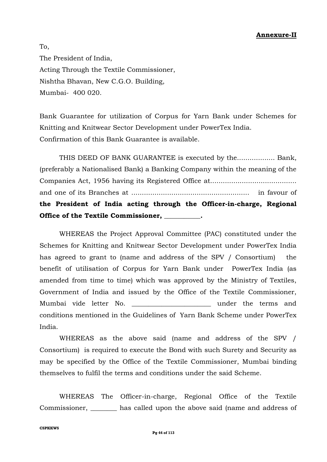### **Annexure-II**

To, The President of India, Acting Through the Textile Commissioner, Nishtha Bhavan, New C.G.O. Building, Mumbai- 400 020.

Bank Guarantee for utilization of Corpus for Yarn Bank under Schemes for Knitting and Knitwear Sector Development under PowerTex India. Confirmation of this Bank Guarantee is available.

THIS DEED OF BANK GUARANTEE is executed by the.................. Bank, (preferably a Nationalised Bank) a Banking Company within the meaning of the Companies Act, 1956 having its Registered Office at......................................... and one of its Branches at ........................................................ in favour of **the President of India acting through the Officer-in-charge, Regional Office of the Textile Commissioner, \_\_\_\_\_\_\_\_\_\_\_.**

WHEREAS the Project Approval Committee (PAC) constituted under the Schemes for Knitting and Knitwear Sector Development under PowerTex India has agreed to grant to (name and address of the SPV / Consortium) the benefit of utilisation of Corpus for Yarn Bank under PowerTex India (as amended from time to time) which was approved by the Ministry of Textiles, Government of India and issued by the Office of the Textile Commissioner, Mumbai vide letter No. \_\_\_\_\_\_\_\_\_\_\_\_\_\_\_\_\_\_\_\_\_\_\_\_ under the terms and conditions mentioned in the Guidelines of Yarn Bank Scheme under PowerTex India.

WHEREAS as the above said (name and address of the SPV / Consortium) is required to execute the Bond with such Surety and Security as may be specified by the Office of the Textile Commissioner, Mumbai binding themselves to fulfil the terms and conditions under the said Scheme.

WHEREAS The Officer-in-charge, Regional Office of the Textile Commissioner, \_\_\_\_\_\_\_\_ has called upon the above said (name and address of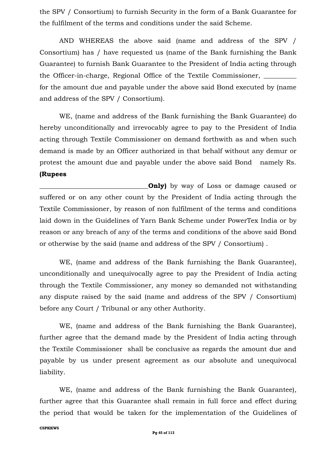the SPV / Consortium) to furnish Security in the form of a Bank Guarantee for the fulfilment of the terms and conditions under the said Scheme.

AND WHEREAS the above said (name and address of the SPV / Consortium) has / have requested us (name of the Bank furnishing the Bank Guarantee) to furnish Bank Guarantee to the President of India acting through the Officer-in-charge, Regional Office of the Textile Commissioner, \_\_\_\_\_\_\_\_\_\_ for the amount due and payable under the above said Bond executed by (name and address of the SPV / Consortium).

WE, (name and address of the Bank furnishing the Bank Guarantee) do hereby unconditionally and irrevocably agree to pay to the President of India acting through Textile Commissioner on demand forthwith as and when such demand is made by an Officer authorized in that behalf without any demur or protest the amount due and payable under the above said Bond namely Rs. **(Rupees** 

**\_Only)** by way of Loss or damage caused or suffered or on any other count by the President of India acting through the Textile Commissioner, by reason of non fulfilment of the terms and conditions laid down in the Guidelines of Yarn Bank Scheme under PowerTex India or by reason or any breach of any of the terms and conditions of the above said Bond or otherwise by the said (name and address of the SPV / Consortium) .

WE, (name and address of the Bank furnishing the Bank Guarantee), unconditionally and unequivocally agree to pay the President of India acting through the Textile Commissioner, any money so demanded not withstanding any dispute raised by the said (name and address of the SPV / Consortium) before any Court / Tribunal or any other Authority.

WE, (name and address of the Bank furnishing the Bank Guarantee), further agree that the demand made by the President of India acting through the Textile Commissioner shall be conclusive as regards the amount due and payable by us under present agreement as our absolute and unequivocal liability.

WE, (name and address of the Bank furnishing the Bank Guarantee), further agree that this Guarantee shall remain in full force and effect during the period that would be taken for the implementation of the Guidelines of

#### **CSPKKWS**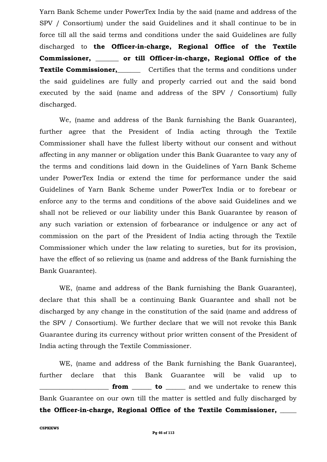Yarn Bank Scheme under PowerTex India by the said (name and address of the SPV / Consortium) under the said Guidelines and it shall continue to be in force till all the said terms and conditions under the said Guidelines are fully discharged to **the Officer-in-charge, Regional Office of the Textile Commissioner, \_\_\_\_\_\_\_ or till Officer-in-charge, Regional Office of the Textile Commissioner, Certifies that the terms and conditions under** the said guidelines are fully and properly carried out and the said bond executed by the said (name and address of the SPV / Consortium) fully discharged.

We, (name and address of the Bank furnishing the Bank Guarantee), further agree that the President of India acting through the Textile Commissioner shall have the fullest liberty without our consent and without affecting in any manner or obligation under this Bank Guarantee to vary any of the terms and conditions laid down in the Guidelines of Yarn Bank Scheme under PowerTex India or extend the time for performance under the said Guidelines of Yarn Bank Scheme under PowerTex India or to forebear or enforce any to the terms and conditions of the above said Guidelines and we shall not be relieved or our liability under this Bank Guarantee by reason of any such variation or extension of forbearance or indulgence or any act of commission on the part of the President of India acting through the Textile Commissioner which under the law relating to sureties, but for its provision, have the effect of so relieving us (name and address of the Bank furnishing the Bank Guarantee).

WE, (name and address of the Bank furnishing the Bank Guarantee), declare that this shall be a continuing Bank Guarantee and shall not be discharged by any change in the constitution of the said (name and address of the SPV / Consortium). We further declare that we will not revoke this Bank Guarantee during its currency without prior written consent of the President of India acting through the Textile Commissioner.

WE, (name and address of the Bank furnishing the Bank Guarantee), further declare that this Bank Guarantee will be valid up to **from to example 1** and we undertake to renew this Bank Guarantee on our own till the matter is settled and fully discharged by **the Officer-in-charge, Regional Office of the Textile Commissioner, \_\_\_\_\_**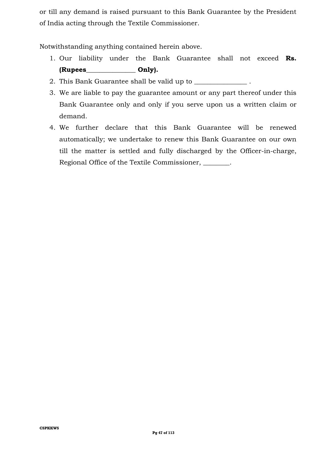or till any demand is raised pursuant to this Bank Guarantee by the President of India acting through the Textile Commissioner.

Notwithstanding anything contained herein above.

- 1. Our liability under the Bank Guarantee shall not exceed **Rs. (Rupees\_\_\_\_\_\_\_\_\_\_\_\_\_\_\_ Only).**
- 2. This Bank Guarantee shall be valid up to
- 3. We are liable to pay the guarantee amount or any part thereof under this Bank Guarantee only and only if you serve upon us a written claim or demand.
- 4. We further declare that this Bank Guarantee will be renewed automatically; we undertake to renew this Bank Guarantee on our own till the matter is settled and fully discharged by the Officer-in-charge, Regional Office of the Textile Commissioner, \_\_\_\_\_\_\_\_.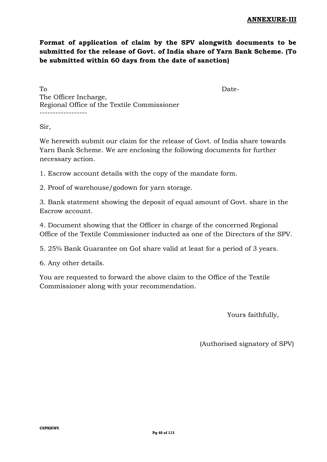**Format of application of claim by the SPV alongwith documents to be submitted for the release of Govt. of India share of Yarn Bank Scheme. (To be submitted within 60 days from the date of sanction)**

To Date-The Officer Incharge, Regional Office of the Textile Commissioner ------------------

Sir,

We herewith submit our claim for the release of Govt. of India share towards Yarn Bank Scheme. We are enclosing the following documents for further necessary action.

1. Escrow account details with the copy of the mandate form.

2. Proof of warehouse/godown for yarn storage.

3. Bank statement showing the deposit of equal amount of Govt. share in the Escrow account.

4. Document showing that the Officer in charge of the concerned Regional Office of the Textile Commissioner inducted as one of the Directors of the SPV.

5. 25% Bank Guarantee on GoI share valid at least for a period of 3 years.

6. Any other details.

You are requested to forward the above claim to the Office of the Textile Commissioner along with your recommendation.

Yours faithfully,

(Authorised signatory of SPV)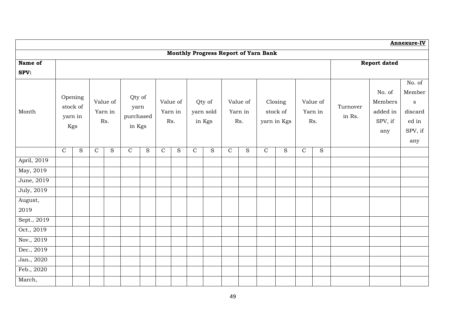|             |               |                                       |               |                            |                                       |   |             |                     |             |                               |             |                            |                                      |                                    |             |                            |                    |                                          | Annexure-IV                                          |
|-------------|---------------|---------------------------------------|---------------|----------------------------|---------------------------------------|---|-------------|---------------------|-------------|-------------------------------|-------------|----------------------------|--------------------------------------|------------------------------------|-------------|----------------------------|--------------------|------------------------------------------|------------------------------------------------------|
|             |               |                                       |               |                            |                                       |   |             |                     |             |                               |             |                            | Monthly Progress Report of Yarn Bank |                                    |             |                            |                    |                                          |                                                      |
| Name of     |               |                                       |               |                            |                                       |   |             |                     |             |                               |             |                            |                                      |                                    |             |                            |                    | <b>Report dated</b>                      |                                                      |
| SPV:        |               |                                       |               |                            |                                       |   |             |                     |             |                               |             |                            |                                      |                                    |             |                            |                    |                                          |                                                      |
| Month       |               | Opening<br>stock of<br>yarn in<br>Kgs |               | Value of<br>Yarn in<br>Rs. | Qty of<br>yarn<br>purchased<br>in Kgs |   | Rs.         | Value of<br>Yarn in |             | Qty of<br>yarn sold<br>in Kgs |             | Value of<br>Yarn in<br>Rs. |                                      | Closing<br>stock of<br>yarn in Kgs |             | Value of<br>Yarn in<br>Rs. | Turnover<br>in Rs. | No. of<br>Members<br>added in<br>SPV, if | No. of<br>Member<br>$\mathbf{s}$<br>discard<br>ed in |
|             |               |                                       |               |                            |                                       |   |             |                     |             |                               |             |                            |                                      |                                    |             |                            |                    | any                                      | SPV, if<br>any                                       |
|             | $\mathcal{C}$ | S                                     | $\mathcal{C}$ | S                          | $\mathbf C$                           | S | $\mathbf C$ | S                   | $\mathbf C$ | S                             | $\mathbf C$ | S                          | $\mathsf C$                          | ${\bf S}$                          | $\mathbf C$ | ${\bf S}$                  |                    |                                          |                                                      |
| April, 2019 |               |                                       |               |                            |                                       |   |             |                     |             |                               |             |                            |                                      |                                    |             |                            |                    |                                          |                                                      |
| May, 2019   |               |                                       |               |                            |                                       |   |             |                     |             |                               |             |                            |                                      |                                    |             |                            |                    |                                          |                                                      |
| June, 2019  |               |                                       |               |                            |                                       |   |             |                     |             |                               |             |                            |                                      |                                    |             |                            |                    |                                          |                                                      |
| July, 2019  |               |                                       |               |                            |                                       |   |             |                     |             |                               |             |                            |                                      |                                    |             |                            |                    |                                          |                                                      |
| August,     |               |                                       |               |                            |                                       |   |             |                     |             |                               |             |                            |                                      |                                    |             |                            |                    |                                          |                                                      |
| 2019        |               |                                       |               |                            |                                       |   |             |                     |             |                               |             |                            |                                      |                                    |             |                            |                    |                                          |                                                      |
| Sept., 2019 |               |                                       |               |                            |                                       |   |             |                     |             |                               |             |                            |                                      |                                    |             |                            |                    |                                          |                                                      |
| Oct., 2019  |               |                                       |               |                            |                                       |   |             |                     |             |                               |             |                            |                                      |                                    |             |                            |                    |                                          |                                                      |
| Nov., 2019  |               |                                       |               |                            |                                       |   |             |                     |             |                               |             |                            |                                      |                                    |             |                            |                    |                                          |                                                      |
| Dec., 2019  |               |                                       |               |                            |                                       |   |             |                     |             |                               |             |                            |                                      |                                    |             |                            |                    |                                          |                                                      |
| Jan., 2020  |               |                                       |               |                            |                                       |   |             |                     |             |                               |             |                            |                                      |                                    |             |                            |                    |                                          |                                                      |
| Feb., 2020  |               |                                       |               |                            |                                       |   |             |                     |             |                               |             |                            |                                      |                                    |             |                            |                    |                                          |                                                      |
| March,      |               |                                       |               |                            |                                       |   |             |                     |             |                               |             |                            |                                      |                                    |             |                            |                    |                                          |                                                      |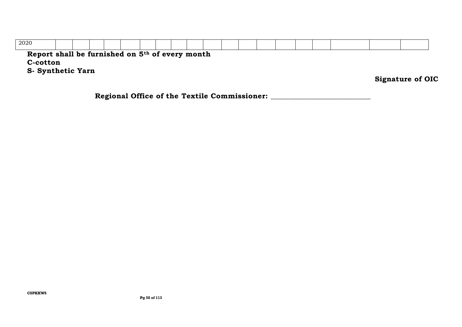| 2020                                                                    |  |  |  |  |  |  |  |  |  |                         |
|-------------------------------------------------------------------------|--|--|--|--|--|--|--|--|--|-------------------------|
| Report shall be furnished on 5 <sup>th</sup> of every month<br>C-cotton |  |  |  |  |  |  |  |  |  |                         |
| <b>S</b> - Synthetic Yarn                                               |  |  |  |  |  |  |  |  |  |                         |
|                                                                         |  |  |  |  |  |  |  |  |  | <b>Signature of OIC</b> |

**Regional Office of the Textile Commissioner: \_\_\_\_\_\_\_\_\_\_\_\_\_\_\_\_\_\_\_\_\_\_\_\_\_\_\_**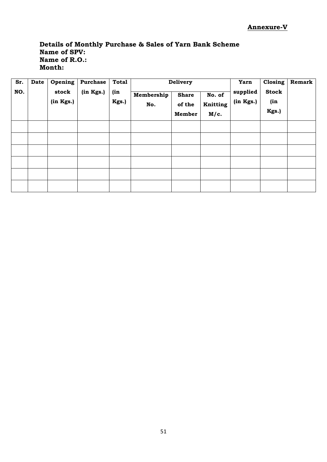## **Details of Monthly Purchase & Sales of Yarn Bank Scheme Name of SPV: Name of R.O.: Month:**

| Sr. | Date | Opening            | <b>Purchase</b> | <b>Total</b> |                   | Delivery                         |                            | Yarn                  | Closing                      | Remark |
|-----|------|--------------------|-----------------|--------------|-------------------|----------------------------------|----------------------------|-----------------------|------------------------------|--------|
| NO. |      | stock<br>(in Kgs.) | (in Kgs.)       | (in<br>Kgs.) | Membership<br>No. | <b>Share</b><br>of the<br>Member | No. of<br>Knitting<br>M/c. | supplied<br>(in Kgs.) | <b>Stock</b><br>(in<br>Kgs.) |        |
|     |      |                    |                 |              |                   |                                  |                            |                       |                              |        |
|     |      |                    |                 |              |                   |                                  |                            |                       |                              |        |
|     |      |                    |                 |              |                   |                                  |                            |                       |                              |        |
|     |      |                    |                 |              |                   |                                  |                            |                       |                              |        |
|     |      |                    |                 |              |                   |                                  |                            |                       |                              |        |
|     |      |                    |                 |              |                   |                                  |                            |                       |                              |        |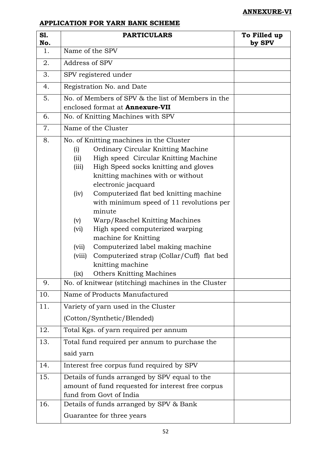## **ANNEXURE-VI**

## **APPLICATION FOR YARN BANK SCHEME**

| S1.<br>No. | <b>PARTICULARS</b>                                                                                                                                                                                                                                                                                                                                                                                                                                                                                                                                                         | To Filled up<br>by SPV |
|------------|----------------------------------------------------------------------------------------------------------------------------------------------------------------------------------------------------------------------------------------------------------------------------------------------------------------------------------------------------------------------------------------------------------------------------------------------------------------------------------------------------------------------------------------------------------------------------|------------------------|
| 1.         | Name of the SPV                                                                                                                                                                                                                                                                                                                                                                                                                                                                                                                                                            |                        |
| 2.         | Address of SPV                                                                                                                                                                                                                                                                                                                                                                                                                                                                                                                                                             |                        |
| 3.         | SPV registered under                                                                                                                                                                                                                                                                                                                                                                                                                                                                                                                                                       |                        |
| 4.         | Registration No. and Date                                                                                                                                                                                                                                                                                                                                                                                                                                                                                                                                                  |                        |
| 5.         | No. of Members of SPV & the list of Members in the                                                                                                                                                                                                                                                                                                                                                                                                                                                                                                                         |                        |
| 6.         | enclosed format at <b>Annexure-VII</b><br>No. of Knitting Machines with SPV                                                                                                                                                                                                                                                                                                                                                                                                                                                                                                |                        |
|            |                                                                                                                                                                                                                                                                                                                                                                                                                                                                                                                                                                            |                        |
| 7.         | Name of the Cluster                                                                                                                                                                                                                                                                                                                                                                                                                                                                                                                                                        |                        |
| 8.         | No. of Knitting machines in the Cluster<br>Ordinary Circular Knitting Machine<br>(i)<br>High speed Circular Knitting Machine<br>(ii)<br>High Speed socks knitting and gloves<br>(iii)<br>knitting machines with or without<br>electronic jacquard<br>Computerized flat bed knitting machine<br>(iv)<br>with minimum speed of 11 revolutions per<br>minute<br>Warp/Raschel Knitting Machines<br>(v)<br>High speed computerized warping<br>(vi)<br>machine for Knitting<br>Computerized label making machine<br>(vii)<br>Computerized strap (Collar/Cuff) flat bed<br>(viii) |                        |
|            | knitting machine<br><b>Others Knitting Machines</b><br>(ix)                                                                                                                                                                                                                                                                                                                                                                                                                                                                                                                |                        |
| 9.         | No. of knitwear (stitching) machines in the Cluster                                                                                                                                                                                                                                                                                                                                                                                                                                                                                                                        |                        |
| 10.        | Name of Products Manufactured                                                                                                                                                                                                                                                                                                                                                                                                                                                                                                                                              |                        |
| 11.        | Variety of yarn used in the Cluster                                                                                                                                                                                                                                                                                                                                                                                                                                                                                                                                        |                        |
|            | (Cotton/Synthetic/Blended)                                                                                                                                                                                                                                                                                                                                                                                                                                                                                                                                                 |                        |
| 12.        | Total Kgs. of yarn required per annum                                                                                                                                                                                                                                                                                                                                                                                                                                                                                                                                      |                        |
| 13.        | Total fund required per annum to purchase the                                                                                                                                                                                                                                                                                                                                                                                                                                                                                                                              |                        |
|            | said yarn                                                                                                                                                                                                                                                                                                                                                                                                                                                                                                                                                                  |                        |
| 14.        | Interest free corpus fund required by SPV                                                                                                                                                                                                                                                                                                                                                                                                                                                                                                                                  |                        |
| 15.        | Details of funds arranged by SPV equal to the<br>amount of fund requested for interest free corpus<br>fund from Govt of India                                                                                                                                                                                                                                                                                                                                                                                                                                              |                        |
| 16.        | Details of funds arranged by SPV & Bank                                                                                                                                                                                                                                                                                                                                                                                                                                                                                                                                    |                        |
|            | Guarantee for three years                                                                                                                                                                                                                                                                                                                                                                                                                                                                                                                                                  |                        |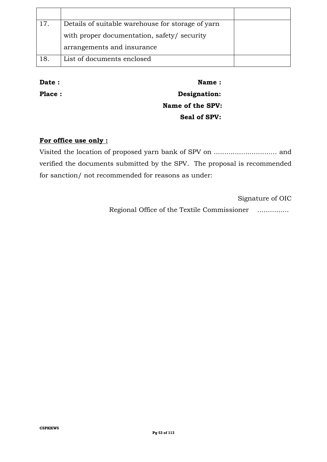| 17  | Details of suitable warehouse for storage of yarn |  |
|-----|---------------------------------------------------|--|
|     | with proper documentation, safety/ security       |  |
|     | arrangements and insurance                        |  |
| 18. | List of documents enclosed                        |  |

**Date : Name : Name :** 

Place : **Designation: Name of the SPV: Seal of SPV:**

### **For office use only :**

Visited the location of proposed yarn bank of SPV on .............................. and verified the documents submitted by the SPV. The proposal is recommended for sanction/ not recommended for reasons as under:

Signature of OIC

Regional Office of the Textile Commissioner ...............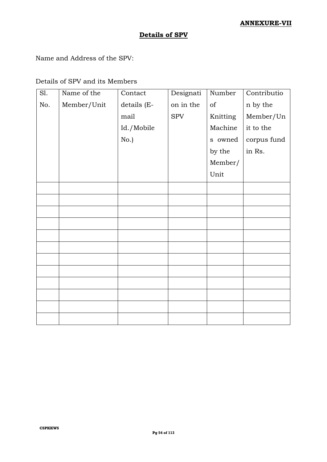## **Details of SPV**

Name and Address of the SPV:

#### Details of SPV and its Members

| Sl. | Name of the | Contact     | Designati  | Number   | Contributio |
|-----|-------------|-------------|------------|----------|-------------|
| No. | Member/Unit | details (E- | on in the  | of       | n by the    |
|     |             | mail        | <b>SPV</b> | Knitting | Member/Un   |
|     |             | Id./Mobile  |            | Machine  | it to the   |
|     |             | No.)        |            | s owned  | corpus fund |
|     |             |             |            | by the   | in Rs.      |
|     |             |             |            | Member/  |             |
|     |             |             |            | Unit     |             |
|     |             |             |            |          |             |
|     |             |             |            |          |             |
|     |             |             |            |          |             |
|     |             |             |            |          |             |
|     |             |             |            |          |             |
|     |             |             |            |          |             |
|     |             |             |            |          |             |
|     |             |             |            |          |             |
|     |             |             |            |          |             |
|     |             |             |            |          |             |
|     |             |             |            |          |             |
|     |             |             |            |          |             |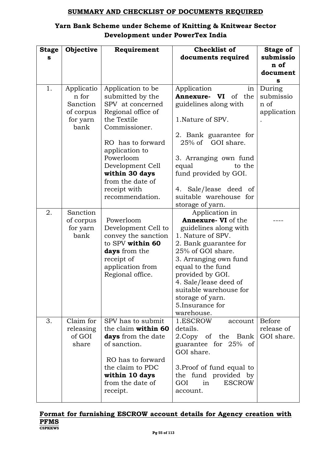### **SUMMARY AND CHECKLIST OF DOCUMENTS REQUIRED**

## **Yarn Bank Scheme under Scheme of Knitting & Knitwear Sector Development under PowerTex India**

| <b>Stage</b><br>s | Objective                                                        | Requirement                                                                                                                                                                                                                                                      | <b>Checklist of</b><br>documents required                                                                                                                                                                                                                                                                    | <b>Stage of</b><br>submissio               |
|-------------------|------------------------------------------------------------------|------------------------------------------------------------------------------------------------------------------------------------------------------------------------------------------------------------------------------------------------------------------|--------------------------------------------------------------------------------------------------------------------------------------------------------------------------------------------------------------------------------------------------------------------------------------------------------------|--------------------------------------------|
|                   |                                                                  |                                                                                                                                                                                                                                                                  |                                                                                                                                                                                                                                                                                                              | n of<br>document<br>s                      |
| 1.                | Applicatio<br>n for<br>Sanction<br>of corpus<br>for yarn<br>bank | Application to be<br>submitted by the<br>SPV at concerned<br>Regional office of<br>the Textile<br>Commissioner.<br>RO has to forward<br>application to<br>Powerloom<br>Development Cell<br>within 30 days<br>from the date of<br>receipt with<br>recommendation. | Application<br>in<br><b>Annexure- VI</b> of the<br>guidelines along with<br>1.Nature of SPV.<br>2. Bank guarantee for<br>25% of GOI share.<br>3. Arranging own fund<br>to the<br>equal<br>fund provided by GOI.<br>Sale/lease deed of<br>4.<br>suitable warehouse for<br>storage of yarn.                    | During<br>submissio<br>n of<br>application |
| 2.                | Sanction<br>of corpus<br>for yarn<br>bank                        | Powerloom<br>Development Cell to<br>convey the sanction<br>to SPV within 60<br>days from the<br>receipt of<br>application from<br>Regional office.                                                                                                               | Application in<br>Annexure- VI of the<br>guidelines along with<br>1. Nature of SPV.<br>2. Bank guarantee for<br>25% of GOI share.<br>3. Arranging own fund<br>equal to the fund<br>provided by GOI.<br>4. Sale/lease deed of<br>suitable warehouse for<br>storage of yarn.<br>5. Insurance for<br>warehouse. |                                            |
| 3.                | Claim for<br>releasing<br>of GOI<br>share                        | SPV has to submit<br>the claim within 60<br>days from the date<br>of sanction.<br>RO has to forward<br>the claim to PDC<br>within 10 days<br>from the date of<br>receipt.                                                                                        | 1.ESCROW<br>account<br>details.<br>2. Copy of the Bank<br>guarantee for 25% of<br>GOI share.<br>3. Proof of fund equal to<br>the fund provided by<br><b>ESCROW</b><br>GOI<br>in<br>account.                                                                                                                  | <b>Before</b><br>release of<br>GOI share.  |

#### **CSPKKWS Format for furnishing ESCROW account details for Agency creation with PFMS**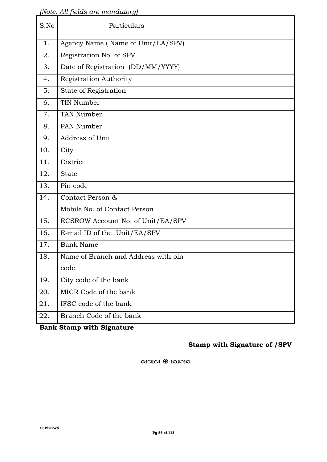*(Note: All fields are mandatory)*

| S.No | Particulars                         |  |
|------|-------------------------------------|--|
| 1.   | Agency Name (Name of Unit/EA/SPV)   |  |
| 2.   | Registration No. of SPV             |  |
| 3.   | Date of Registration (DD/MM/YYYY)   |  |
| 4.   | Registration Authority              |  |
| 5.   | State of Registration               |  |
| 6.   | TIN Number                          |  |
| 7.   | <b>TAN Number</b>                   |  |
| 8.   | PAN Number                          |  |
| 9.   | Address of Unit                     |  |
| 10.  | City                                |  |
| 11.  | District                            |  |
| 12.  | <b>State</b>                        |  |
| 13.  | Pin code                            |  |
| 14.  | Contact Person &                    |  |
|      | Mobile No. of Contact Person        |  |
| 15.  | ECSROW Account No. of Unit/EA/SPV   |  |
| 16.  | E-mail ID of the Unit/EA/SPV        |  |
| 17.  | <b>Bank Name</b>                    |  |
| 18.  | Name of Branch and Address with pin |  |
|      | code                                |  |
| 19.  | City code of the bank               |  |
| 20.  | MICR Code of the bank               |  |
| 21.  | IFSC code of the bank               |  |
| 22.  | Branch Code of the bank             |  |

**Bank Stamp with Signature**

## **Stamp with Signature of /SPV**

 $\alpha$ ରାରା ବିଧାରର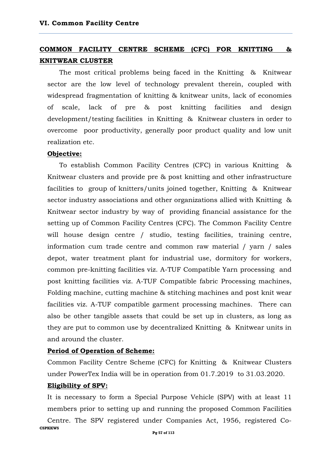## **COMMON FACILITY CENTRE SCHEME (CFC) FOR KNITTING & KNITWEAR CLUSTER**

The most critical problems being faced in the Knitting & Knitwear sector are the low level of technology prevalent therein, coupled with widespread fragmentation of knitting & knitwear units, lack of economies of scale, lack of pre & post knitting facilities and design development/testing facilities in Knitting & Knitwear clusters in order to overcome poor productivity, generally poor product quality and low unit realization etc.

#### **Objective:**

To establish Common Facility Centres (CFC) in various Knitting & Knitwear clusters and provide pre & post knitting and other infrastructure facilities to group of knitters/units joined together, Knitting & Knitwear sector industry associations and other organizations allied with Knitting & Knitwear sector industry by way of providing financial assistance for the setting up of Common Facility Centres (CFC). The Common Facility Centre will house design centre / studio, testing facilities, training centre, information cum trade centre and common raw material / yarn / sales depot, water treatment plant for industrial use, dormitory for workers, common pre-knitting facilities viz. A-TUF Compatible Yarn processing and post knitting facilities viz. A-TUF Compatible fabric Processing machines, Folding machine, cutting machine & stitching machines and post knit wear facilities viz. A-TUF compatible garment processing machines. There can also be other tangible assets that could be set up in clusters, as long as they are put to common use by decentralized Knitting & Knitwear units in and around the cluster.

#### **Period of Operation of Scheme:**

Common Facility Centre Scheme (CFC) for Knitting & Knitwear Clusters under PowerTex India will be in operation from 01.7.2019 to 31.03.2020.

#### **Eligibility of SPV:**

**CSPKKWS** It is necessary to form a Special Purpose Vehicle (SPV) with at least 11 members prior to setting up and running the proposed Common Facilities Centre. The SPV registered under Companies Act, 1956, registered Co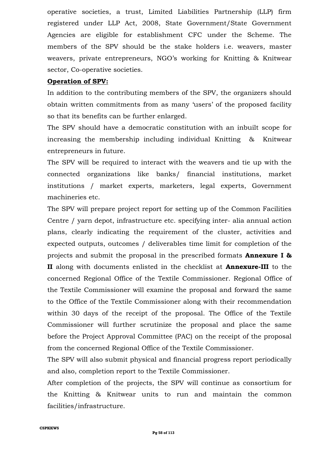operative societies, a trust, Limited Liabilities Partnership (LLP) firm registered under LLP Act, 2008, State Government/State Government Agencies are eligible for establishment CFC under the Scheme. The members of the SPV should be the stake holders i.e. weavers, master weavers, private entrepreneurs, NGO's working for Knitting & Knitwear sector, Co-operative societies.

### **Operation of SPV:**

In addition to the contributing members of the SPV, the organizers should obtain written commitments from as many 'users' of the proposed facility so that its benefits can be further enlarged.

The SPV should have a democratic constitution with an inbuilt scope for increasing the membership including individual Knitting & Knitwear entrepreneurs in future.

The SPV will be required to interact with the weavers and tie up with the connected organizations like banks/ financial institutions, market institutions / market experts, marketers, legal experts, Government machineries etc.

The SPV will prepare project report for setting up of the Common Facilities Centre / yarn depot, infrastructure etc. specifying inter- alia annual action plans, clearly indicating the requirement of the cluster, activities and expected outputs, outcomes / deliverables time limit for completion of the projects and submit the proposal in the prescribed formats **Annexure I & II** along with documents enlisted in the checklist at **Annexure-III** to the concerned Regional Office of the Textile Commissioner. Regional Office of the Textile Commissioner will examine the proposal and forward the same to the Office of the Textile Commissioner along with their recommendation within 30 days of the receipt of the proposal. The Office of the Textile Commissioner will further scrutinize the proposal and place the same before the Project Approval Committee (PAC) on the receipt of the proposal from the concerned Regional Office of the Textile Commissioner.

The SPV will also submit physical and financial progress report periodically and also, completion report to the Textile Commissioner.

After completion of the projects, the SPV will continue as consortium for the Knitting & Knitwear units to run and maintain the common facilities/infrastructure.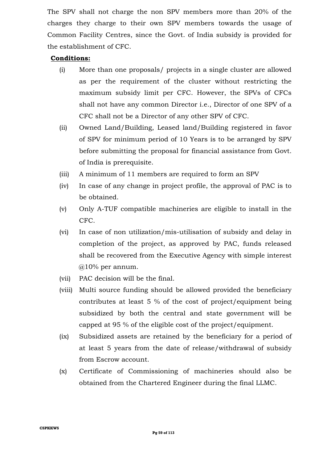The SPV shall not charge the non SPV members more than 20% of the charges they charge to their own SPV members towards the usage of Common Facility Centres, since the Govt. of India subsidy is provided for the establishment of CFC.

## **Conditions:**

- (i) More than one proposals/ projects in a single cluster are allowed as per the requirement of the cluster without restricting the maximum subsidy limit per CFC. However, the SPVs of CFCs shall not have any common Director i.e., Director of one SPV of a CFC shall not be a Director of any other SPV of CFC.
- (ii) Owned Land/Building, Leased land/Building registered in favor of SPV for minimum period of 10 Years is to be arranged by SPV before submitting the proposal for financial assistance from Govt. of India is prerequisite.
- (iii) A minimum of 11 members are required to form an SPV
- (iv) In case of any change in project profile, the approval of PAC is to be obtained.
- (v) Only A-TUF compatible machineries are eligible to install in the CFC.
- (vi) In case of non utilization/mis-utilisation of subsidy and delay in completion of the project, as approved by PAC, funds released shall be recovered from the Executive Agency with simple interest @10% per annum.
- (vii) PAC decision will be the final.
- (viii) Multi source funding should be allowed provided the beneficiary contributes at least 5 % of the cost of project/equipment being subsidized by both the central and state government will be capped at 95 % of the eligible cost of the project/equipment.
- (ix) Subsidized assets are retained by the beneficiary for a period of at least 5 years from the date of release/withdrawal of subsidy from Escrow account.
- (x) Certificate of Commissioning of machineries should also be obtained from the Chartered Engineer during the final LLMC.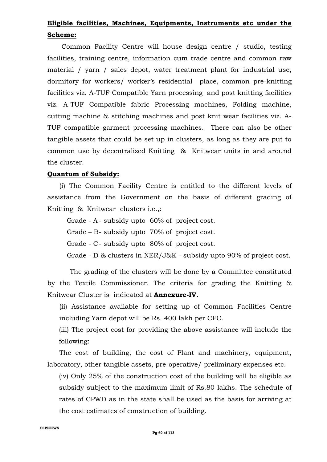## **Eligible facilities, Machines, Equipments, Instruments etc under the Scheme:**

Common Facility Centre will house design centre / studio, testing facilities, training centre, information cum trade centre and common raw material / yarn / sales depot, water treatment plant for industrial use, dormitory for workers/ worker's residential place, common pre-knitting facilities viz. A-TUF Compatible Yarn processing and post knitting facilities viz. A-TUF Compatible fabric Processing machines, Folding machine, cutting machine & stitching machines and post knit wear facilities viz. A-TUF compatible garment processing machines. There can also be other tangible assets that could be set up in clusters, as long as they are put to common use by decentralized Knitting & Knitwear units in and around the cluster.

#### **Quantum of Subsidy:**

(i) The Common Facility Centre is entitled to the different levels of assistance from the Government on the basis of different grading of Knitting & Knitwear clusters i.e.,:

Grade - A - subsidy upto 60% of project cost.

Grade – B- subsidy upto 70% of project cost.

Grade - C- subsidy upto 80% of project cost.

Grade - D & clusters in NER/J&K - subsidy upto 90% of project cost.

 The grading of the clusters will be done by a Committee constituted by the Textile Commissioner. The criteria for grading the Knitting & Knitwear Cluster is indicated at **Annexure-IV.** 

(ii) Assistance available for setting up of Common Facilities Centre including Yarn depot will be Rs. 400 lakh per CFC.

(iii) The project cost for providing the above assistance will include the following:

The cost of building, the cost of Plant and machinery, equipment, laboratory, other tangible assets, pre-operative/ preliminary expenses etc.

(iv) Only 25% of the construction cost of the building will be eligible as subsidy subject to the maximum limit of Rs.80 lakhs. The schedule of rates of CPWD as in the state shall be used as the basis for arriving at the cost estimates of construction of building.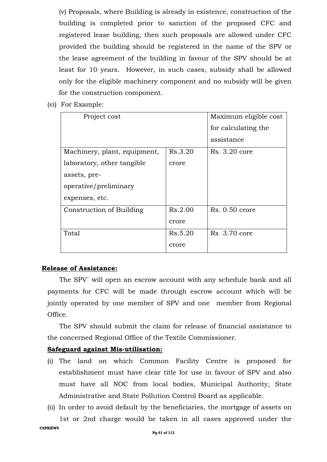(v) Proposals, where Building is already in existence, construction of the building is completed prior to sanction of the proposed CFC and registered lease building, then such proposals are allowed under CFC provided the building should be registered in the name of the SPV or the lease agreement of the building in favour of the SPV should be at least for 10 years. However, in such cases, subsidy shall be allowed only for the eligible machinery component and no subsidy will be given for the construction component.

(vi) For Example:

| Project cost                 |         | Maximum eligible cost |
|------------------------------|---------|-----------------------|
|                              |         | for calculating the   |
|                              |         | assistance            |
| Machinery, plant, equipment, | Rs.3.20 | Rs. 3.20 core         |
| laboratory, other tangible   | crore   |                       |
| assets, pre-                 |         |                       |
| operative/preliminary        |         |                       |
| expenses, etc.               |         |                       |
| Construction of Building     | Rs.2.00 | $Rs. 0.50$ crore      |
|                              | crore   |                       |
| Total                        | Rs.5.20 | Rs 3.70 core          |
|                              | crore   |                       |

#### **Release of Assistance:**

The SPV` will open an escrow account with any schedule bank and all payments for CFC will be made through escrow account which will be jointly operated by one member of SPV and one member from Regional Office.

The SPV should submit the claim for release of financial assistance to the concerned Regional Office of the Textile Commissioner.

### **Safeguard against Mis-utilisation:**

- (i) The land on which Common Facility Centre is proposed for establishment must have clear title for use in favour of SPV and also must have all NOC from local bodies, Municipal Authority, State Administrative and State Pollution Control Board as applicable.
- (ii) In order to avoid default by the beneficiaries, the mortgage of assets on 1st or 2nd charge would be taken in all cases approved under the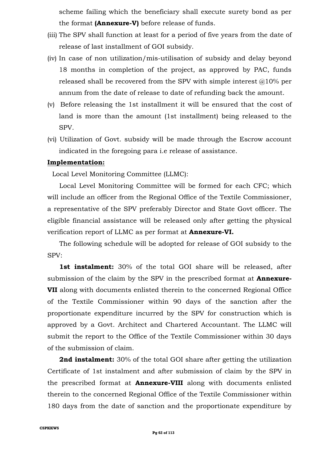scheme failing which the beneficiary shall execute surety bond as per the format **(Annexure-V)** before release of funds.

- (iii) The SPV shall function at least for a period of five years from the date of release of last installment of GOI subsidy.
- (iv) In case of non utilization/mis-utilisation of subsidy and delay beyond 18 months in completion of the project, as approved by PAC, funds released shall be recovered from the SPV with simple interest  $@10\%$  per annum from the date of release to date of refunding back the amount.
- (v) Before releasing the 1st installment it will be ensured that the cost of land is more than the amount (1st installment) being released to the SPV.
- (vi) Utilization of Govt. subsidy will be made through the Escrow account indicated in the foregoing para i.e release of assistance.

#### **Implementation:**

Local Level Monitoring Committee (LLMC):

Local Level Monitoring Committee will be formed for each CFC; which will include an officer from the Regional Office of the Textile Commissioner, a representative of the SPV preferably Director and State Govt officer. The eligible financial assistance will be released only after getting the physical verification report of LLMC as per format at **Annexure-VI.**

The following schedule will be adopted for release of GOI subsidy to the SPV:

1st instalment: 30% of the total GOI share will be released, after submission of the claim by the SPV in the prescribed format at **Annexure-VII** along with documents enlisted therein to the concerned Regional Office of the Textile Commissioner within 90 days of the sanction after the proportionate expenditure incurred by the SPV for construction which is approved by a Govt. Architect and Chartered Accountant. The LLMC will submit the report to the Office of the Textile Commissioner within 30 days of the submission of claim.

**2nd instalment:** 30% of the total GOI share after getting the utilization Certificate of 1st instalment and after submission of claim by the SPV in the prescribed format at **Annexure-VIII** along with documents enlisted therein to the concerned Regional Office of the Textile Commissioner within 180 days from the date of sanction and the proportionate expenditure by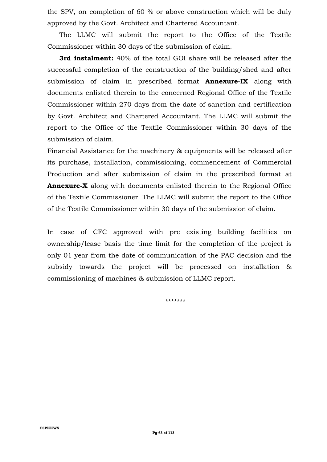the SPV, on completion of 60 % or above construction which will be duly approved by the Govt. Architect and Chartered Accountant.

The LLMC will submit the report to the Office of the Textile Commissioner within 30 days of the submission of claim.

**3rd instalment:** 40% of the total GOI share will be released after the successful completion of the construction of the building/shed and after submission of claim in prescribed format **Annexure-IX** along with documents enlisted therein to the concerned Regional Office of the Textile Commissioner within 270 days from the date of sanction and certification by Govt. Architect and Chartered Accountant. The LLMC will submit the report to the Office of the Textile Commissioner within 30 days of the submission of claim.

Financial Assistance for the machinery & equipments will be released after its purchase, installation, commissioning, commencement of Commercial Production and after submission of claim in the prescribed format at **Annexure-X** along with documents enlisted therein to the Regional Office of the Textile Commissioner. The LLMC will submit the report to the Office of the Textile Commissioner within 30 days of the submission of claim.

In case of CFC approved with pre existing building facilities on ownership/lease basis the time limit for the completion of the project is only 01 year from the date of communication of the PAC decision and the subsidy towards the project will be processed on installation & commissioning of machines & submission of LLMC report.

\*\*\*\*\*\*\*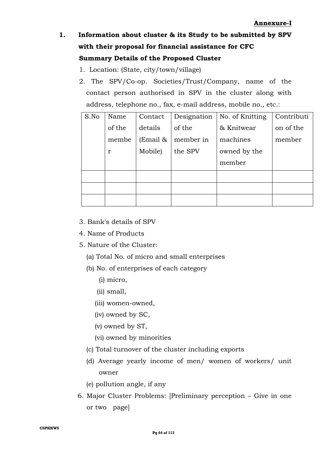# **1. Information about cluster & its Study to be submitted by SPV with their proposal for financial assistance for CFC Summary Details of the Proposed Cluster**

- 1. Location: (State, city/town/village)
- 2. The SPV/Co-op. Societies/Trust/Company, name of the contact person authorised in SPV in the cluster along with address, telephone no., fax, e-mail address, mobile no., etc.:

| S.No | Name         | Contact  | Designation | No. of Knitting | Contributi |
|------|--------------|----------|-------------|-----------------|------------|
|      | of the       | details  | of the      | & Knitwear      | on of the  |
|      | membe        | (Email & | member in   | machines        | member     |
|      | $\mathbf{r}$ | Mobile)  | the SPV     | owned by the    |            |
|      |              |          |             | member          |            |
|      |              |          |             |                 |            |
|      |              |          |             |                 |            |
|      |              |          |             |                 |            |

- 3. Bank's details of SPV
- 4. Name of Products
- 5. Nature of the Cluster:
	- (a) Total No. of micro and small enterprises
	- (b) No. of enterprises of each category
		- (i) micro,
		- (ii) small,
		- (iii) women-owned,
		- (iv) owned by SC,
		- (v) owned by ST,
		- (vi) owned by minorities
	- (c) Total turnover of the cluster including exports
	- (d) Average yearly income of men/ women of workers/ unit owner
	- (e) pollution angle, if any
- 6. Major Cluster Problems: [Preliminary perception Give in one or two page]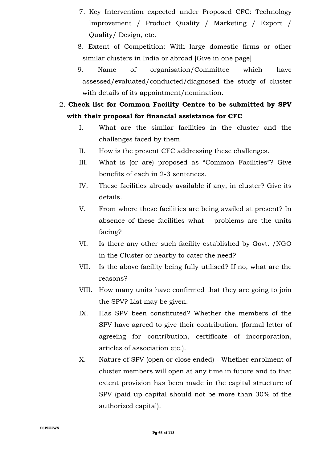- 7. Key Intervention expected under Proposed CFC: Technology Improvement / Product Quality / Marketing / Export / Quality/ Design, etc.
- 8. Extent of Competition: With large domestic firms or other similar clusters in India or abroad [Give in one page]
- 9. Name of organisation/Committee which have assessed/evaluated/conducted/diagnosed the study of cluster with details of its appointment/nomination.
- 2. **Check list for Common Facility Centre to be submitted by SPV with their proposal for financial assistance for CFC**
	- I. What are the similar facilities in the cluster and the challenges faced by them.
	- II. How is the present CFC addressing these challenges.
	- III. What is (or are) proposed as "Common Facilities"? Give benefits of each in 2-3 sentences.
	- IV. These facilities already available if any, in cluster? Give its details.
	- V. From where these facilities are being availed at present? In absence of these facilities what problems are the units facing?
	- VI. Is there any other such facility established by Govt. /NGO in the Cluster or nearby to cater the need?
	- VII. Is the above facility being fully utilised? If no, what are the reasons?
	- VIII. How many units have confirmed that they are going to join the SPV? List may be given.
	- IX. Has SPV been constituted? Whether the members of the SPV have agreed to give their contribution. (formal letter of agreeing for contribution, certificate of incorporation, articles of association etc.).
	- X. Nature of SPV (open or close ended) Whether enrolment of cluster members will open at any time in future and to that extent provision has been made in the capital structure of SPV (paid up capital should not be more than 30% of the authorized capital).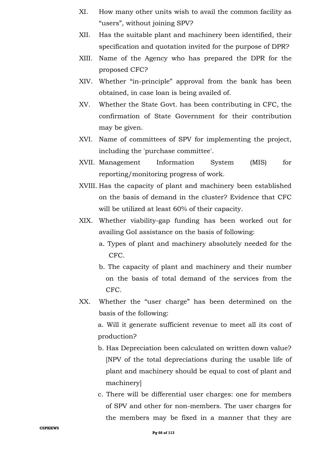- XI. How many other units wish to avail the common facility as "users", without joining SPV?
- XII. Has the suitable plant and machinery been identified, their specification and quotation invited for the purpose of DPR?
- XIII. Name of the Agency who has prepared the DPR for the proposed CFC?
- XIV. Whether "in-principle" approval from the bank has been obtained, in case loan is being availed of.
- XV. Whether the State Govt. has been contributing in CFC, the confirmation of State Government for their contribution may be given.
- XVI. Name of committees of SPV for implementing the project, including the 'purchase committee'.
- XVII. Management Information System (MIS) for reporting/monitoring progress of work.
- XVIII. Has the capacity of plant and machinery been established on the basis of demand in the cluster? Evidence that CFC will be utilized at least 60% of their capacity.
- XIX. Whether viability-gap funding has been worked out for availing GoI assistance on the basis of following:
	- a. Types of plant and machinery absolutely needed for the CFC.
	- b. The capacity of plant and machinery and their number on the basis of total demand of the services from the CFC.
- XX. Whether the "user charge" has been determined on the basis of the following:

a. Will it generate sufficient revenue to meet all its cost of production?

- b. Has Depreciation been calculated on written down value? [NPV of the total depreciations during the usable life of plant and machinery should be equal to cost of plant and machinery]
- c. There will be differential user charges: one for members of SPV and other for non-members. The user charges for the members may be fixed in a manner that they are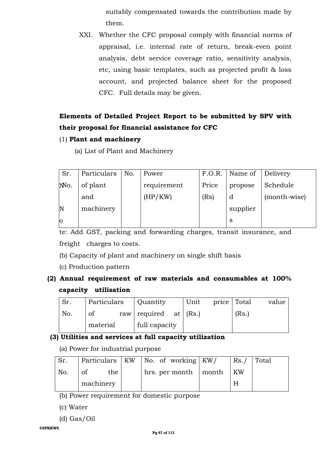suitably compensated towards the contribution made by them.

XXI. Whether the CFC proposal comply with financial norms of appraisal, i.e. internal rate of return, break-even point analysis, debt service coverage ratio, sensitivity analysis, etc, using basic templates, such as projected profit & loss account, and projected balance sheet for the proposed CFC. Full details may be given.

## **Elements of Detailed Project Report to be submitted by SPV with their proposal for financial assistance for CFC**

- (1) **Plant and machinery** 
	- (a) List of Plant and Machinery

| Sr.            | Particulars | No. | Power       | F.O.R. | Name of  | Delivery     |
|----------------|-------------|-----|-------------|--------|----------|--------------|
| No.            | of plant    |     | requirement | Price  | propose  | Schedule     |
|                | and         |     | (HP/KW)     | (Rs)   | đ        | (month-wise) |
| $\mathbf N$    | machinery   |     |             |        | supplier |              |
| $\overline{O}$ |             |     |             |        | S        |              |

te: Add GST, packing and forwarding charges, transit insurance, and freight charges to costs.

- (b) Capacity of plant and machinery on single shift basis
- (c) Production pattern

## **(2) Annual requirement of raw materials and consumables at 100% capacity utilisation**

| Sr. | Particulars | Quantity                | Unit | price Total |       | value |
|-----|-------------|-------------------------|------|-------------|-------|-------|
| No. | of          | raw required at $(Rs.)$ |      |             | (Rs.) |       |
|     | material    | full capacity           |      |             |       |       |

## **(3) Utilities and services at full capacity utilization**

(a) Power for industrial purpose

| Sr. |           | Particulars   KW   No. of working $ KW $ | Rs. / | Total |
|-----|-----------|------------------------------------------|-------|-------|
| No. | the<br>οt | hrs. per month $\vert$ month             | . KW  |       |
|     | machinery |                                          |       |       |

(b) Power requirement for domestic purpose

- (c) Water
- (d) Gas/Oil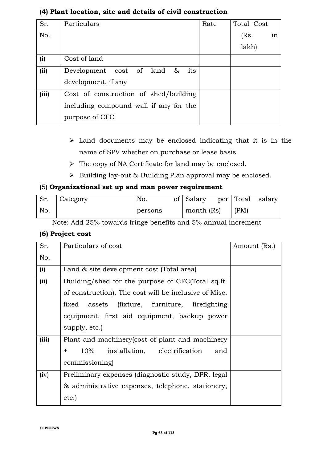| Sr.   | Particulars                            |      | Total Cost |
|-------|----------------------------------------|------|------------|
|       |                                        | Rate |            |
| No.   |                                        |      | in<br>(Rs. |
|       |                                        |      | lakh)      |
| (i)   | Cost of land                           |      |            |
| (ii)  | its<br>Development cost of land $\&$   |      |            |
|       | development, if any                    |      |            |
| (iii) | Cost of construction of shed/building  |      |            |
|       | including compound wall if any for the |      |            |
|       | purpose of CFC                         |      |            |

## (**4) Plant location, site and details of civil construction**

- $\triangleright$  Land documents may be enclosed indicating that it is in the name of SPV whether on purchase or lease basis.
- $\triangleright$  The copy of NA Certificate for land may be enclosed.
- $\triangleright$  Building lay-out & Building Plan approval may be enclosed.

## (5) **Organizational set up and man power requirement**

| Sr. | Category | No.     | of Salary  |      | per Total salary |
|-----|----------|---------|------------|------|------------------|
| No. |          | persons | month (Rs) | (PM) |                  |

Note: Add 25% towards fringe benefits and 5% annual increment

## **(6) Project cost**

| Sr.   | Particulars of cost                                   | Amount (Rs.) |
|-------|-------------------------------------------------------|--------------|
| No.   |                                                       |              |
| (i)   | Land & site development cost (Total area)             |              |
| (ii)  | Building/shed for the purpose of CFC(Total sq.ft.     |              |
|       | of construction). The cost will be inclusive of Misc. |              |
|       | fixed assets (fixture, furniture, firefighting        |              |
|       | equipment, first aid equipment, backup power          |              |
|       | supply, etc.)                                         |              |
| (iii) | Plant and machinery (cost of plant and machinery      |              |
|       | 10% installation, electrification<br>and<br>$+$       |              |
|       | commissioning)                                        |              |
| (iv)  | Preliminary expenses (diagnostic study, DPR, legal    |              |
|       | & administrative expenses, telephone, stationery,     |              |
|       | etc.                                                  |              |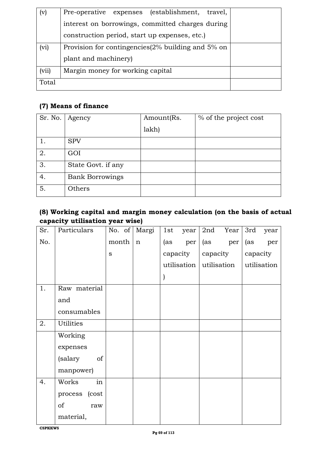| (v)   | (establishment,<br>Pre-operative expenses<br>travel,  |  |
|-------|-------------------------------------------------------|--|
|       | interest on borrowings, committed charges during      |  |
|       | construction period, start up expenses, etc.)         |  |
| (vi)  | Provision for contingencies $(2\%$ building and 5% on |  |
|       | plant and machinery)                                  |  |
| (vii) | Margin money for working capital                      |  |
| Total |                                                       |  |

## **(7) Means of finance**

| Sr. No. | Agency                 | Amount(Rs. | % of the project cost |
|---------|------------------------|------------|-----------------------|
|         |                        | lakh)      |                       |
|         | <b>SPV</b>             |            |                       |
| 2.      | GOI                    |            |                       |
| 3.      | State Govt. if any     |            |                       |
| 4.      | <b>Bank Borrowings</b> |            |                       |
| 5.      | Others                 |            |                       |

## **(8) Working capital and margin money calculation (on the basis of actual capacity utilisation year wise)**

| Sr.  | Particulars      |           | No. of Margi | 1st | year                    |          | 2nd Year | 3rd      | year        |
|------|------------------|-----------|--------------|-----|-------------------------|----------|----------|----------|-------------|
| No.  |                  | month   n |              | (as | per                     | (as      | per      | (as      | per         |
|      |                  | S         |              |     | capacity                | capacity |          | capacity |             |
|      |                  |           |              |     | utilisation utilisation |          |          |          | utilisation |
|      |                  |           |              |     |                         |          |          |          |             |
| $1.$ | Raw material     |           |              |     |                         |          |          |          |             |
|      | and              |           |              |     |                         |          |          |          |             |
|      | consumables      |           |              |     |                         |          |          |          |             |
| 2.   | <b>Utilities</b> |           |              |     |                         |          |          |          |             |
|      | Working          |           |              |     |                         |          |          |          |             |
|      | expenses         |           |              |     |                         |          |          |          |             |
|      | of<br>(salary    |           |              |     |                         |          |          |          |             |
|      | manpower)        |           |              |     |                         |          |          |          |             |
| 4.   | in<br>Works      |           |              |     |                         |          |          |          |             |
|      | process (cost    |           |              |     |                         |          |          |          |             |
|      | of<br>raw        |           |              |     |                         |          |          |          |             |
|      | material,        |           |              |     |                         |          |          |          |             |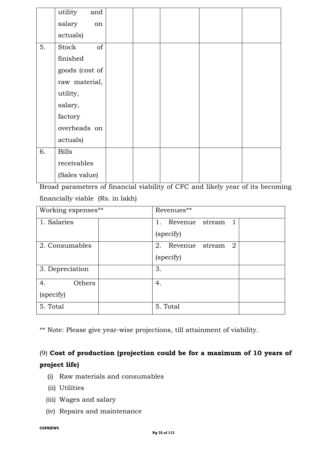|    | utility<br>and |  |  |  |
|----|----------------|--|--|--|
|    | salary<br>on   |  |  |  |
|    | actuals)       |  |  |  |
| 5. | of<br>Stock    |  |  |  |
|    | finished       |  |  |  |
|    | goods (cost of |  |  |  |
|    | raw material,  |  |  |  |
|    | utility,       |  |  |  |
|    | salary,        |  |  |  |
|    | factory        |  |  |  |
|    | overheads on   |  |  |  |
|    | actuals)       |  |  |  |
| 6. | <b>Bills</b>   |  |  |  |
|    | receivables    |  |  |  |
|    | (Sales value)  |  |  |  |

Broad parameters of financial viability of CFC and likely year of its becoming financially viable (Rs. in lakh)

| Working expenses** | Revenues**                          |
|--------------------|-------------------------------------|
| 1. Salaries        | $1_{-}$<br>1<br>Revenue stream      |
|                    | (specify)                           |
| 2. Consumables     | $\overline{2}$<br>2. Revenue stream |
|                    | (specify)                           |
| 3. Depreciation    | 3.                                  |
| 4.<br>Others       | 4.                                  |
| (specify)          |                                     |
| 5. Total           | 5. Total                            |

\*\* Note: Please give year-wise projections, till attainment of viability.

## (9) **Cost of production (projection could be for a maximum of 10 years of project life)**

- (i) Raw materials and consumables
- (ii) Utilities
- (iii) Wages and salary
- (iv) Repairs and maintenance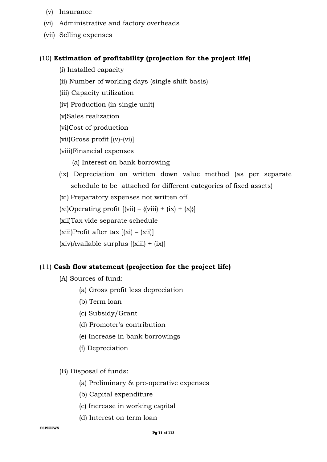- (v) Insurance
- (vi) Administrative and factory overheads
- (vii) Selling expenses

#### (10) **Estimation of profitability (projection for the project life)**

- (i) Installed capacity
- (ii) Number of working days (single shift basis)
- (iii) Capacity utilization
- (iv) Production (in single unit)

(v)Sales realization

(vi)Cost of production

(vii)Gross profit [(v)-(vi)]

(viii)Financial expenses

- (a) Interest on bank borrowing
- (ix) Depreciation on written down value method (as per separate schedule to be attached for different categories of fixed assets)

(xi) Preparatory expenses not written off

(xi)Operating profit  $[(vii) - {(viii)} + (ix) + (x)]$ 

(xii)Tax vide separate schedule

 $(xiii)$ Profit after tax  $[(xi) - (xii)]$ 

(xiv)Available surplus [(xiii) + (ix)]

### (11) **Cash flow statement (projection for the project life)**

- (A) Sources of fund:
	- (a) Gross profit less depreciation
	- (b) Term loan
	- (c) Subsidy/Grant
	- (d) Promoter's contribution
	- (e) Increase in bank borrowings
	- (f) Depreciation

#### (B) Disposal of funds:

- (a) Preliminary & pre-operative expenses
- (b) Capital expenditure
- (c) Increase in working capital
- (d) Interest on term loan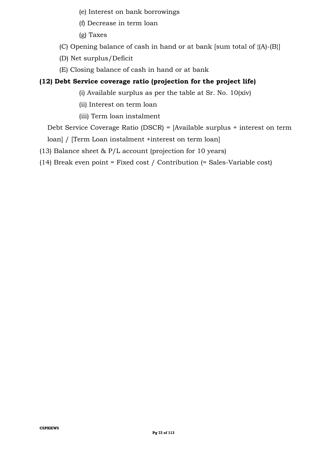- (e) Interest on bank borrowings
- (f) Decrease in term loan
- (g) Taxes
- (C) Opening balance of cash in hand or at bank [sum total of {(A)-(B}]
- (D) Net surplus/Deficit
- (E) Closing balance of cash in hand or at bank

## **(12) Debt Service coverage ratio (projection for the project life)**

- (i) Available surplus as per the table at Sr. No. 10(xiv)
- (ii) Interest on term loan
- (iii) Term loan instalment

Debt Service Coverage Ratio (DSCR) = [Available surplus + interest on term

loan] / [Term Loan instalment +interest on term loan]

(13) Balance sheet & P/L account (projection for 10 years)

(14) Break even point = Fixed cost / Contribution (= Sales-Variable cost)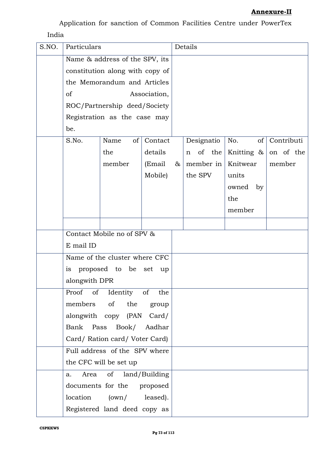Application for sanction of Common Facilities Centre under PowerTex India

| S.NO. | Particulars   |                                 |              | Details |             |               |            |
|-------|---------------|---------------------------------|--------------|---------|-------------|---------------|------------|
|       |               | Name & address of the SPV, its  |              |         |             |               |            |
|       |               | constitution along with copy of |              |         |             |               |            |
|       |               | the Memorandum and Articles     |              |         |             |               |            |
|       | of            |                                 | Association, |         |             |               |            |
|       |               | ROC/Partnership deed/Society    |              |         |             |               |            |
|       |               | Registration as the case may    |              |         |             |               |            |
|       | be.           |                                 |              |         |             |               |            |
|       | S.No.         | of<br>Name                      | Contact      |         | Designatio  | No.<br>of     | Contributi |
|       |               | the                             | details      |         | of the<br>n | Knitting $\&$ | on of the  |
|       |               | member                          | (Email       | &       | member in   | Knitwear      | member     |
|       |               |                                 | Mobile)      |         | the SPV     | units         |            |
|       |               |                                 |              |         |             | owned<br>by   |            |
|       |               |                                 |              |         |             | the           |            |
|       |               |                                 |              |         |             | member        |            |
|       |               |                                 |              |         |             |               |            |
|       |               | Contact Mobile no of SPV &      |              |         |             |               |            |
|       | E mail ID     |                                 |              |         |             |               |            |
|       |               | Name of the cluster where CFC   |              |         |             |               |            |
|       | is            | proposed to be set              | up           |         |             |               |            |
|       | alongwith DPR |                                 |              |         |             |               |            |
|       |               | Proof of Identity of            | the          |         |             |               |            |
|       | members       | of the                          | group        |         |             |               |            |
|       |               | alongwith copy (PAN Card/       |              |         |             |               |            |
|       | Bank Pass     | Book/ Aadhar                    |              |         |             |               |            |
|       |               | Card/ Ration card/ Voter Card)  |              |         |             |               |            |
|       |               | Full address of the SPV where   |              |         |             |               |            |
|       |               | the CFC will be set up          |              |         |             |               |            |
|       | Area<br>a.    | of land/Building                |              |         |             |               |            |
|       |               | documents for the proposed      |              |         |             |               |            |
|       |               | location (own/ leased).         |              |         |             |               |            |
|       |               | Registered land deed copy as    |              |         |             |               |            |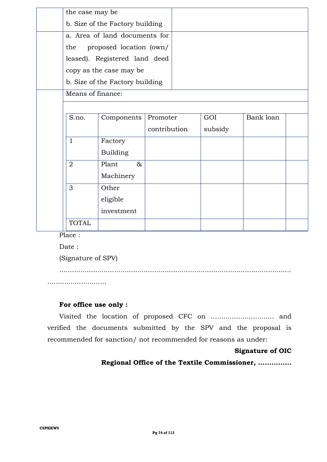| the case may be   |                                 |              |  |         |           |  |
|-------------------|---------------------------------|--------------|--|---------|-----------|--|
|                   | b. Size of the Factory building |              |  |         |           |  |
|                   | a. Area of land documents for   |              |  |         |           |  |
| the               | proposed location (own/         |              |  |         |           |  |
|                   | leased). Registered land deed   |              |  |         |           |  |
|                   | copy as the case may be         |              |  |         |           |  |
|                   | b. Size of the Factory building |              |  |         |           |  |
| Means of finance: |                                 |              |  |         |           |  |
|                   |                                 |              |  |         |           |  |
| S.no.             | Components                      | Promoter     |  | GOI     | Bank loan |  |
|                   |                                 | contribution |  | subsidy |           |  |
| $\mathbf{1}$      | Factory                         |              |  |         |           |  |
|                   | <b>Building</b>                 |              |  |         |           |  |
| $\overline{2}$    | Plant<br>$\&$                   |              |  |         |           |  |
|                   | Machinery                       |              |  |         |           |  |
| 3                 | Other                           |              |  |         |           |  |
|                   | eligible                        |              |  |         |           |  |
|                   | investment                      |              |  |         |           |  |
| <b>TOTAL</b>      |                                 |              |  |         |           |  |

Place :

Date :

(Signature of SPV)

..............................................................................................................

............................

#### **For office use only :**

Visited the location of proposed CFC on .............................. and verified the documents submitted by the SPV and the proposal is recommended for sanction/ not recommended for reasons as under:

#### **Signature of OIC**

**Regional Office of the Textile Commissioner, ...............**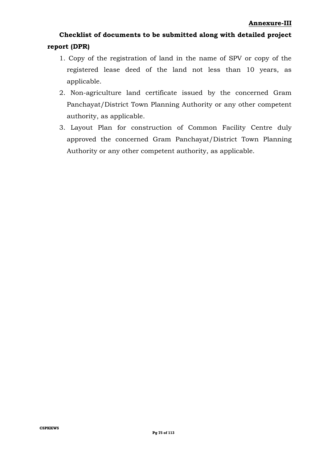# **Checklist of documents to be submitted along with detailed project report (DPR)**

- 1. Copy of the registration of land in the name of SPV or copy of the registered lease deed of the land not less than 10 years, as applicable.
- 2. Non-agriculture land certificate issued by the concerned Gram Panchayat/District Town Planning Authority or any other competent authority, as applicable.
- 3. Layout Plan for construction of Common Facility Centre duly approved the concerned Gram Panchayat/District Town Planning Authority or any other competent authority, as applicable.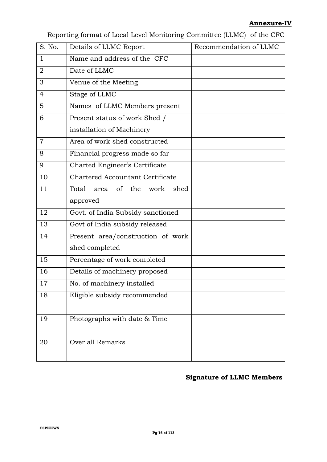#### **Annexure-IV**

Reporting format of Local Level Monitoring Committee (LLMC) of the CFC

| S. No.         | Details of LLMC Report                  | Recommendation of LLMC |
|----------------|-----------------------------------------|------------------------|
| $\mathbf{1}$   | Name and address of the CFC             |                        |
| $\overline{2}$ | Date of LLMC                            |                        |
| 3              | Venue of the Meeting                    |                        |
| 4              | Stage of LLMC                           |                        |
| 5              | Names of LLMC Members present           |                        |
| 6              | Present status of work Shed /           |                        |
|                | installation of Machinery               |                        |
| $\overline{7}$ | Area of work shed constructed           |                        |
| 8              | Financial progress made so far          |                        |
| 9              | Charted Engineer's Certificate          |                        |
| 10             | <b>Chartered Accountant Certificate</b> |                        |
| 11             | Total<br>of the<br>work<br>shed<br>area |                        |
|                | approved                                |                        |
| 12             | Govt. of India Subsidy sanctioned       |                        |
| 13             | Govt of India subsidy released          |                        |
| 14             | Present area/construction of work       |                        |
|                | shed completed                          |                        |
| 15             | Percentage of work completed            |                        |
| 16             | Details of machinery proposed           |                        |
| 17             | No. of machinery installed              |                        |
| 18             | Eligible subsidy recommended            |                        |
|                |                                         |                        |
| 19             | Photographs with date & Time            |                        |
|                |                                         |                        |
| 20             | Over all Remarks                        |                        |
|                |                                         |                        |

## **Signature of LLMC Members**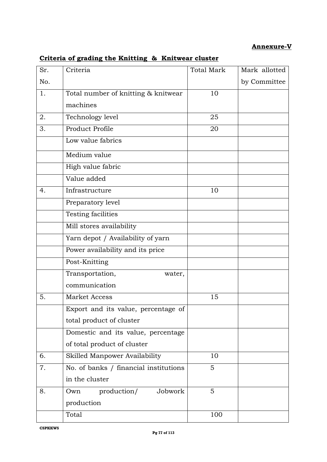## **Annexure-V**

| Sr. | Criteria                              | <b>Total Mark</b> | Mark allotted |
|-----|---------------------------------------|-------------------|---------------|
| No. |                                       |                   | by Committee  |
| 1.  | Total number of knitting & knitwear   | 10                |               |
|     | machines                              |                   |               |
| 2.  | Technology level                      | 25                |               |
| 3.  | Product Profile                       | 20                |               |
|     | Low value fabrics                     |                   |               |
|     | Medium value                          |                   |               |
|     | High value fabric                     |                   |               |
|     | Value added                           |                   |               |
| 4.  | Infrastructure                        | 10                |               |
|     | Preparatory level                     |                   |               |
|     | Testing facilities                    |                   |               |
|     | Mill stores availability              |                   |               |
|     | Yarn depot / Availability of yarn     |                   |               |
|     | Power availability and its price      |                   |               |
|     | Post-Knitting                         |                   |               |
|     | Transportation,<br>water,             |                   |               |
|     | communication                         |                   |               |
| 5.  | <b>Market Access</b>                  | 15                |               |
|     | Export and its value, percentage of   |                   |               |
|     | total product of cluster              |                   |               |
|     | Domestic and its value, percentage    |                   |               |
|     | of total product of cluster           |                   |               |
| 6.  | Skilled Manpower Availability         | 10                |               |
| 7.  | No. of banks / financial institutions | 5                 |               |
|     | in the cluster                        |                   |               |
| 8.  | production/<br>Jobwork<br>Own         | 5                 |               |
|     | production                            |                   |               |
|     | Total                                 | 100               |               |

# **Criteria of grading the Knitting & Knitwear cluster**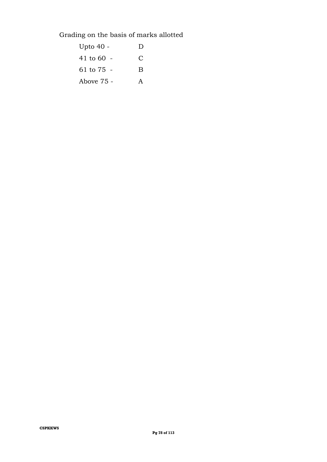Grading on the basis of marks allotted

| Upto 40 -  | D |
|------------|---|
| 41 to 60   | С |
| 61 to 75 - | B |
| Above 75 - | А |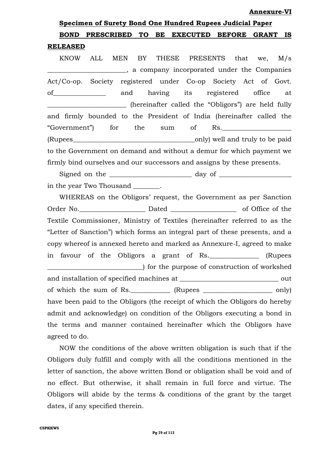#### **Annexure-VI**

# **Specimen of Surety Bond One Hundred Rupees Judicial Paper BOND PRESCRIBED TO BE EXECUTED BEFORE GRANT IS RELEASED**

KNOW ALL MEN BY THESE PRESENTS that we, M/s \_\_\_\_\_\_\_\_\_\_\_\_\_\_\_\_\_\_\_\_\_\_\_\_, a company incorporated under the Companies Act/Co-op. Society registered under Co-op Society Act of Govt. of and having its registered office at \_\_\_\_\_\_\_\_\_\_\_\_\_\_\_\_\_\_\_\_\_\_\_\_ (hereinafter called the "Obligors") are held fully and firmly bounded to the President of India (hereinafter called the "Government") for the sum of Rs. (Rupees\_\_\_\_\_\_\_\_\_\_\_\_\_\_\_\_\_\_\_\_\_\_\_\_\_\_\_\_\_\_\_\_\_\_\_\_\_only) well and truly to be paid to the Government on demand and without a demur for which payment we firmly bind ourselves and our successors and assigns by these presents.

Signed on the \_\_\_\_\_\_\_\_\_\_\_\_\_\_\_\_\_\_\_\_\_\_\_\_\_ day of \_\_\_\_\_\_\_\_\_\_\_\_\_\_\_\_\_\_\_\_\_\_ in the year Two Thousand \_\_\_\_\_\_\_\_.

WHEREAS on the Obligors' request, the Government as per Sanction Order No. 2012 Dated 2003 Dated 2004 Of Office of the Date of  $\alpha$ Textile Commissioner, Ministry of Textiles (hereinafter referred to as the "Letter of Sanction") which forms an integral part of these presents, and a copy whereof is annexed hereto and marked as Annexure-I, agreed to make in favour of the Obligors a grant of Rs.\_\_\_\_\_\_\_\_\_\_\_\_\_\_\_ (Rupees \_\_\_\_\_\_\_\_\_\_\_\_\_\_\_\_\_\_\_\_\_\_\_\_\_\_\_\_\_) for the purpose of construction of workshed and installation of specified machines at \_\_\_\_\_\_\_\_\_\_\_\_\_\_\_\_\_\_\_\_\_\_\_\_\_\_\_\_\_\_ out of which the sum of Rs.  $(Rupees)$  only) have been paid to the Obligors (the receipt of which the Obligors do hereby admit and acknowledge) on condition of the Obligors executing a bond in the terms and manner contained hereinafter which the Obligors have agreed to do.

NOW the conditions of the above written obligation is such that if the Obligors duly fulfill and comply with all the conditions mentioned in the letter of sanction, the above written Bond or obligation shall be void and of no effect. But otherwise, it shall remain in full force and virtue. The Obligors will abide by the terms & conditions of the grant by the target dates, if any specified therein.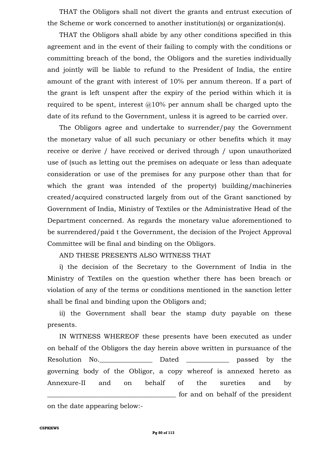THAT the Obligors shall not divert the grants and entrust execution of the Scheme or work concerned to another institution(s) or organization(s).

THAT the Obligors shall abide by any other conditions specified in this agreement and in the event of their failing to comply with the conditions or committing breach of the bond, the Obligors and the sureties individually and jointly will be liable to refund to the President of India, the entire amount of the grant with interest of 10% per annum thereon. If a part of the grant is left unspent after the expiry of the period within which it is required to be spent, interest  $@10\%$  per annum shall be charged upto the date of its refund to the Government, unless it is agreed to be carried over.

The Obligors agree and undertake to surrender/pay the Government the monetary value of all such pecuniary or other benefits which it may receive or derive / have received or derived through / upon unauthorized use of (such as letting out the premises on adequate or less than adequate consideration or use of the premises for any purpose other than that for which the grant was intended of the property) building/machineries created/acquired constructed largely from out of the Grant sanctioned by Government of India, Ministry of Textiles or the Administrative Head of the Department concerned. As regards the monetary value aforementioned to be surrendered/paid t the Government, the decision of the Project Approval Committee will be final and binding on the Obligors.

AND THESE PRESENTS ALSO WITNESS THAT

i) the decision of the Secretary to the Government of India in the Ministry of Textiles on the question whether there has been breach or violation of any of the terms or conditions mentioned in the sanction letter shall be final and binding upon the Obligors and;

ii) the Government shall bear the stamp duty payable on these presents.

IN WITNESS WHEREOF these presents have been executed as under on behalf of the Obligors the day herein above written in pursuance of the Resolution No. 2012 Dated 2012 passed by the governing body of the Obligor, a copy whereof is annexed hereto as Annexure-II and on behalf of the sureties and by for and on behalf of the president on the date appearing below:-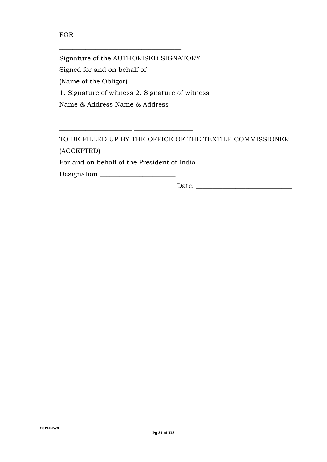#### FOR

Signature of the AUTHORISED SIGNATORY Signed for and on behalf of (Name of the Obligor) 1. Signature of witness 2. Signature of witness Name & Address Name & Address

 $\overline{\phantom{a}}$  , and the set of the set of the set of the set of the set of the set of the set of the set of the set of the set of the set of the set of the set of the set of the set of the set of the set of the set of the s

\_\_\_\_\_\_\_\_\_\_\_\_\_\_\_\_\_\_\_\_\_\_\_\_\_\_\_\_\_\_\_\_\_\_\_\_\_

TO BE FILLED UP BY THE OFFICE OF THE TEXTILE COMMISSIONER (ACCEPTED)

For and on behalf of the President of India

\_\_\_\_\_\_\_\_\_\_\_\_\_\_\_\_\_\_\_\_\_\_ \_\_\_\_\_\_\_\_\_\_\_\_\_\_\_\_\_\_

| Designation |  |
|-------------|--|
|             |  |

Date: \_\_\_\_\_\_\_\_\_\_\_\_\_\_\_\_\_\_\_\_\_\_\_\_\_\_\_\_\_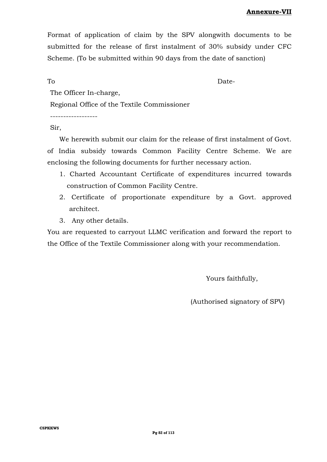Format of application of claim by the SPV alongwith documents to be submitted for the release of first instalment of 30% subsidy under CFC Scheme. (To be submitted within 90 days from the date of sanction)

To Date-

The Officer In-charge,

Regional Office of the Textile Commissioner

------------------

#### Sir,

We herewith submit our claim for the release of first instalment of Govt.

of India subsidy towards Common Facility Centre Scheme. We are enclosing the following documents for further necessary action.

- 1. Charted Accountant Certificate of expenditures incurred towards construction of Common Facility Centre.
- 2. Certificate of proportionate expenditure by a Govt. approved architect.
- 3. Any other details.

You are requested to carryout LLMC verification and forward the report to the Office of the Textile Commissioner along with your recommendation.

Yours faithfully,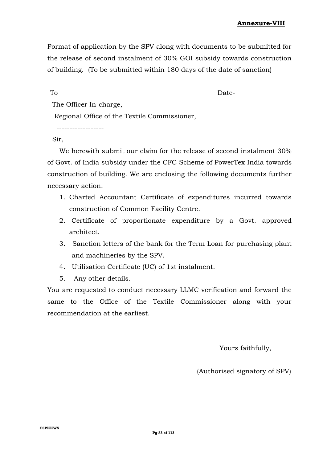Format of application by the SPV along with documents to be submitted for the release of second instalment of 30% GOI subsidy towards construction of building. (To be submitted within 180 days of the date of sanction)

To Date-

The Officer In-charge,

Regional Office of the Textile Commissioner,

------------------

Sir,

We herewith submit our claim for the release of second instalment 30% of Govt. of India subsidy under the CFC Scheme of PowerTex India towards construction of building. We are enclosing the following documents further necessary action.

- 1. Charted Accountant Certificate of expenditures incurred towards construction of Common Facility Centre.
- 2. Certificate of proportionate expenditure by a Govt. approved architect.
- 3. Sanction letters of the bank for the Term Loan for purchasing plant and machineries by the SPV.
- 4. Utilisation Certificate (UC) of 1st instalment.
- 5. Any other details.

You are requested to conduct necessary LLMC verification and forward the same to the Office of the Textile Commissioner along with your recommendation at the earliest.

Yours faithfully,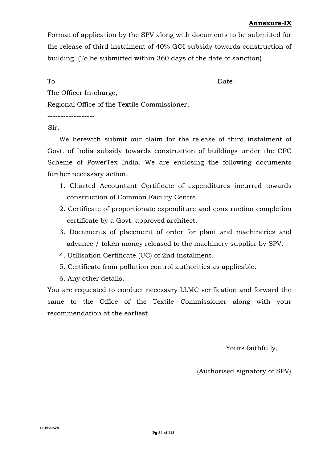## **Annexure-IX**

Format of application by the SPV along with documents to be submitted for the release of third instalment of 40% GOI subsidy towards construction of building. (To be submitted within 360 days of the date of sanction)

To Date-

The Officer In-charge,

Regional Office of the Textile Commissioner,

------------------

#### Sir,

We herewith submit our claim for the release of third instalment of Govt. of India subsidy towards construction of buildings under the CFC Scheme of PowerTex India. We are enclosing the following documents further necessary action.

- 1. Charted Accountant Certificate of expenditures incurred towards construction of Common Facility Centre.
- 2. Certificate of proportionate expenditure and construction completion certificate by a Govt. approved architect.
- 3. Documents of placement of order for plant and machineries and advance / token money released to the machinery supplier by SPV.
- 4. Utilisation Certificate (UC) of 2nd instalment.
- 5. Certificate from pollution control authorities as applicable.
- 6. Any other details.

You are requested to conduct necessary LLMC verification and forward the same to the Office of the Textile Commissioner along with your recommendation at the earliest.

Yours faithfully,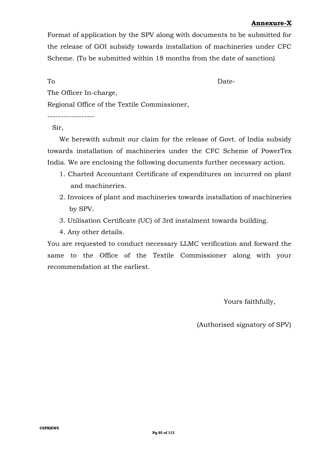#### **Annexure-X**

Format of application by the SPV along with documents to be submitted for the release of GOI subsidy towards installation of machineries under CFC Scheme. (To be submitted within 18 months from the date of sanction)

To Date-

The Officer In-charge,

Regional Office of the Textile Commissioner,

------------------

Sir,

We herewith submit our claim for the release of Govt. of India subsidy towards installation of machineries under the CFC Scheme of PowerTex India. We are enclosing the following documents further necessary action.

- 1. Charted Accountant Certificate of expenditures on incurred on plant and machineries.
- 2. Invoices of plant and machineries towards installation of machineries by SPV.
- 3. Utilisation Certificate (UC) of 3rd instalment towards building.
- 4. Any other details.

You are requested to conduct necessary LLMC verification and forward the same to the Office of the Textile Commissioner along with your recommendation at the earliest.

Yours faithfully,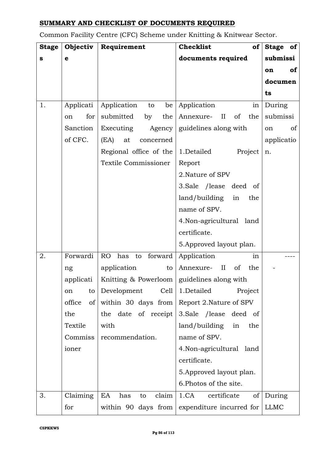## **SUMMARY AND CHECKLIST OF DOCUMENTS REQUIRED**

Common Facility Centre (CFC) Scheme under Knitting & Knitwear Sector.

| <b>Stage</b> | Objectiv             | Requirement                                  | <b>Checklist</b><br>of                 | Stage of        |
|--------------|----------------------|----------------------------------------------|----------------------------------------|-----------------|
| S            | $\mathbf e$          |                                              | documents required                     | submissi        |
|              |                      |                                              |                                        | <b>of</b><br>on |
|              |                      |                                              |                                        | documen         |
|              |                      |                                              |                                        | ts              |
| 1.           | Applicati            | Application to<br>be                         | Application<br>in                      | During          |
|              | for<br><sub>on</sub> | submitted<br>by<br>the                       | $\rm II$<br>of<br>the<br>Annexure-     | submissi        |
|              | Sanction             | Executing<br>Agency                          | guidelines along with                  | of<br>on        |
|              | of CFC.              | (EA)<br>at<br>concerned                      |                                        | applicatio      |
|              |                      | Regional office of the                       | 1.Detailed<br>Project                  | n.              |
|              |                      | Textile Commissioner                         | Report                                 |                 |
|              |                      |                                              | 2. Nature of SPV                       |                 |
|              |                      |                                              | 3. Sale / lease deed of                |                 |
|              |                      |                                              | land/building<br>in<br>the             |                 |
|              |                      |                                              | name of SPV.                           |                 |
|              |                      |                                              | 4. Non-agricultural land               |                 |
|              |                      |                                              | certificate.                           |                 |
|              |                      |                                              | 5. Approved layout plan.               |                 |
| 2.           | Forwardi             | RO has to forward                            | Application<br>in                      |                 |
|              | ng                   | application<br>to                            | the<br>Annexure-<br>$\mathbf{I}$<br>of |                 |
|              | applicati            | Knitting & Powerloom   guidelines along with |                                        |                 |
|              | to<br>on             | Development<br>Cell                          | 1.Detailed<br>Project                  |                 |
|              | office<br>of         | within 30 days from                          | Report 2. Nature of SPV                |                 |
|              | the                  | the date of receipt                          | 3. Sale /lease deed of                 |                 |
|              | Textile              | with                                         | land/building<br>in<br>the             |                 |
|              | Commiss              | recommendation.                              | name of SPV.                           |                 |
|              | ioner                |                                              | 4. Non-agricultural land               |                 |
|              |                      |                                              | certificate.                           |                 |
|              |                      |                                              | 5. Approved layout plan.               |                 |
|              |                      |                                              | 6. Photos of the site.                 |                 |
| 3.           | Claiming             | claim<br>EA<br>has<br>to                     | 1.CA<br>certificate<br>of              | During          |
|              | for                  | within 90 days from                          | expenditure incurred for               | <b>LLMC</b>     |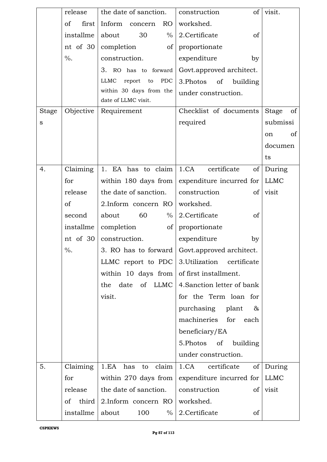|              | release                | the date of sanction.                          | of<br>construction                            | visit.             |
|--------------|------------------------|------------------------------------------------|-----------------------------------------------|--------------------|
|              | <sub>of</sub><br>first | Inform concern<br>RO                           | workshed.                                     |                    |
|              | installme              | 30<br>$\%$<br>about                            | 2.Certificate<br>of                           |                    |
|              | nt of 30               | completion<br>of                               | proportionate                                 |                    |
|              | $\%$ .                 | construction.                                  | expenditure<br>by                             |                    |
|              |                        | 3. RO has to forward                           | Govt.approved architect.                      |                    |
|              |                        | <b>LLMC</b><br>report<br><b>PDC</b><br>to      | 3. Photos<br>of<br>building                   |                    |
|              |                        | within 30 days from the<br>date of LLMC visit. | under construction.                           |                    |
| <b>Stage</b> | Objective              | Requirement                                    | Checklist of documents                        | of<br><b>Stage</b> |
| S            |                        |                                                | required                                      | submissi           |
|              |                        |                                                |                                               | of                 |
|              |                        |                                                |                                               | on                 |
|              |                        |                                                |                                               | documen            |
|              |                        |                                                |                                               | ts                 |
| 4.           | Claiming               | 1. EA has to claim                             | 1.CA<br>certificate<br>of                     | During             |
|              | for                    |                                                | within 180 days from expenditure incurred for | <b>LLMC</b>        |
|              | release                | the date of sanction.                          | construction<br>of                            | visit              |
|              | of                     | 2. Inform concern RO                           | workshed.                                     |                    |
|              | second                 | 60<br>$\%$<br>about                            | 2. Certificate<br>of                          |                    |
|              | installme              | completion<br>of                               | proportionate                                 |                    |
|              | nt of 30               | construction.                                  | expenditure<br>by                             |                    |
|              | $\%$ .                 |                                                | 3. RO has to forward Govt.approved architect. |                    |
|              |                        |                                                | LLMC report to PDC 3.Utilization certificate  |                    |
|              |                        | within 10 days from                            | of first installment.                         |                    |
|              |                        | date of LLMC<br>the                            | 4. Sanction letter of bank                    |                    |
|              |                        | visit.                                         | for the Term loan for                         |                    |
|              |                        |                                                | purchasing plant<br>&                         |                    |
|              |                        |                                                | machineries for each                          |                    |
|              |                        |                                                | beneficiary/EA                                |                    |
|              |                        |                                                | 5.Photos of<br>building                       |                    |
|              |                        |                                                | under construction.                           |                    |
| 5.           | Claiming               | 1.EA<br>to claim<br>has                        | 1.CA certificate<br>of                        | During             |
|              | for                    | within 270 days from                           | expenditure incurred for                      | <b>LLMC</b>        |
|              | release                | the date of sanction.                          | construction<br>of                            | visit              |
|              | third<br>of            | 2. Inform concern RO                           | workshed.                                     |                    |
|              | installme              | about<br>100<br>$\%$                           | 2. Certificate<br>of                          |                    |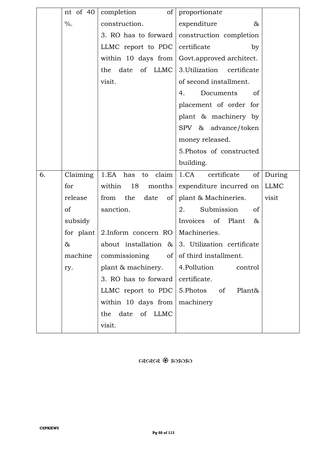|    | nt of 40 | completion                        | of proportionate                                   |             |
|----|----------|-----------------------------------|----------------------------------------------------|-------------|
|    | $\%$ .   | construction.                     | expenditure<br>&                                   |             |
|    |          |                                   | 3. RO has to forward $ $ construction completion   |             |
|    |          | LLMC report to PDC certificate    | by                                                 |             |
|    |          |                                   | within 10 days from Govt.approved architect.       |             |
|    |          | of LLMC<br>date<br>the            | 3. Utilization certificate                         |             |
|    |          | visit.                            | of second installment.                             |             |
|    |          |                                   | Documents<br>of<br>4.                              |             |
|    |          |                                   | placement of order for                             |             |
|    |          |                                   | plant & machinery by                               |             |
|    |          |                                   | SPV & advance/token                                |             |
|    |          |                                   | money released.                                    |             |
|    |          |                                   | 5. Photos of constructed                           |             |
|    |          |                                   | building.                                          |             |
| 6. | Claiming | claim<br>1.EA has<br>to           | 1.CA certificate<br>of                             | During      |
|    | for      | within<br>18<br>months            | expenditure incurred on                            | <b>LLMC</b> |
|    | release  | from the<br>date<br>of            | plant & Machineries.                               | visit       |
|    | of       | sanction.                         | Submission<br>2.<br>of                             |             |
|    | subsidy  |                                   | Invoices of Plant<br>&                             |             |
|    |          | for plant $2$ . Inform concern RO | Machineries.                                       |             |
|    | &        |                                   | about installation $\&$ 3. Utilization certificate |             |
|    | machine  | commissioning<br>of               | of third installment.                              |             |
|    | ry.      | plant & machinery.                | 4.Pollution<br>control                             |             |
|    |          | 3. RO has to forward              | certificate.                                       |             |
|    |          | LLMC report to PDC                | 5.Photos<br>of<br>Plant&                           |             |
|    |          | within 10 days from               | machinery                                          |             |
|    |          | of LLMC<br>date<br>the            |                                                    |             |
|    |          | visit.                            |                                                    |             |

 $\alpha$ ରାସ୍ତ୍ୟ ଖ୍ରି ତେଳେ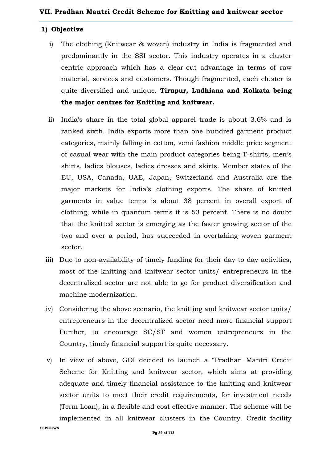#### **1) Objective**

- i) The clothing (Knitwear & woven) industry in India is fragmented and predominantly in the SSI sector. This industry operates in a cluster centric approach which has a clear-cut advantage in terms of raw material, services and customers. Though fragmented, each cluster is quite diversified and unique. **Tirupur, Ludhiana and Kolkata being the major centres for Knitting and knitwear.**
- ii) India's share in the total global apparel trade is about 3.6% and is ranked sixth. India exports more than one hundred garment product categories, mainly falling in cotton, semi fashion middle price segment of casual wear with the main product categories being T-shirts, men's shirts, ladies blouses, ladies dresses and skirts. Member states of the EU, USA, Canada, UAE, Japan, Switzerland and Australia are the major markets for India's clothing exports. The share of knitted garments in value terms is about 38 percent in overall export of clothing, while in quantum terms it is 53 percent. There is no doubt that the knitted sector is emerging as the faster growing sector of the two and over a period, has succeeded in overtaking woven garment sector.
- iii) Due to non-availability of timely funding for their day to day activities, most of the knitting and knitwear sector units/ entrepreneurs in the decentralized sector are not able to go for product diversification and machine modernization.
- iv) Considering the above scenario, the knitting and knitwear sector units/ entrepreneurs in the decentralized sector need more financial support Further, to encourage SC/ST and women entrepreneurs in the Country, timely financial support is quite necessary.
- v) In view of above, GOI decided to launch a "Pradhan Mantri Credit Scheme for Knitting and knitwear sector, which aims at providing adequate and timely financial assistance to the knitting and knitwear sector units to meet their credit requirements, for investment needs (Term Loan), in a flexible and cost effective manner. The scheme will be implemented in all knitwear clusters in the Country. Credit facility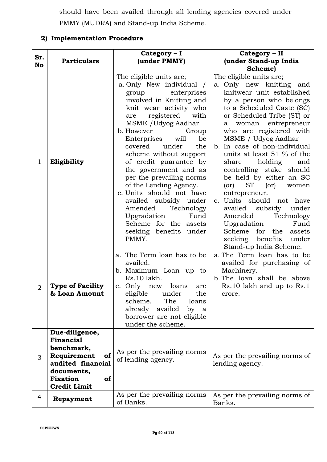should have been availed through all lending agencies covered under PMMY (MUDRA) and Stand-up India Scheme.

### **2) Implementation Procedure**

| Sr.<br>No      | <b>Particulars</b>                                                                                                                                | Category - I<br>(under PMMY)                                                                                                                                                                                                                                                                                                                                                                                                                                                                                                                                             | Category - II<br>(under Stand-up India<br>Scheme)                                                                                                                                                                                                                                                                                                                                                                                                                                                                                                                                                                                                                 |
|----------------|---------------------------------------------------------------------------------------------------------------------------------------------------|--------------------------------------------------------------------------------------------------------------------------------------------------------------------------------------------------------------------------------------------------------------------------------------------------------------------------------------------------------------------------------------------------------------------------------------------------------------------------------------------------------------------------------------------------------------------------|-------------------------------------------------------------------------------------------------------------------------------------------------------------------------------------------------------------------------------------------------------------------------------------------------------------------------------------------------------------------------------------------------------------------------------------------------------------------------------------------------------------------------------------------------------------------------------------------------------------------------------------------------------------------|
| 1              | Eligibility                                                                                                                                       | The eligible units are;<br>a. Only New individual /<br>enterprises<br>group<br>involved in Knitting and<br>knit wear activity who<br>registered<br>with<br>are<br>MSME / Udyog Aadhar<br>b. However<br>Group<br>Enterprises<br>will<br>be<br>covered<br>under<br>the<br>scheme without support<br>of credit guarantee by<br>the government and as<br>per the prevailing norms<br>of the Lending Agency.<br>c. Units should not have<br>availed subsidy under<br>Amended<br>Technology<br>Upgradation<br>Fund<br>Scheme for the assets<br>seeking benefits under<br>PMMY. | The eligible units are;<br>a. Only new knitting and<br>knitwear unit established<br>by a person who belongs<br>to a Scheduled Caste (SC)<br>or Scheduled Tribe (ST) or<br>woman entrepreneur<br>a<br>who are registered with<br>MSME / Udyog Aadhar<br>b. In case of non-individual<br>units at least 51 % of the<br>holding<br>share<br>and<br>controlling stake should<br>be held by either an SC<br><b>ST</b><br>(or)<br>(or)<br>women<br>entrepreneur.<br>c. Units should not have<br>availed<br>under<br>subsidy<br>Amended<br>Technology<br>Upgradation<br>Fund<br>Scheme<br>for<br>the<br>assets<br>benefits<br>seeking<br>under<br>Stand-up India Scheme. |
| $\overline{2}$ | <b>Type of Facility</b><br>& Loan Amount                                                                                                          | a. The Term loan has to be<br>availed.<br>b. Maximum Loan up to<br>Rs.10 lakh.<br>c. Only new loans<br>are<br>eligible under<br>the<br>The<br>scheme.<br>loans<br>already availed<br>by a<br>borrower are not eligible<br>under the scheme.                                                                                                                                                                                                                                                                                                                              | a. The Term loan has to be<br>availed for purchasing of<br>Machinery.<br>b. The loan shall be above<br>Rs.10 lakh and up to Rs.1<br>crore.                                                                                                                                                                                                                                                                                                                                                                                                                                                                                                                        |
| 3              | Due-diligence,<br>Financial<br>benchmark,<br>Requirement<br>of<br>audited financial<br>documents,<br><b>Fixation</b><br>of<br><b>Credit Limit</b> | As per the prevailing norms<br>of lending agency.                                                                                                                                                                                                                                                                                                                                                                                                                                                                                                                        | As per the prevailing norms of<br>lending agency.                                                                                                                                                                                                                                                                                                                                                                                                                                                                                                                                                                                                                 |
| $\overline{4}$ | Repayment                                                                                                                                         | As per the prevailing norms<br>of Banks.                                                                                                                                                                                                                                                                                                                                                                                                                                                                                                                                 | As per the prevailing norms of<br>Banks.                                                                                                                                                                                                                                                                                                                                                                                                                                                                                                                                                                                                                          |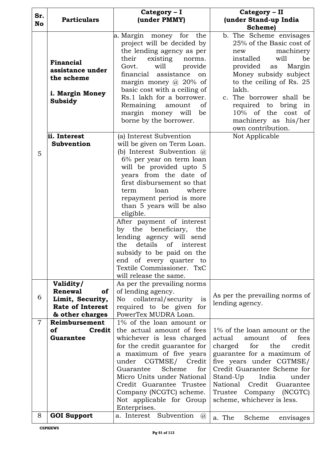|                |                                                                                                                | Category - I                                                                                                                                                                                                                                                                                                                                                                                                                                                                                                | Category - II                                                                                                                                                                                                                                                                                                                                          |
|----------------|----------------------------------------------------------------------------------------------------------------|-------------------------------------------------------------------------------------------------------------------------------------------------------------------------------------------------------------------------------------------------------------------------------------------------------------------------------------------------------------------------------------------------------------------------------------------------------------------------------------------------------------|--------------------------------------------------------------------------------------------------------------------------------------------------------------------------------------------------------------------------------------------------------------------------------------------------------------------------------------------------------|
| Sr.            | <b>Particulars</b>                                                                                             | (under PMMY)                                                                                                                                                                                                                                                                                                                                                                                                                                                                                                | (under Stand-up India                                                                                                                                                                                                                                                                                                                                  |
|                |                                                                                                                |                                                                                                                                                                                                                                                                                                                                                                                                                                                                                                             | Scheme)                                                                                                                                                                                                                                                                                                                                                |
| <b>No</b><br>5 | <b>Financial</b><br>assistance under<br>the scheme<br>i. Margin Money<br>Subsidy<br>ii. Interest<br>Subvention | a Margin money for the<br>project will be decided by<br>the lending agency as per<br>their existing<br>norms.<br>will<br>provide<br>Govt.<br>financial<br>assistance<br>on<br>margin money $\omega$ 20% of<br>basic cost with a ceiling of<br>Rs.1 lakh for a borrower.<br>Remaining amount<br>of<br>margin money will<br>be<br>borne by the borrower.<br>(a) Interest Subvention<br>will be given on Term Loan.<br>(b) Interest Subvention $\omega$<br>6% per year on term loan<br>will be provided upto 5 | b. The Scheme envisages<br>25% of the Basic cost of<br>machinery<br>new<br>will<br>installed<br>be<br>provided as<br>Margin<br>Money subsidy subject<br>to the ceiling of Rs. 25<br>lakh.<br>c. The borrower shall be<br>required to bring in<br>$10\%$ of the<br>cost<br><sub>of</sub><br>machinery as his/her<br>own contribution.<br>Not Applicable |
|                |                                                                                                                | years from the date of<br>first disbursement so that<br>loan<br>where<br>term<br>repayment period is more<br>than 5 years will be also<br>eligible.<br>After payment of interest<br>by the beneficiary,<br>the<br>lending agency will send<br>details<br>$\sigma$<br>the<br>interest<br>subsidy to be paid on the<br>end of every quarter to<br>Textile Commissioner. TxC<br>will release the same.                                                                                                         |                                                                                                                                                                                                                                                                                                                                                        |
|                | Validity/<br><b>Renewal</b><br>0f                                                                              | As per the prevailing norms<br>of lending agency.                                                                                                                                                                                                                                                                                                                                                                                                                                                           |                                                                                                                                                                                                                                                                                                                                                        |
| 6              | Limit, Security,                                                                                               | collateral/security is<br>No                                                                                                                                                                                                                                                                                                                                                                                                                                                                                | As per the prevailing norms of                                                                                                                                                                                                                                                                                                                         |
|                | <b>Rate of Interest</b>                                                                                        | required to be given for                                                                                                                                                                                                                                                                                                                                                                                                                                                                                    | lending agency.                                                                                                                                                                                                                                                                                                                                        |
|                | & other charges                                                                                                | PowerTex MUDRA Loan.                                                                                                                                                                                                                                                                                                                                                                                                                                                                                        |                                                                                                                                                                                                                                                                                                                                                        |
| $\overline{7}$ | Reimbursement                                                                                                  | 1% of the loan amount or                                                                                                                                                                                                                                                                                                                                                                                                                                                                                    |                                                                                                                                                                                                                                                                                                                                                        |
|                | <b>of</b><br>Credit                                                                                            | the actual amount of fees                                                                                                                                                                                                                                                                                                                                                                                                                                                                                   | 1% of the loan amount or the                                                                                                                                                                                                                                                                                                                           |
|                | Guarantee                                                                                                      | whichever is less charged                                                                                                                                                                                                                                                                                                                                                                                                                                                                                   | actual<br>of<br>fees<br>amount                                                                                                                                                                                                                                                                                                                         |
|                |                                                                                                                | for the credit guarantee for                                                                                                                                                                                                                                                                                                                                                                                                                                                                                | credit<br>charged<br>for<br>the                                                                                                                                                                                                                                                                                                                        |
|                |                                                                                                                | a maximum of five years<br>under                                                                                                                                                                                                                                                                                                                                                                                                                                                                            | guarantee for a maximum of                                                                                                                                                                                                                                                                                                                             |
|                |                                                                                                                | CGTMSE/ Credit<br>for<br>Scheme<br>Guarantee                                                                                                                                                                                                                                                                                                                                                                                                                                                                | five years under CGTMSE/<br>Credit Guarantee Scheme for                                                                                                                                                                                                                                                                                                |
|                |                                                                                                                | Micro Units under National                                                                                                                                                                                                                                                                                                                                                                                                                                                                                  | Stand-Up<br>India<br>under                                                                                                                                                                                                                                                                                                                             |
|                |                                                                                                                | Credit Guarantee Trustee                                                                                                                                                                                                                                                                                                                                                                                                                                                                                    | National Credit Guarantee                                                                                                                                                                                                                                                                                                                              |
|                |                                                                                                                | Company (NCGTC) scheme.<br>Not applicable for Group<br>Enterprises.                                                                                                                                                                                                                                                                                                                                                                                                                                         | Trustee Company (NCGTC)<br>scheme, whichever is less.                                                                                                                                                                                                                                                                                                  |
| 8              | <b>GOI Support</b>                                                                                             | a. Interest Subvention<br>(a)                                                                                                                                                                                                                                                                                                                                                                                                                                                                               |                                                                                                                                                                                                                                                                                                                                                        |
|                |                                                                                                                |                                                                                                                                                                                                                                                                                                                                                                                                                                                                                                             | a. The<br>Scheme<br>envisages                                                                                                                                                                                                                                                                                                                          |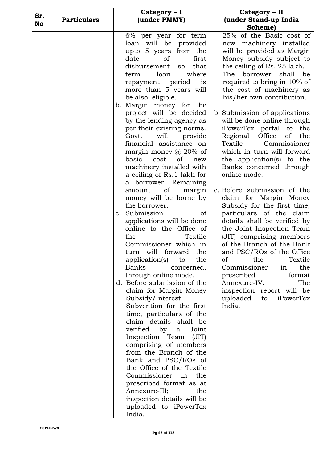| Sr. |                    | Category - I                                                                                                                                                                                                                                                                                                                                                                                                                                                                                                                                                                                                                                                                                                                                                                                                                       | Category - II                                                                                                                                                                                                                                                                                                                                                                                                                                                                                                                                                                                                                                                                                                                                                                                                                                                       |
|-----|--------------------|------------------------------------------------------------------------------------------------------------------------------------------------------------------------------------------------------------------------------------------------------------------------------------------------------------------------------------------------------------------------------------------------------------------------------------------------------------------------------------------------------------------------------------------------------------------------------------------------------------------------------------------------------------------------------------------------------------------------------------------------------------------------------------------------------------------------------------|---------------------------------------------------------------------------------------------------------------------------------------------------------------------------------------------------------------------------------------------------------------------------------------------------------------------------------------------------------------------------------------------------------------------------------------------------------------------------------------------------------------------------------------------------------------------------------------------------------------------------------------------------------------------------------------------------------------------------------------------------------------------------------------------------------------------------------------------------------------------|
| No  |                    |                                                                                                                                                                                                                                                                                                                                                                                                                                                                                                                                                                                                                                                                                                                                                                                                                                    | Scheme)                                                                                                                                                                                                                                                                                                                                                                                                                                                                                                                                                                                                                                                                                                                                                                                                                                                             |
|     | <b>Particulars</b> | (under PMMY)<br>6% per year for term<br>loan will be provided<br>upto 5 years from the<br>date<br>of<br>first<br>that<br>disbursement<br><b>SO</b><br>loan<br>where<br>term<br>repayment period<br>is<br>more than 5 years will<br>be also eligible.<br>b. Margin money for the<br>project will be decided<br>by the lending agency as<br>per their existing norms.<br>Govt.<br>will<br>provide<br>financial assistance on<br>margin money $\omega$ 20% of<br>basic<br>cost<br>of<br>new<br>machinery installed with<br>a ceiling of Rs.1 lakh for<br>a borrower. Remaining<br>of<br>margin<br>amount<br>money will be borne by<br>the borrower.<br>c. Submission<br>of<br>applications will be done<br>online to the Office of<br>the<br>Textile<br>Commissioner which in<br>turn will forward the<br>application(s)<br>the<br>to | (under Stand-up India<br>25% of the Basic cost of<br>machinery installed<br>new<br>will be provided as Margin<br>Money subsidy subject to<br>the ceiling of Rs. 25 lakh.<br>The<br>borrower<br>shall<br>be<br>required to bring in 10% of<br>the cost of machinery as<br>his/her own contribution.<br>b. Submission of applications<br>will be done online through<br>iPowerTex portal to<br>the<br>Regional<br>Office<br>οf<br>the<br>Textile<br>Commissioner<br>which in turn will forward<br>the application(s) to the<br>Banks concerned through<br>online mode.<br>c. Before submission of the<br>claim for Margin Money<br>Subsidy for the first time,<br>particulars of the claim<br>details shall be verified by<br>the Joint Inspection Team<br>(JIT) comprising members<br>of the Branch of the Bank<br>and PSC/ROs of the Office<br>Textile<br>the<br>οf |
|     |                    | Banks<br>concerned,<br>through online mode.<br>d. Before submission of the<br>claim for Margin Money<br>Subsidy/Interest<br>Subvention for the first<br>time, particulars of the<br>claim details shall be<br>verified by<br>Joint<br>a<br>Inspection Team<br>(JIT)<br>comprising of members<br>from the Branch of the<br>Bank and PSC/ROs of<br>the Office of the Textile<br>Commissioner<br>in<br>the<br>prescribed format as at<br>Annexure-III;<br>the<br>inspection details will be<br>uploaded to iPowerTex<br>India.                                                                                                                                                                                                                                                                                                        | Commissioner<br>the<br>in<br>prescribed<br>format<br>The<br>Annexure-IV.<br>inspection report will be<br>uploaded to<br>iPowerTex<br>India.                                                                                                                                                                                                                                                                                                                                                                                                                                                                                                                                                                                                                                                                                                                         |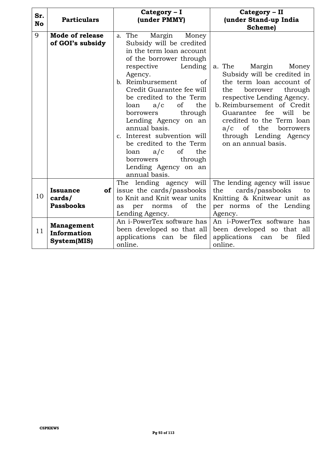| Sr.<br><b>No</b> | <b>Particulars</b>                                    | Category - I<br>(under PMMY)                                                                                                                                                                                                                                                                                                                                                                                                                                                                                               | Category - II<br>(under Stand-up India<br>Scheme)                                                                                                                                                                                                                                                                           |
|------------------|-------------------------------------------------------|----------------------------------------------------------------------------------------------------------------------------------------------------------------------------------------------------------------------------------------------------------------------------------------------------------------------------------------------------------------------------------------------------------------------------------------------------------------------------------------------------------------------------|-----------------------------------------------------------------------------------------------------------------------------------------------------------------------------------------------------------------------------------------------------------------------------------------------------------------------------|
| 9                | <b>Mode of release</b><br>of GOI's subsidy            | The<br>Margin<br>Money<br>a.<br>Subsidy will be credited<br>in the term loan account<br>of the borrower through<br>Lending<br>respective<br>Agency.<br>b. Reimbursement<br><sub>of</sub><br>Credit Guarantee fee will<br>be credited to the Term<br>the<br>loan<br>a/c<br><sub>of</sub><br>borrowers<br>through<br>Lending Agency on an<br>annual basis.<br>c. Interest subvention will<br>be credited to the Term<br><sub>of</sub><br>the<br>a/c<br>loan<br>through<br>borrowers<br>Lending Agency on an<br>annual basis. | a. The<br>Margin<br>Money<br>Subsidy will be credited in<br>the term loan account of<br>borrower<br>the<br>through<br>respective Lending Agency.<br>b. Reimbursement of Credit<br>fee<br>will<br>Guarantee<br>be<br>credited to the Term loan<br>$a/c$ of the<br>borrowers<br>through Lending Agency<br>on an annual basis. |
| 10               | <b>Issuance</b><br>of l<br>cards/<br><b>Passbooks</b> | The lending agency will<br>issue the cards/passbooks<br>to Knit and Knit wear units<br>of<br>the<br>norms<br>per<br>as<br>Lending Agency.                                                                                                                                                                                                                                                                                                                                                                                  | The lending agency will issue<br>cards/passbooks<br>the<br>to<br>Knitting & Knitwear unit as<br>per norms of the Lending<br>Agency.                                                                                                                                                                                         |
| 11               | <b>Management</b><br>Information<br>System(MIS)       | An i-PowerTex software has<br>been developed so that all<br>applications can be filed<br>online.                                                                                                                                                                                                                                                                                                                                                                                                                           | An i-PowerTex software has<br>been developed so that all<br>applications<br>be<br>filed<br>can<br>online.                                                                                                                                                                                                                   |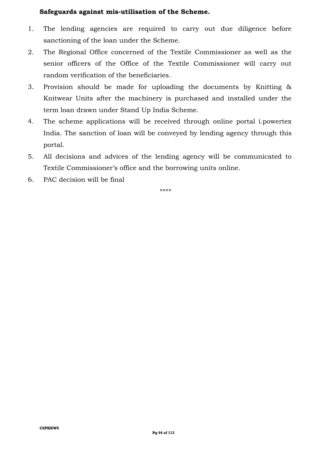#### **Safeguards against mis-utilisation of the Scheme.**

- 1. The lending agencies are required to carry out due diligence before sanctioning of the loan under the Scheme.
- 2. The Regional Office concerned of the Textile Commissioner as well as the senior officers of the Office of the Textile Commissioner will carry out random verification of the beneficiaries.
- 3. Provision should be made for uploading the documents by Knitting & Knitwear Units after the machinery is purchased and installed under the term loan drawn under Stand Up India Scheme.
- 4. The scheme applications will be received through online portal i.powertex India. The sanction of loan will be conveyed by lending agency through this portal.
- 5. All decisions and advices of the lending agency will be communicated to Textile Commissioner's office and the borrowing units online.
- 6. PAC decision will be final

\*\*\*\*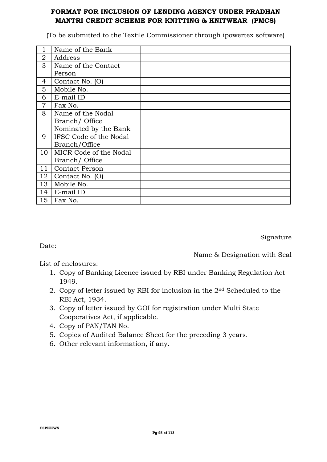#### **FORMAT FOR INCLUSION OF LENDING AGENCY UNDER PRADHAN MANTRI CREDIT SCHEME FOR KNITTING & KNITWEAR (PMCS)**

(To be submitted to the Textile Commissioner through ipowertex software)

|    | Name of the Bank       |  |
|----|------------------------|--|
| 2  | Address                |  |
| 3  | Name of the Contact    |  |
|    | Person                 |  |
| 4  | Contact No. (O)        |  |
| 5  | Mobile No.             |  |
| 6  | E-mail ID              |  |
| 7  | Fax No.                |  |
| 8  | Name of the Nodal      |  |
|    | Branch/ Office         |  |
|    | Nominated by the Bank  |  |
| 9  | IFSC Code of the Nodal |  |
|    | Branch/Office          |  |
| 10 | MICR Code of the Nodal |  |
|    | Branch/ Office         |  |
| 11 | <b>Contact Person</b>  |  |
| 12 | Contact No. (O)        |  |
| 13 | Mobile No.             |  |
| 14 | E-mail ID              |  |
| 15 | Fax No.                |  |

Signature

Date:

Name & Designation with Seal

List of enclosures:

- 1. Copy of Banking Licence issued by RBI under Banking Regulation Act 1949.
- 2. Copy of letter issued by RBI for inclusion in the 2nd Scheduled to the RBI Act, 1934.
- 3. Copy of letter issued by GOI for registration under Multi State Cooperatives Act, if applicable.
- 4. Copy of PAN/TAN No.
- 5. Copies of Audited Balance Sheet for the preceding 3 years.
- 6. Other relevant information, if any.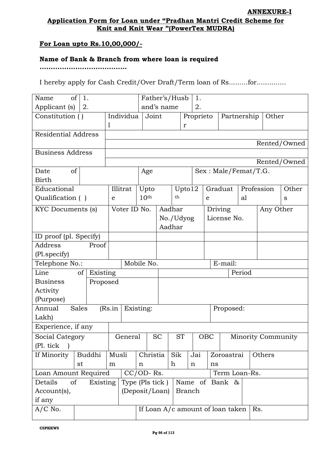#### **Application Form for Loan under "Pradhan Mantri Credit Scheme for Knit and Knit Wear "(PowerTex MUDRA)**

#### **For Loan upto Rs.10,00,000/-**

#### **Name of Bank & Branch from where loan is required**

**.......................................**

I hereby apply for Cash Credit/Over Draft/Term loan of Rs.........for..............

| of<br>Name<br>1.           |                  |                  |                                    | Father's/Husb | 1.        |             |                                  |                           |           |              |
|----------------------------|------------------|------------------|------------------------------------|---------------|-----------|-------------|----------------------------------|---------------------------|-----------|--------------|
| Applicant (s)<br>2.        |                  |                  | and's name                         |               | 2.        |             |                                  |                           |           |              |
| Constitution ()            | Individua        | Joint            |                                    |               | Proprieto |             |                                  | Partnership               | Other     |              |
|                            | 1                |                  |                                    | $\mathbf r$   |           |             |                                  |                           |           |              |
| <b>Residential Address</b> |                  |                  |                                    |               |           |             |                                  |                           |           |              |
|                            |                  |                  |                                    |               |           |             |                                  |                           |           | Rented/Owned |
| <b>Business Address</b>    |                  |                  |                                    |               |           |             |                                  |                           |           |              |
|                            |                  |                  |                                    |               |           |             |                                  |                           |           | Rented/Owned |
| Date<br>οf                 |                  | Age              |                                    |               |           |             |                                  | Sex: Male/Femat/T.G.      |           |              |
| <b>Birth</b>               |                  |                  |                                    |               |           |             |                                  |                           |           |              |
| Educational                | Illitrat         | Upto             |                                    | Upto12        |           |             | Graduat                          | Profession                |           | Other        |
| Qualification ()           | e                | 10 <sup>th</sup> |                                    | th            |           | $\mathbf e$ |                                  | al                        |           | S            |
| KYC Documents (s)          | Voter ID No.     |                  | Aadhar                             |               |           |             | Driving                          |                           | Any Other |              |
|                            |                  |                  |                                    | No./Udyog     |           |             | License No.                      |                           |           |              |
|                            |                  |                  | Aadhar                             |               |           |             |                                  |                           |           |              |
| ID proof (pl. Specify)     |                  |                  |                                    |               |           |             |                                  |                           |           |              |
| Address<br>Proof           |                  |                  |                                    |               |           |             |                                  |                           |           |              |
| (Pl. specify)              |                  |                  |                                    |               |           |             |                                  |                           |           |              |
| Telephone No.:             |                  | Mobile No.       |                                    |               |           |             | E-mail:                          |                           |           |              |
| Line<br>of                 | Existing         | Period           |                                    |               |           |             |                                  |                           |           |              |
| <b>Business</b>            | Proposed         |                  |                                    |               |           |             |                                  |                           |           |              |
| Activity                   |                  |                  |                                    |               |           |             |                                  |                           |           |              |
| (Purpose)                  |                  |                  |                                    |               |           |             |                                  |                           |           |              |
| Annual<br>Sales            | (Rs.in           | Existing:        |                                    |               |           | Proposed:   |                                  |                           |           |              |
| Lakh)                      |                  |                  |                                    |               |           |             |                                  |                           |           |              |
| Experience, if any         |                  |                  |                                    |               |           |             |                                  |                           |           |              |
| Social Category            | General          |                  | <b>SC</b>                          | <b>ST</b>     |           | OBC         |                                  | <b>Minority Community</b> |           |              |
| $(Pl.$ tick                |                  |                  |                                    |               |           |             |                                  |                           |           |              |
| If Minority<br>Buddhi      | Musli            | Christia         | Sik<br>Jai<br>Zoroastrai<br>Others |               |           |             |                                  |                           |           |              |
| st                         | m<br>$\mathbf n$ |                  |                                    | h             | n         | ns          |                                  |                           |           |              |
| Loan Amount Required       | $CC/OD-Rs.$      |                  |                                    |               |           |             | Term Loan-Rs.                    |                           |           |              |
| Details<br>of<br>Existing  |                  | Type (Pls tick)  |                                    |               |           |             | Name of Bank &                   |                           |           |              |
| Account(s),                |                  |                  | <b>Branch</b><br>(Deposit/Lean)    |               |           |             |                                  |                           |           |              |
| if any                     |                  |                  |                                    |               |           |             |                                  |                           |           |              |
| $A/C$ No.                  |                  |                  |                                    |               |           |             | If Loan A/c amount of loan taken | Rs.                       |           |              |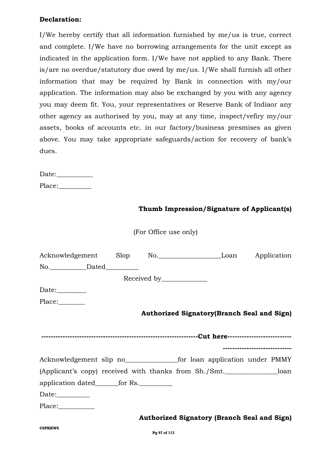#### **Declaration:**

I/We hereby certify that all information furnished by me/us is true, correct and complete. I/We have no borrowing arrangements for the unit except as indicated in the application form. I/We have not applied to any Bank. There is/are no overdue/statutory due owed by me/us. I/We shall furnish all other information that may be required by Bank in connection with my/our application. The information may also be exchanged by you with any agency you may deem fit. You, your representatives or Reserve Bank of Indiaor any other agency as authorised by you, may at any time, inspect/vefiry my/our assets, books of accounts etc. in our factory/business presmises as given above. You may take appropriate safeguards/action for recovery of bank's dues.

Date:\_\_\_\_\_\_\_\_\_\_\_ Place:

#### **Thumb Impression/Signature of Applicant(s)**

(For Office use only)

| Acknowledgement Slop No. Loan Application             |  |  |                                                    |
|-------------------------------------------------------|--|--|----------------------------------------------------|
| No. Dated                                             |  |  |                                                    |
|                                                       |  |  |                                                    |
| Date: $\_\_\_\_\_\_\_\_\_\_\_\_$                      |  |  |                                                    |
| Place:                                                |  |  |                                                    |
|                                                       |  |  | <b>Authorized Signatory (Branch Seal and Sign)</b> |
|                                                       |  |  |                                                    |
|                                                       |  |  |                                                    |
|                                                       |  |  | -----------------------------                      |
|                                                       |  |  |                                                    |
| (Applicant's copy) received with thanks from Sh./Smt. |  |  |                                                    |
| application dated_______for Rs.___________            |  |  |                                                    |
| Date: $\_\_\_\_\_\_\_\_\_\_\_\_\_\_\_\_$              |  |  |                                                    |
|                                                       |  |  |                                                    |
|                                                       |  |  | <b>Authorized Signatory (Branch Seal and Sign)</b> |
| <b>CSPKKWS</b>                                        |  |  |                                                    |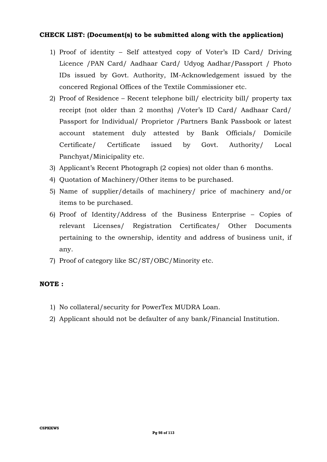#### **CHECK LIST: (Document(s) to be submitted along with the application)**

- 1) Proof of identity Self attestyed copy of Voter's ID Card/ Driving Licence /PAN Card/ Aadhaar Card/ Udyog Aadhar/Passport / Photo IDs issued by Govt. Authority, IM-Acknowledgement issued by the concered Regional Offices of the Textile Commissioner etc.
- 2) Proof of Residence Recent telephone bill/ electricity bill/ property tax receipt (not older than 2 months) /Voter's ID Card/ Aadhaar Card/ Passport for Individual/ Proprietor /Partners Bank Passbook or latest account statement duly attested by Bank Officials/ Domicile Certificate/ Certificate issued by Govt. Authority/ Local Panchyat/Minicipality etc.
- 3) Applicant's Recent Photograph (2 copies) not older than 6 months.
- 4) Quotation of Machinery/Other items to be purchased.
- 5) Name of supplier/details of machinery/ price of machinery and/or items to be purchased.
- 6) Proof of Identity/Address of the Business Enterprise Copies of relevant Licenses/ Registration Certificates/ Other Documents pertaining to the ownership, identity and address of business unit, if any.
- 7) Proof of category like SC/ST/OBC/Minority etc.

#### **NOTE :**

- 1) No collateral/security for PowerTex MUDRA Loan.
- 2) Applicant should not be defaulter of any bank/Financial Institution.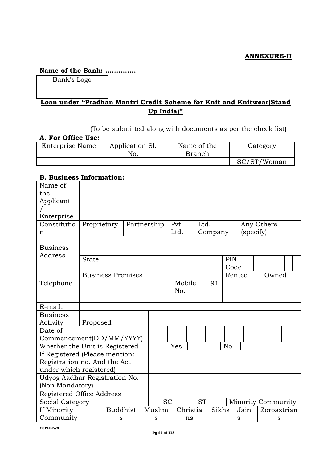#### **ANNEXURE-II**

#### **Name of the Bank: …………..**

Bank's Logo

## **Loan under "Pradhan Mantri Credit Scheme for Knit and Knitwear(Stand Up India)"**

(To be submitted along with documents as per the check list)

#### **A. For Office Use:**

| --- -- ------ - - - |                        |                              |             |
|---------------------|------------------------|------------------------------|-------------|
| Enterprise Name     | Application Sl.<br>No. | Name of the<br><b>Branch</b> | Category    |
|                     |                        |                              | SC/ST/Woman |

#### **B. Business Information:**

| Name of                        |              |                          |  |  |             |  |               |           |      |         |        |                           |             |   |  |
|--------------------------------|--------------|--------------------------|--|--|-------------|--|---------------|-----------|------|---------|--------|---------------------------|-------------|---|--|
| the                            |              |                          |  |  |             |  |               |           |      |         |        |                           |             |   |  |
| Applicant                      |              |                          |  |  |             |  |               |           |      |         |        |                           |             |   |  |
|                                |              |                          |  |  |             |  |               |           |      |         |        |                           |             |   |  |
| Enterprise                     |              |                          |  |  |             |  |               |           |      |         |        |                           |             |   |  |
| Constitutio                    | Proprietary  |                          |  |  | Partnership |  | Pvt.          |           | Ltd. |         |        |                           | Any Others  |   |  |
| n                              |              |                          |  |  |             |  | Ltd.          |           |      | Company |        | (specify)                 |             |   |  |
| <b>Business</b><br>Address     |              |                          |  |  |             |  |               |           |      |         |        |                           |             |   |  |
|                                | <b>State</b> |                          |  |  |             |  |               |           |      |         | PIN    |                           |             |   |  |
|                                |              |                          |  |  |             |  |               |           |      |         | Code   |                           |             |   |  |
|                                |              | <b>Business Premises</b> |  |  |             |  |               |           |      |         | Rented |                           | Owned       |   |  |
| Telephone                      |              |                          |  |  |             |  | Mobile<br>No. |           |      | 91      |        |                           |             |   |  |
|                                |              |                          |  |  |             |  |               |           |      |         |        |                           |             |   |  |
| E-mail:                        |              |                          |  |  |             |  |               |           |      |         |        |                           |             |   |  |
| <b>Business</b>                |              |                          |  |  |             |  |               |           |      |         |        |                           |             |   |  |
| Activity                       | Proposed     |                          |  |  |             |  |               |           |      |         |        |                           |             |   |  |
| Date of                        |              |                          |  |  |             |  |               |           |      |         |        |                           |             |   |  |
| Commencement(DD/MM/YYYY)       |              |                          |  |  |             |  |               |           |      |         |        |                           |             |   |  |
| Whether the Unit is Registered |              |                          |  |  |             |  | Yes           |           |      |         | No     |                           |             |   |  |
| If Registered (Please mention: |              |                          |  |  |             |  |               |           |      |         |        |                           |             |   |  |
| Registration no. And the Act   |              |                          |  |  |             |  |               |           |      |         |        |                           |             |   |  |
| under which registered)        |              |                          |  |  |             |  |               |           |      |         |        |                           |             |   |  |
| Udyog Aadhar Registration No.  |              |                          |  |  |             |  |               |           |      |         |        |                           |             |   |  |
| (Non Mandatory)                |              |                          |  |  |             |  |               |           |      |         |        |                           |             |   |  |
| Registered Office Address      |              |                          |  |  |             |  |               |           |      |         |        |                           |             |   |  |
| Social Category                |              |                          |  |  | <b>SC</b>   |  |               | <b>ST</b> |      |         |        | <b>Minority Community</b> |             |   |  |
| If Minority                    |              | <b>Buddhist</b>          |  |  | Muslim      |  | Christia      |           |      | Sikhs   |        | Jain                      | Zoroastrian |   |  |
| Community                      |              | S                        |  |  | S           |  |               | ns        |      |         |        | S                         |             | S |  |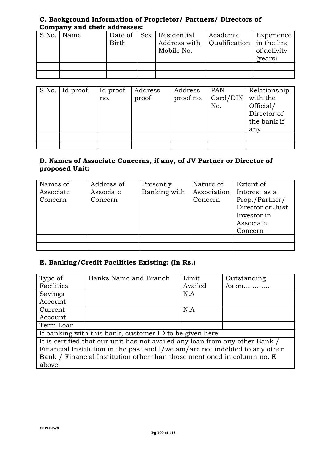#### **C. Background Information of Proprietor/ Partners/ Directors of Company and their addresses:**

| S.No. | Name | Date of      | Sex   Residential                                      | Academic | Experience  |
|-------|------|--------------|--------------------------------------------------------|----------|-------------|
|       |      | <b>Birth</b> | Address with $\vert$ Qualification $\vert$ in the line |          |             |
|       |      |              | Mobile No.                                             |          | of activity |
|       |      |              |                                                        |          | (years)     |
|       |      |              |                                                        |          |             |
|       |      |              |                                                        |          |             |

| S.No. Id proof | Id proof<br>no. | Address<br>proof | Address<br>proof no. | <b>PAN</b><br>Card/DIN<br>No. | Relationship<br>with the<br>Official/<br>Director of<br>the bank if<br>any |
|----------------|-----------------|------------------|----------------------|-------------------------------|----------------------------------------------------------------------------|
|                |                 |                  |                      |                               |                                                                            |
|                |                 |                  |                      |                               |                                                                            |

#### **D. Names of Associate Concerns, if any, of JV Partner or Director of proposed Unit:**

| Names of  | Address of | Presently    | Nature of   | Extent of        |
|-----------|------------|--------------|-------------|------------------|
| Associate | Associate  | Banking with | Association | Interest as a    |
| Concern   | Concern    |              | Concern     | Prop./Partner/   |
|           |            |              |             | Director or Just |
|           |            |              |             | Investor in      |
|           |            |              |             | Associate        |
|           |            |              |             | Concern          |
|           |            |              |             |                  |
|           |            |              |             |                  |

## **E. Banking/Credit Facilities Existing: (In Rs.)**

| Type of                                                                 | Banks Name and Branch                                                        | Limit   | Outstanding |  |  |  |  |
|-------------------------------------------------------------------------|------------------------------------------------------------------------------|---------|-------------|--|--|--|--|
| Facilities                                                              |                                                                              | Availed | As $on$     |  |  |  |  |
| Savings                                                                 |                                                                              | N.A     |             |  |  |  |  |
| Account                                                                 |                                                                              |         |             |  |  |  |  |
| Current                                                                 |                                                                              | N.A     |             |  |  |  |  |
| Account                                                                 |                                                                              |         |             |  |  |  |  |
| Term Loan                                                               |                                                                              |         |             |  |  |  |  |
|                                                                         | If banking with this bank, customer ID to be given here:                     |         |             |  |  |  |  |
|                                                                         | It is certified that our unit has not availed any loan from any other Bank / |         |             |  |  |  |  |
|                                                                         | Financial Institution in the past and I/we am/are not indebted to any other  |         |             |  |  |  |  |
| Bank / Financial Institution other than those mentioned in column no. E |                                                                              |         |             |  |  |  |  |
| above.                                                                  |                                                                              |         |             |  |  |  |  |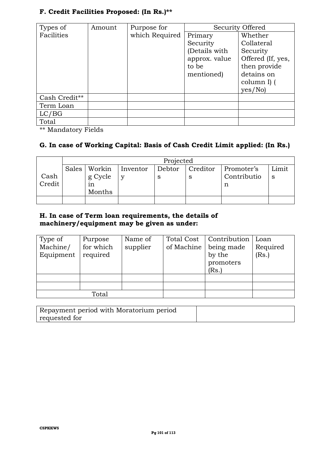|  | F. Credit Facilities Proposed: (In Rs.)** |  |  |
|--|-------------------------------------------|--|--|
|  |                                           |  |  |

| Types of      | Amount | Purpose for    | Security Offered |                   |  |
|---------------|--------|----------------|------------------|-------------------|--|
| Facilities    |        | which Required | Primary          | Whether           |  |
|               |        |                | Security         | Collateral        |  |
|               |        |                | (Details with    | Security          |  |
|               |        |                | approx. value    | Offered (If, yes, |  |
|               |        |                | to be            | then provide      |  |
|               |        |                | mentioned)       | detains on        |  |
|               |        |                |                  | column I) (       |  |
|               |        |                |                  | yes/No)           |  |
| Cash Credit** |        |                |                  |                   |  |
| Term Loan     |        |                |                  |                   |  |
| LC/BG         |        |                |                  |                   |  |
| Total         |        |                |                  |                   |  |

\*\* Mandatory Fields

## **G. In case of Working Capital: Basis of Cash Credit Limit applied: (In Rs.)**

|        | Projected |         |          |        |          |             |       |
|--------|-----------|---------|----------|--------|----------|-------------|-------|
|        | Sales     | Workin  | Inventor | Debtor | Creditor | Promoter's  | Limit |
| Cash   |           | g Cycle |          | S      | S        | Contributio | S     |
| Credit |           | 1n      |          |        |          |             |       |
|        |           | Months  |          |        |          |             |       |
|        |           |         |          |        |          |             |       |

### **H. In case of Term loan requirements, the details of machinery/equipment may be given as under:**

| Type of<br>Machine/<br>Equipment | Purpose<br>for which<br>required | Name of<br>supplier | Total Cost<br>of Machine | Contribution<br>being made<br>by the<br>promoters<br>(Rs.) | Loan<br>Required<br>(Rs.) |
|----------------------------------|----------------------------------|---------------------|--------------------------|------------------------------------------------------------|---------------------------|
|                                  |                                  |                     |                          |                                                            |                           |
|                                  | Total                            |                     |                          |                                                            |                           |

| Repayment period with Moratorium period |  |
|-----------------------------------------|--|
| requested for                           |  |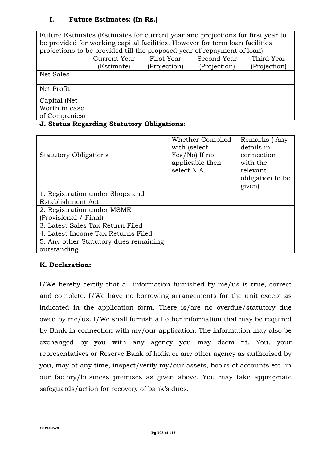### **I. Future Estimates: (In Rs.)**

Future Estimates (Estimates for current year and projections for first year to be provided for working capital facilities. However for term loan facilities projections to be provided till the proposed year of repayment of loan) Current Year (Estimate) First Year (Projection) Second Year (Projection) Third Year (Projection) Net Sales Net Profit Capital (Net Worth in case of Companies)

#### **J. Status Regarding Statutory Obligations:**

|                                       | Whether Complied | Remarks (Any     |
|---------------------------------------|------------------|------------------|
|                                       | with (select)    | details in       |
| <b>Statutory Obligations</b>          | $Yes/No)$ If not | connection       |
|                                       | applicable then  | with the         |
|                                       | select N.A.      | relevant         |
|                                       |                  | obligation to be |
|                                       |                  | given)           |
| 1. Registration under Shops and       |                  |                  |
| Establishment Act                     |                  |                  |
| 2. Registration under MSME            |                  |                  |
| (Provisional / Final)                 |                  |                  |
| 3. Latest Sales Tax Return Filed      |                  |                  |
| 4. Latest Income Tax Returns Filed    |                  |                  |
| 5. Any other Statutory dues remaining |                  |                  |
| outstanding                           |                  |                  |

## **K. Declaration:**

I/We hereby certify that all information furnished by me/us is true, correct and complete. I/We have no borrowing arrangements for the unit except as indicated in the application form. There is/are no overdue/statutory due owed by me/us. I/We shall furnish all other information that may be required by Bank in connection with my/our application. The information may also be exchanged by you with any agency you may deem fit. You, your representatives or Reserve Bank of India or any other agency as authorised by you, may at any time, inspect/verify my/our assets, books of accounts etc. in our factory/business premises as given above. You may take appropriate safeguards/action for recovery of bank's dues.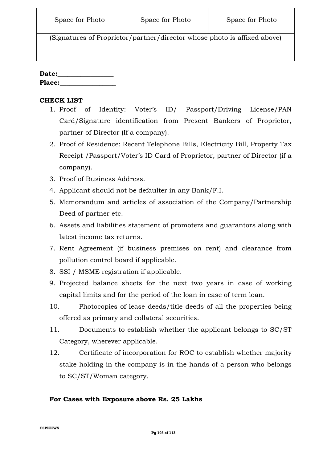(Signatures of Proprietor/partner/director whose photo is affixed above)

#### **Date:\_\_\_\_\_\_\_\_\_\_\_\_\_\_\_\_\_**

Place:

## **CHECK LIST**

- 1. Proof of Identity: Voter's ID/ Passport/Driving License/PAN Card/Signature identification from Present Bankers of Proprietor, partner of Director (If a company).
- 2. Proof of Residence: Recent Telephone Bills, Electricity Bill, Property Tax Receipt /Passport/Voter's ID Card of Proprietor, partner of Director (if a company).
- 3. Proof of Business Address.
- 4. Applicant should not be defaulter in any Bank/F.I.
- 5. Memorandum and articles of association of the Company/Partnership Deed of partner etc.
- 6. Assets and liabilities statement of promoters and guarantors along with latest income tax returns.
- 7. Rent Agreement (if business premises on rent) and clearance from pollution control board if applicable.
- 8. SSI / MSME registration if applicable.
- 9. Projected balance sheets for the next two years in case of working capital limits and for the period of the loan in case of term loan.
- 10. Photocopies of lease deeds/title deeds of all the properties being offered as primary and collateral securities.
- 11. Documents to establish whether the applicant belongs to SC/ST Category, wherever applicable.
- 12. Certificate of incorporation for ROC to establish whether majority stake holding in the company is in the hands of a person who belongs to SC/ST/Woman category.

#### **For Cases with Exposure above Rs. 25 Lakhs**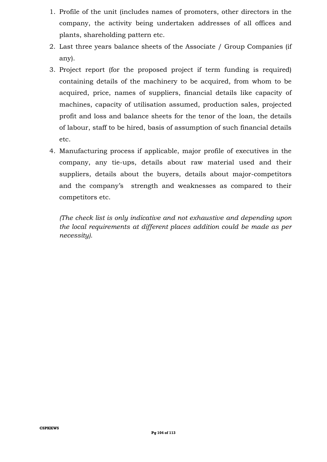- 1. Profile of the unit (includes names of promoters, other directors in the company, the activity being undertaken addresses of all offices and plants, shareholding pattern etc.
- 2. Last three years balance sheets of the Associate / Group Companies (if any).
- 3. Project report (for the proposed project if term funding is required) containing details of the machinery to be acquired, from whom to be acquired, price, names of suppliers, financial details like capacity of machines, capacity of utilisation assumed, production sales, projected profit and loss and balance sheets for the tenor of the loan, the details of labour, staff to be hired, basis of assumption of such financial details etc.
- 4. Manufacturing process if applicable, major profile of executives in the company, any tie-ups, details about raw material used and their suppliers, details about the buyers, details about major-competitors and the company's strength and weaknesses as compared to their competitors etc.

*(The check list is only indicative and not exhaustive and depending upon the local requirements at different places addition could be made as per necessity).*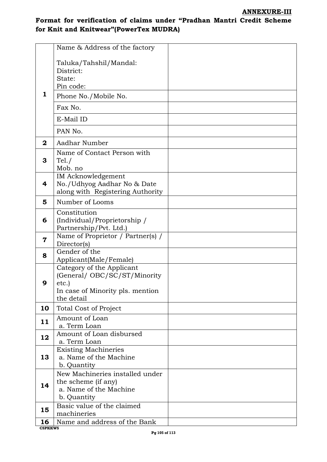## **Format for verification of claims under "Pradhan Mantri Credit Scheme for Knit and Knitwear"(PowerTex MUDRA)**

|                      | Name & Address of the factory                                                                                         |  |
|----------------------|-----------------------------------------------------------------------------------------------------------------------|--|
| 1                    | Taluka/Tahshil/Mandal:<br>District:<br>State:<br>Pin code:<br>Phone No./Mobile No.<br>Fax No.<br>E-Mail ID<br>PAN No. |  |
| $\mathbf{2}$         | Aadhar Number                                                                                                         |  |
| 3                    | Name of Contact Person with<br>Tel. /<br>Mob. no                                                                      |  |
| 4                    | <b>IM Acknowledgement</b><br>No./Udhyog Aadhar No & Date<br>along with Registering Authority                          |  |
| 5                    | Number of Looms                                                                                                       |  |
| 6                    | Constitution<br>(Individual/Proprietorship /<br>Partnership/Pvt. Ltd.)                                                |  |
| 7                    | Name of Proprietor / Partner(s) /<br>Director(s)                                                                      |  |
| 8                    | Gender of the<br>Applicant(Male/Female)                                                                               |  |
| 9                    | Category of the Applicant<br>(General/ OBC/SC/ST/Minority<br>etc.)<br>In case of Minority pls. mention<br>the detail  |  |
| 10                   | <b>Total Cost of Project</b>                                                                                          |  |
| 11                   | Amount of Loan<br>a. Term Loan                                                                                        |  |
| 12                   | Amount of Loan disbursed<br>a. Term Loan                                                                              |  |
| 13                   | <b>Existing Machineries</b><br>a. Name of the Machine<br>b. Quantity                                                  |  |
| 14                   | New Machineries installed under<br>the scheme (if any)<br>a. Name of the Machine<br>b. Quantity                       |  |
| 15                   | Basic value of the claimed<br>machineries                                                                             |  |
| 16<br><b>CSPKKWS</b> | Name and address of the Bank                                                                                          |  |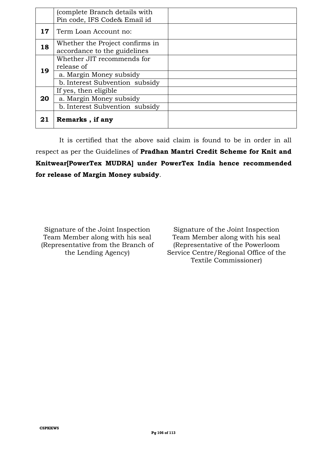|                 | (complete Branch details with   |  |
|-----------------|---------------------------------|--|
|                 | Pin code, IFS Code& Email id    |  |
| 17 <sub>1</sub> | Term Loan Account no:           |  |
| 18              | Whether the Project confirms in |  |
|                 | accordance to the guidelines    |  |
|                 | Whether JIT recommends for      |  |
| 19              | release of                      |  |
|                 | a. Margin Money subsidy         |  |
|                 | b. Interest Subvention subsidy  |  |
|                 | If yes, then eligible           |  |
| 20              | a. Margin Money subsidy         |  |
|                 | b. Interest Subvention subsidy  |  |
| 21              | Remarks, if any                 |  |

It is certified that the above said claim is found to be in order in all respect as per the Guidelines of **Pradhan Mantri Credit Scheme for Knit and Knitwear[PowerTex MUDRA] under PowerTex India hence recommended for release of Margin Money subsidy**.

Signature of the Joint Inspection Team Member along with his seal (Representative from the Branch of the Lending Agency)

Signature of the Joint Inspection Team Member along with his seal (Representative of the Powerloom Service Centre/Regional Office of the Textile Commissioner)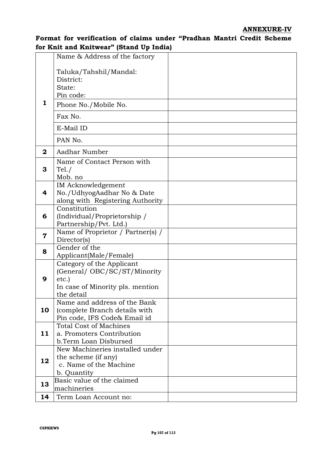#### **ANNEXURE-IV**

### **Format for verification of claims under "Pradhan Mantri Credit Scheme for Knit and Knitwear" (Stand Up India)**

|              | Name & Address of the factory                                                                                        |  |
|--------------|----------------------------------------------------------------------------------------------------------------------|--|
| 1            | Taluka/Tahshil/Mandal:<br>District:<br>State:<br>Pin code:<br>Phone No./Mobile No.                                   |  |
|              | Fax No.                                                                                                              |  |
|              | E-Mail ID                                                                                                            |  |
|              | PAN No.                                                                                                              |  |
| $\mathbf{2}$ | Aadhar Number                                                                                                        |  |
| 3            | Name of Contact Person with<br>Tel. /<br>Mob. no                                                                     |  |
| 4            | <b>IM Acknowledgement</b><br>No./UdhyogAadhar No & Date<br>along with Registering Authority                          |  |
| 6            | Constitution<br>(Individual/Proprietorship /<br>Partnership/Pvt. Ltd.)                                               |  |
| 7            | Name of Proprietor / Partner(s) /<br>Director(s)                                                                     |  |
| 8            | Gender of the<br>Applicant(Male/Female)                                                                              |  |
| 9            | Category of the Applicant<br>(General/ OBC/SC/ST/Minority<br>etc.)<br>In case of Minority pls. mention<br>the detail |  |
| 10           | Name and address of the Bank<br>(complete Branch details with<br>Pin code, IFS Code& Email id                        |  |
| 11           | <b>Total Cost of Machines</b><br>a. Promoters Contribution<br>b.Term Loan Disbursed                                  |  |
| 12           | New Machineries installed under<br>the scheme (if any)<br>c. Name of the Machine<br>b. Quantity                      |  |
| 13           | Basic value of the claimed<br>machineries                                                                            |  |
| 14           | Term Loan Account no:                                                                                                |  |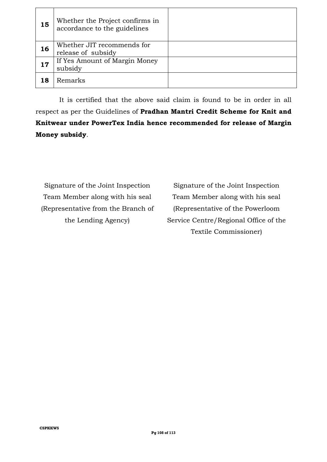| 15 | Whether the Project confirms in<br>accordance to the guidelines |  |
|----|-----------------------------------------------------------------|--|
| 16 | Whether JIT recommends for<br>release of subsidy                |  |
| 17 | If Yes Amount of Margin Money<br>subsidy                        |  |
| 18 | Remarks                                                         |  |

It is certified that the above said claim is found to be in order in all respect as per the Guidelines of **Pradhan Mantri Credit Scheme for Knit and Knitwear under PowerTex India hence recommended for release of Margin Money subsidy**.

Signature of the Joint Inspection Team Member along with his seal (Representative from the Branch of the Lending Agency)

Signature of the Joint Inspection Team Member along with his seal (Representative of the Powerloom Service Centre/Regional Office of the Textile Commissioner)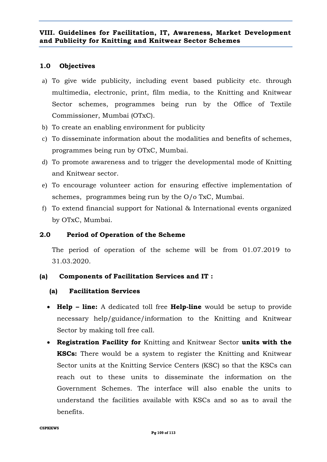## **1.0 Objectives**

- a) To give wide publicity, including event based publicity etc. through multimedia, electronic, print, film media, to the Knitting and Knitwear Sector schemes, programmes being run by the Office of Textile Commissioner, Mumbai (OTxC).
- b) To create an enabling environment for publicity
- c) To disseminate information about the modalities and benefits of schemes, programmes being run by OTxC, Mumbai.
- d) To promote awareness and to trigger the developmental mode of Knitting and Knitwear sector.
- e) To encourage volunteer action for ensuring effective implementation of schemes, programmes being run by the O/o TxC, Mumbai.
- f) To extend financial support for National & International events organized by OTxC, Mumbai.

# **2.0 Period of Operation of the Scheme**

The period of operation of the scheme will be from 01.07.2019 to 31.03.2020.

# **(a) Components of Facilitation Services and IT :**

# **(a) Facilitation Services**

- **Help – line:** A dedicated toll free **Help-line** would be setup to provide necessary help/guidance/information to the Knitting and Knitwear Sector by making toll free call.
- **Registration Facility for** Knitting and Knitwear Sector **units with the KSCs:** There would be a system to register the Knitting and Knitwear Sector units at the Knitting Service Centers (KSC) so that the KSCs can reach out to these units to disseminate the information on the Government Schemes. The interface will also enable the units to understand the facilities available with KSCs and so as to avail the benefits.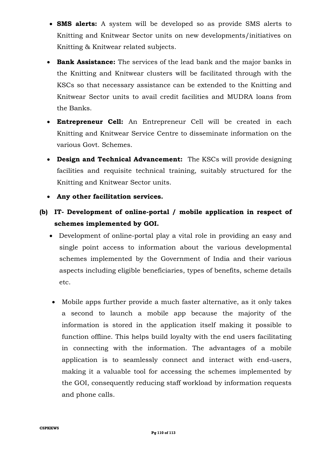- **SMS alerts:** A system will be developed so as provide SMS alerts to Knitting and Knitwear Sector units on new developments/initiatives on Knitting & Knitwear related subjects.
- **Bank Assistance:** The services of the lead bank and the major banks in the Knitting and Knitwear clusters will be facilitated through with the KSCs so that necessary assistance can be extended to the Knitting and Knitwear Sector units to avail credit facilities and MUDRA loans from the Banks.
- **Entrepreneur Cell:** An Entrepreneur Cell will be created in each Knitting and Knitwear Service Centre to disseminate information on the various Govt. Schemes.
- **Design and Technical Advancement:** The KSCs will provide designing facilities and requisite technical training, suitably structured for the Knitting and Knitwear Sector units.
- **Any other facilitation services.**
- **(b) IT- Development of online-portal / mobile application in respect of schemes implemented by GOI.**
	- Development of online-portal play a vital role in providing an easy and single point access to information about the various developmental schemes implemented by the Government of India and their various aspects including eligible beneficiaries, types of benefits, scheme details etc.
	- Mobile apps further provide a much faster alternative, as it only takes a second to launch a mobile app because the majority of the information is stored in the application itself making it possible to function offline. This helps build loyalty with the end users facilitating in connecting with the information. The advantages of a mobile application is to seamlessly connect and interact with end-users, making it a valuable tool for accessing the schemes implemented by the GOI, consequently reducing staff workload by information requests and phone calls.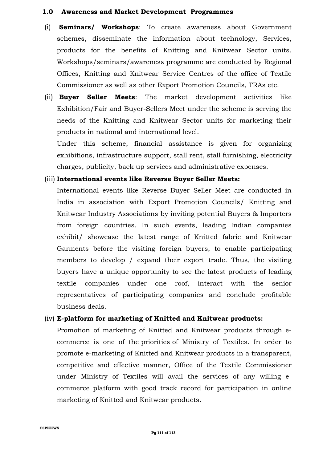#### **1.0 Awareness and Market Development Programmes**

- (i) **Seminars/ Workshops**: To create awareness about Government schemes, disseminate the information about technology, Services, products for the benefits of Knitting and Knitwear Sector units. Workshops/seminars/awareness programme are conducted by Regional Offices, Knitting and Knitwear Service Centres of the office of Textile Commissioner as well as other Export Promotion Councils, TRAs etc.
- (ii) **Buyer Seller Meets**: The market development activities like Exhibition/Fair and Buyer-Sellers Meet under the scheme is serving the needs of the Knitting and Knitwear Sector units for marketing their products in national and international level.

Under this scheme, financial assistance is given for organizing exhibitions, infrastructure support, stall rent, stall furnishing, electricity charges, publicity, back up services and administrative expenses.

## (iii) **International events like Reverse Buyer Seller Meets:**

International events like Reverse Buyer Seller Meet are conducted in India in association with Export Promotion Councils/ Knitting and Knitwear Industry Associations by inviting potential Buyers & Importers from foreign countries. In such events, leading Indian companies exhibit/ showcase the latest range of Knitted fabric and Knitwear Garments before the visiting foreign buyers, to enable participating members to develop / expand their export trade. Thus, the visiting buyers have a unique opportunity to see the latest products of leading textile companies under one roof, interact with the senior representatives of participating companies and conclude profitable business deals.

#### (iv) **E-platform for marketing of Knitted and Knitwear products:**

Promotion of marketing of Knitted and Knitwear products through ecommerce is one of the priorities of Ministry of Textiles. In order to promote e-marketing of Knitted and Knitwear products in a transparent, competitive and effective manner, Office of the Textile Commissioner under Ministry of Textiles will avail the services of any willing ecommerce platform with good track record for participation in online marketing of Knitted and Knitwear products.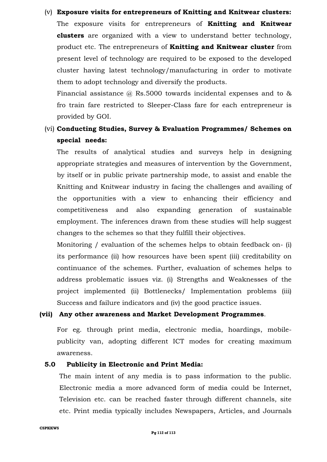(v) **Exposure visits for entrepreneurs of Knitting and Knitwear clusters:** The exposure visits for entrepreneurs of **Knitting and Knitwear clusters** are organized with a view to understand better technology, product etc. The entrepreneurs of **Knitting and Knitwear cluster** from present level of technology are required to be exposed to the developed cluster having latest technology/manufacturing in order to motivate them to adopt technology and diversify the products.

Financial assistance  $\omega$  Rs.5000 towards incidental expenses and to  $\&$ fro train fare restricted to Sleeper-Class fare for each entrepreneur is provided by GOI.

(vi) **Conducting Studies, Survey & Evaluation Programmes/ Schemes on special needs:**

The results of analytical studies and surveys help in designing appropriate strategies and measures of intervention by the Government, by itself or in public private partnership mode, to assist and enable the Knitting and Knitwear industry in facing the challenges and availing of the opportunities with a view to enhancing their efficiency and competitiveness and also expanding generation of sustainable employment. The inferences drawn from these studies will help suggest changes to the schemes so that they fulfill their objectives.

Monitoring / evaluation of the schemes helps to obtain feedback on- (i) its performance (ii) how resources have been spent (iii) creditability on continuance of the schemes. Further, evaluation of schemes helps to address problematic issues viz. (i) Strengths and Weaknesses of the project implemented (ii) Bottlenecks/ Implementation problems (iii) Success and failure indicators and (iv) the good practice issues.

#### **(vii) Any other awareness and Market Development Programmes**.

For eg. through print media, electronic media, hoardings, mobilepublicity van, adopting different ICT modes for creating maximum awareness.

#### **5.0 Publicity in Electronic and Print Media:**

The main intent of any media is to pass information to the public. Electronic media a more advanced form of media could be Internet, Television etc. can be reached faster through different channels, site etc. Print media typically includes Newspapers, Articles, and Journals